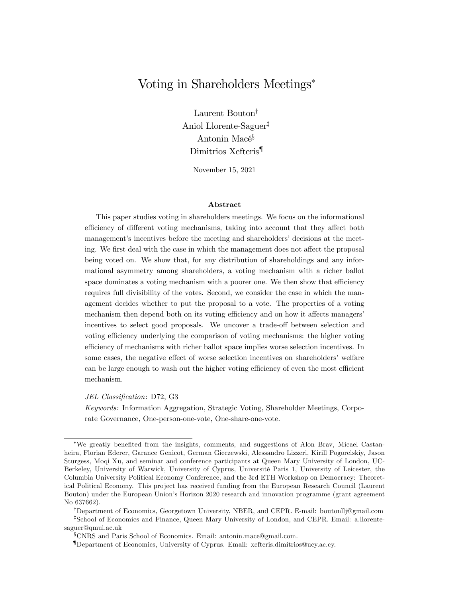# Voting in Shareholders Meetings

Laurent Bouton<sup>†</sup> Aniol Llorente-Saguer<sup>‡</sup> Antonin Macé<sup>§</sup> Dimitrios Xefteris{

November 15, 2021

#### Abstract

This paper studies voting in shareholders meetings. We focus on the informational efficiency of different voting mechanisms, taking into account that they affect both management's incentives before the meeting and shareholders' decisions at the meeting. We first deal with the case in which the management does not affect the proposal being voted on. We show that, for any distribution of shareholdings and any informational asymmetry among shareholders, a voting mechanism with a richer ballot space dominates a voting mechanism with a poorer one. We then show that efficiency requires full divisibility of the votes. Second, we consider the case in which the management decides whether to put the proposal to a vote. The properties of a voting mechanism then depend both on its voting efficiency and on how it affects managers' incentives to select good proposals. We uncover a trade-off between selection and voting efficiency underlying the comparison of voting mechanisms: the higher voting efficiency of mechanisms with richer ballot space implies worse selection incentives. In some cases, the negative effect of worse selection incentives on shareholders' welfare can be large enough to wash out the higher voting efficiency of even the most efficient mechanism.

JEL Classification: D72, G3

Keywords: Information Aggregation, Strategic Voting, Shareholder Meetings, Corporate Governance, One-person-one-vote, One-share-one-vote.

<sup>\*</sup>We greatly benefited from the insights, comments, and suggestions of Alon Brav, Micael Castanheira, Florian Ederer, Garance Genicot, German Gieczewski, Alessandro Lizzeri, Kirill Pogorelskiy, Jason Sturgess, Moqi Xu, and seminar and conference participants at Queen Mary University of London, UC-Berkeley, University of Warwick, University of Cyprus, Université Paris 1, University of Leicester, the Columbia University Political Economy Conference, and the 3rd ETH Workshop on Democracy: Theoretical Political Economy. This project has received funding from the European Research Council (Laurent Bouton) under the European Union's Horizon 2020 research and innovation programme (grant agreement No 637662).

<sup>&</sup>lt;sup>†</sup>Department of Economics, Georgetown University, NBER, and CEPR. E-mail: boutonllj@gmail.com <sup>‡</sup>School of Economics and Finance, Queen Mary University of London, and CEPR. Email: a.llorentesaguer@qmul.ac.uk

<sup>x</sup>CNRS and Paris School of Economics. Email: antonin.mace@gmail.com.

<sup>{</sup>Department of Economics, University of Cyprus. Email: xefteris.dimitrios@ucy.ac.cy.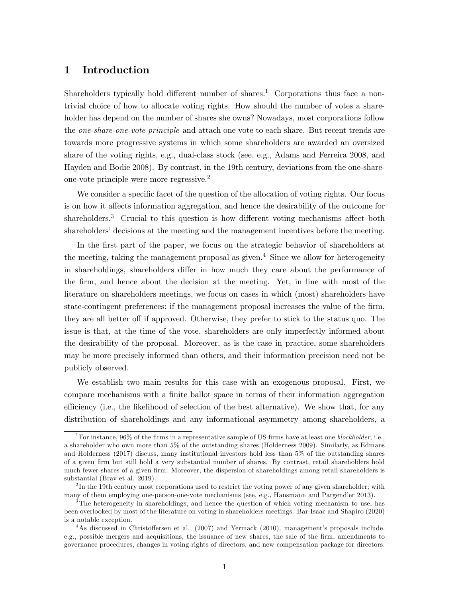## 1 Introduction

Shareholders typically hold different number of shares.<sup>1</sup> Corporations thus face a nontrivial choice of how to allocate voting rights. How should the number of votes a shareholder has depend on the number of shares she owns? Nowadays, most corporations follow the one-share-one-vote principle and attach one vote to each share. But recent trends are towards more progressive systems in which some shareholders are awarded an oversized share of the voting rights, e.g., dual-class stock (see, e.g., Adams and Ferreira 2008, and Hayden and Bodie 2008). By contrast, in the 19th century, deviations from the one-shareone-vote principle were more regressive.<sup>2</sup>

We consider a specific facet of the question of the allocation of voting rights. Our focus is on how it affects information aggregation, and hence the desirability of the outcome for shareholders. $3$  Crucial to this question is how different voting mechanisms affect both shareholders' decisions at the meeting and the management incentives before the meeting.

In the first part of the paper, we focus on the strategic behavior of shareholders at the meeting, taking the management proposal as given.<sup>4</sup> Since we allow for heterogeneity in shareholdings, shareholders differ in how much they care about the performance of the Örm, and hence about the decision at the meeting. Yet, in line with most of the literature on shareholders meetings, we focus on cases in which (most) shareholders have state-contingent preferences: if the management proposal increases the value of the firm, they are all better off if approved. Otherwise, they prefer to stick to the status quo. The issue is that, at the time of the vote, shareholders are only imperfectly informed about the desirability of the proposal. Moreover, as is the case in practice, some shareholders may be more precisely informed than others, and their information precision need not be publicly observed.

We establish two main results for this case with an exogenous proposal. First, we compare mechanisms with a finite ballot space in terms of their information aggregation efficiency (i.e., the likelihood of selection of the best alternative). We show that, for any distribution of shareholdings and any informational asymmetry among shareholders, a

<sup>&</sup>lt;sup>1</sup>For instance, 96% of the firms in a representative sample of US firms have at least one *blockholder*, i.e., a shareholder who own more than 5% of the outstanding shares (Holderness 2009). Similarly, as Edmans and Holderness (2017) discuss, many institutional investors hold less than 5% of the outstanding shares of a given Örm but still hold a very substantial number of shares. By contrast, retail shareholders hold much fewer shares of a given firm. Moreover, the dispersion of shareholdings among retail shareholders is substantial (Brav et al. 2019).

<sup>&</sup>lt;sup>2</sup>In the 19th century most corporations used to restrict the voting power of any given shareholder; with many of them employing one-person-one-vote mechanisms (see, e.g., Hansmann and Pargendler 2013).

<sup>&</sup>lt;sup>3</sup>The heterogeneity in shareholdings, and hence the question of which voting mechanism to use, has been overlooked by most of the literature on voting in shareholders meetings. Bar-Isaac and Shapiro (2020) is a notable exception.

 $4$ As discussed in Christoffersen et al. (2007) and Yermack (2010), management's proposals include, e.g., possible mergers and acquisitions, the issuance of new shares, the sale of the firm, amendments to governance procedures, changes in voting rights of directors, and new compensation package for directors.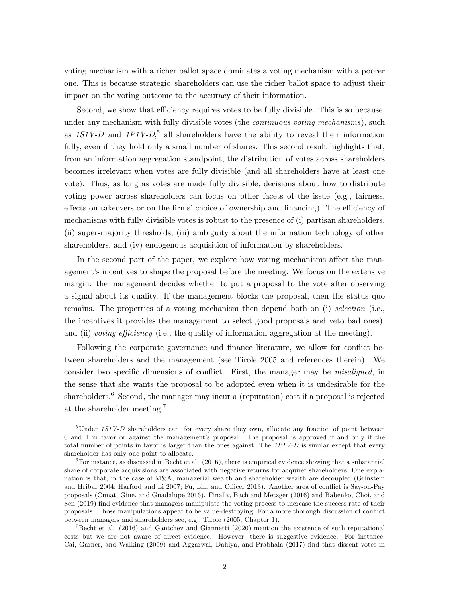voting mechanism with a richer ballot space dominates a voting mechanism with a poorer one. This is because strategic shareholders can use the richer ballot space to adjust their impact on the voting outcome to the accuracy of their information.

Second, we show that efficiency requires votes to be fully divisible. This is so because, under any mechanism with fully divisible votes (the *continuous voting mechanisms*), such as  $1S1V-D$  and  $1P1V-D$ <sup>5</sup>, all shareholders have the ability to reveal their information fully, even if they hold only a small number of shares. This second result highlights that, from an information aggregation standpoint, the distribution of votes across shareholders becomes irrelevant when votes are fully divisible (and all shareholders have at least one vote). Thus, as long as votes are made fully divisible, decisions about how to distribute voting power across shareholders can focus on other facets of the issue (e.g., fairness, effects on takeovers or on the firms' choice of ownership and financing). The efficiency of mechanisms with fully divisible votes is robust to the presence of (i) partisan shareholders, (ii) super-majority thresholds, (iii) ambiguity about the information technology of other shareholders, and (iv) endogenous acquisition of information by shareholders.

In the second part of the paper, we explore how voting mechanisms affect the management's incentives to shape the proposal before the meeting. We focus on the extensive margin: the management decides whether to put a proposal to the vote after observing a signal about its quality. If the management blocks the proposal, then the status quo remains. The properties of a voting mechanism then depend both on (i) selection (i.e., the incentives it provides the management to select good proposals and veto bad ones), and (ii) voting efficiency (i.e., the quality of information aggregation at the meeting).

Following the corporate governance and finance literature, we allow for conflict between shareholders and the management (see Tirole 2005 and references therein). We consider two specific dimensions of conflict. First, the manager may be *misaligned*, in the sense that she wants the proposal to be adopted even when it is undesirable for the shareholders.<sup>6</sup> Second, the manager may incur a (reputation) cost if a proposal is rejected at the shareholder meeting.<sup>7</sup>

 ${}^{5}$ Under 1S1V-D shareholders can, for every share they own, allocate any fraction of point between 0 and 1 in favor or against the managementís proposal. The proposal is approved if and only if the total number of points in favor is larger than the ones against. The  $1PIVD$  is similar except that every shareholder has only one point to allocate.

 $6$ For instance, as discussed in Becht et al. (2016), there is empirical evidence showing that a substantial share of corporate acquisisions are associated with negative returns for acquirer shareholders. One explanation is that, in the case of M&A, managerial wealth and shareholder wealth are decoupled (Grinstein and Hribar 2004; Harford and Li 2007; Fu, Lin, and Officer 2013). Another area of conflict is Say-on-Pay proposals (Cunat, Gine, and Guadalupe 2016). Finally, Bach and Metzger (2016) and Babenko, Choi, and Sen (2019) find evidence that managers manipulate the voting process to increase the success rate of their proposals. Those manipulations appear to be value-destroying. For a more thorough discussion of conáict between managers and shareholders see, e.g., Tirole (2005, Chapter 1).

<sup>&</sup>lt;sup>7</sup>Becht et al. (2016) and Gantchev and Giannetti (2020) mention the existence of such reputational costs but we are not aware of direct evidence. However, there is suggestive evidence. For instance, Cai, Garner, and Walking (2009) and Aggarwal, Dahiya, and Prabhala (2017) Önd that dissent votes in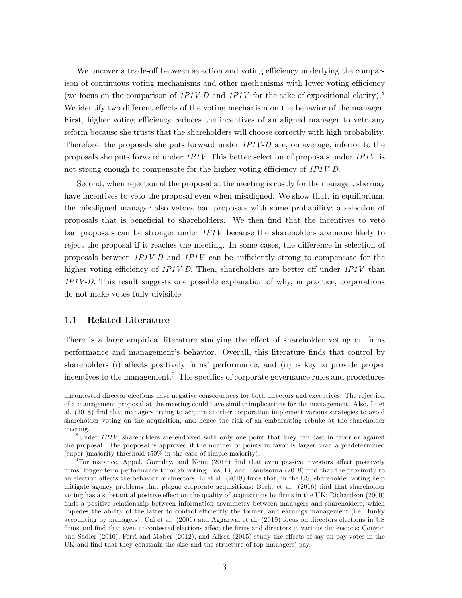We uncover a trade-off between selection and voting efficiency underlying the comparison of continuous voting mechanisms and other mechanisms with lower voting efficiency (we focus on the comparison of 1P1V-D and 1P1V for the sake of expositional clarity).<sup>8</sup> We identify two different effects of the voting mechanism on the behavior of the manager. First, higher voting efficiency reduces the incentives of an aligned manager to veto any reform because she trusts that the shareholders will choose correctly with high probability. Therefore, the proposals she puts forward under  $1P1V-D$  are, on average, inferior to the proposals she puts forward under 1P1V. This better selection of proposals under 1P1V is not strong enough to compensate for the higher voting efficiency of  $1PIV-D$ .

Second, when rejection of the proposal at the meeting is costly for the manager, she may have incentives to veto the proposal even when misaligned. We show that, in equilibrium, the misaligned manager also vetoes bad proposals with some probability; a selection of proposals that is beneficial to shareholders. We then find that the incentives to veto bad proposals can be stronger under  $1PIV$  because the shareholders are more likely to reject the proposal if it reaches the meeting. In some cases, the difference in selection of proposals between  $1P1V-D$  and  $1P1V$  can be sufficiently strong to compensate for the higher voting efficiency of  $1P1V-D$ . Then, shareholders are better off under  $1P1V$  than 1P1V-D. This result suggests one possible explanation of why, in practice, corporations do not make votes fully divisible.

### 1.1 Related Literature

There is a large empirical literature studying the effect of shareholder voting on firms performance and managementís behavior. Overall, this literature Önds that control by shareholders (i) affects positively firms' performance, and (ii) is key to provide proper incentives to the management. $9$  The specifics of corporate governance rules and procedures

uncontested director elections have negative consequences for both directors and executives. The rejection of a management proposal at the meeting could have similar implications for the management. Also, Li et al. (2018) Önd that managers trying to acquire another corporation implement various strategies to avoid shareholder voting on the acquisition, and hence the risk of an embarassing rebuke at the shareholder meeting.

 $8$ Under 1P1V, shareholders are endowed with only one point that they can cast in favor or against the proposal. The proposal is approved if the number of points in favor is larger than a predetermined (super-)majority threshold (50% in the case of simple majority).

 $9$ For instance, Appel, Gormley, and Keim (2016) find that even passive investors affect positively firms' longer-term performance through voting; Fos, Li, and Tsoutsoura (2018) find that the proximity to an election affects the behavior of directors; Li et al. (2018) finds that, in the US, shareholder voting help mitigate agency problems that plague corporate acquisitions; Becht et al. (2016) find that shareholder voting has a substantial positive effect on the quality of acquisitions by firms in the UK; Richardson (2000) finds a positive relationship between information asymmetry between managers and shareholders, which impedes the ability of the latter to control efficiently the former, and earnings management (i.e., funky accounting by managers); Cai et al. (2006) and Aggarwal et al. (2019) focus on directors elections in US firms and find that even uncontested elections affect the firms and directors in various dimensions; Conyon and Sadler (2010), Ferri and Maber (2012), and Alissa (2015) study the effects of say-on-pay votes in the UK and find that they constrain the size and the structure of top managers' pay.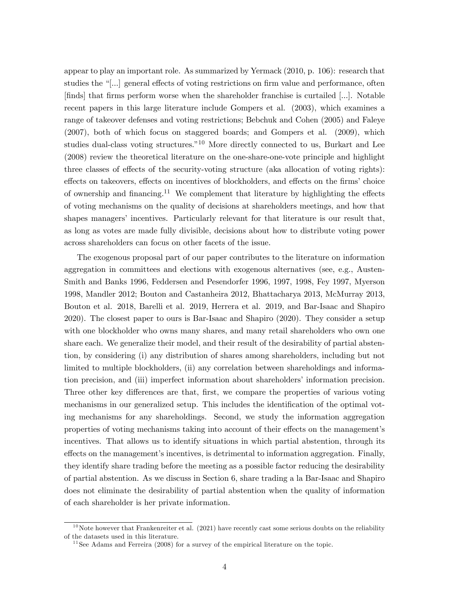appear to play an important role. As summarized by Yermack (2010, p. 106): research that studies the  $\lceil \ldots \rceil$  general effects of voting restrictions on firm value and performance, often [Önds] that Örms perform worse when the shareholder franchise is curtailed [...]. Notable recent papers in this large literature include Gompers et al. (2003), which examines a range of takeover defenses and voting restrictions; Bebchuk and Cohen (2005) and Faleye (2007), both of which focus on staggered boards; and Gompers et al. (2009), which studies dual-class voting structures.<sup> $n10$ </sup> More directly connected to us, Burkart and Lee (2008) review the theoretical literature on the one-share-one-vote principle and highlight three classes of effects of the security-voting structure (aka allocation of voting rights): effects on takeovers, effects on incentives of blockholders, and effects on the firms' choice of ownership and financing.<sup>11</sup> We complement that literature by highlighting the effects of voting mechanisms on the quality of decisions at shareholders meetings, and how that shapes managers' incentives. Particularly relevant for that literature is our result that, as long as votes are made fully divisible, decisions about how to distribute voting power across shareholders can focus on other facets of the issue.

The exogenous proposal part of our paper contributes to the literature on information aggregation in committees and elections with exogenous alternatives (see, e.g., Austen-Smith and Banks 1996, Feddersen and Pesendorfer 1996, 1997, 1998, Fey 1997, Myerson 1998, Mandler 2012; Bouton and Castanheira 2012, Bhattacharya 2013, McMurray 2013, Bouton et al. 2018, Barelli et al. 2019, Herrera et al. 2019, and Bar-Isaac and Shapiro 2020). The closest paper to ours is Bar-Isaac and Shapiro (2020). They consider a setup with one blockholder who owns many shares, and many retail shareholders who own one share each. We generalize their model, and their result of the desirability of partial abstention, by considering (i) any distribution of shares among shareholders, including but not limited to multiple blockholders, (ii) any correlation between shareholdings and information precision, and (iii) imperfect information about shareholders' information precision. Three other key differences are that, first, we compare the properties of various voting mechanisms in our generalized setup. This includes the identification of the optimal voting mechanisms for any shareholdings. Second, we study the information aggregation properties of voting mechanisms taking into account of their effects on the management's incentives. That allows us to identify situations in which partial abstention, through its effects on the management's incentives, is detrimental to information aggregation. Finally, they identify share trading before the meeting as a possible factor reducing the desirability of partial abstention. As we discuss in Section 6, share trading a la Bar-Isaac and Shapiro does not eliminate the desirability of partial abstention when the quality of information of each shareholder is her private information.

 $10$ Note however that Frankenreiter et al. (2021) have recently cast some serious doubts on the reliability of the datasets used in this literature.

 $11$  See Adams and Ferreira (2008) for a survey of the empirical literature on the topic.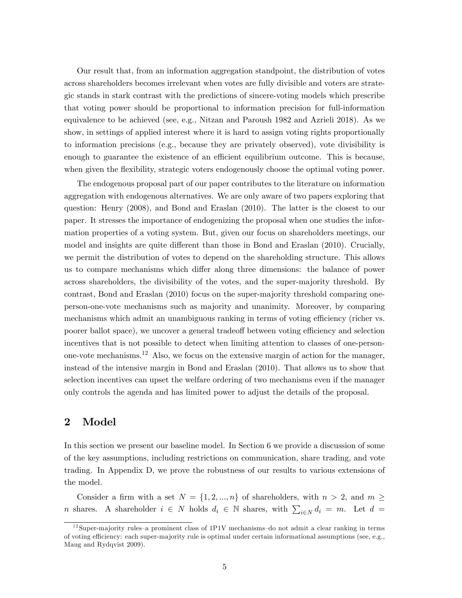Our result that, from an information aggregation standpoint, the distribution of votes across shareholders becomes irrelevant when votes are fully divisible and voters are strategic stands in stark contrast with the predictions of sincere-voting models which prescribe that voting power should be proportional to information precision for full-information equivalence to be achieved (see, e.g., Nitzan and Paroush 1982 and Azrieli 2018). As we show, in settings of applied interest where it is hard to assign voting rights proportionally to information precisions (e.g., because they are privately observed), vote divisibility is enough to guarantee the existence of an efficient equilibrium outcome. This is because, when given the flexibility, strategic voters endogenously choose the optimal voting power.

The endogenous proposal part of our paper contributes to the literature on information aggregation with endogenous alternatives. We are only aware of two papers exploring that question: Henry (2008), and Bond and Eraslan (2010). The latter is the closest to our paper. It stresses the importance of endogenizing the proposal when one studies the information properties of a voting system. But, given our focus on shareholders meetings, our model and insights are quite different than those in Bond and Eraslan (2010). Crucially, we permit the distribution of votes to depend on the shareholding structure. This allows us to compare mechanisms which differ along three dimensions: the balance of power across shareholders, the divisibility of the votes, and the super-majority threshold. By contrast, Bond and Eraslan (2010) focus on the super-majority threshold comparing oneperson-one-vote mechanisms such as majority and unanimity. Moreover, by comparing mechanisms which admit an unambiguous ranking in terms of voting efficiency (richer vs. poorer ballot space), we uncover a general tradeoff between voting efficiency and selection incentives that is not possible to detect when limiting attention to classes of one-personone-vote mechanisms.<sup>12</sup> Also, we focus on the extensive margin of action for the manager, instead of the intensive margin in Bond and Eraslan (2010). That allows us to show that selection incentives can upset the welfare ordering of two mechanisms even if the manager only controls the agenda and has limited power to adjust the details of the proposal.

## 2 Model

In this section we present our baseline model. In Section 6 we provide a discussion of some of the key assumptions, including restrictions on communication, share trading, and vote trading. In Appendix D, we prove the robustness of our results to various extensions of the model.

Consider a firm with a set  $N = \{1, 2, ..., n\}$  of shareholders, with  $n > 2$ , and  $m \geq$ n shares. A shareholder  $i \in N$  holds  $d_i \in \mathbb{N}$  shares, with  $\sum_{i \in N} d_i = m$ . Let  $d =$ 

 $12$ Super-majority rules–a prominent class of 1P1V mechanisms–do not admit a clear ranking in terms of voting efficiency: each super-majority rule is optimal under certain informational assumptions (see, e.g., Maug and Rydqvist 2009).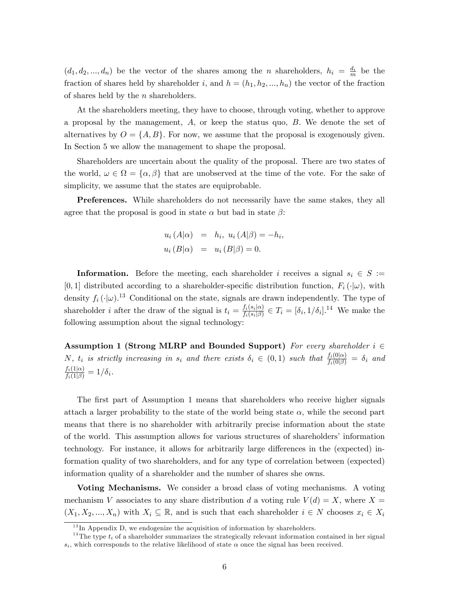$(d_1, d_2, ..., d_n)$  be the vector of the shares among the n shareholders,  $h_i = \frac{d_i}{m}$  be the fraction of shares held by shareholder i, and  $h = (h_1, h_2, ..., h_n)$  the vector of the fraction of shares held by the  $n$  shareholders.

At the shareholders meeting, they have to choose, through voting, whether to approve a proposal by the management,  $A$ , or keep the status quo,  $B$ . We denote the set of alternatives by  $O = \{A, B\}$ . For now, we assume that the proposal is exogenously given. In Section 5 we allow the management to shape the proposal.

Shareholders are uncertain about the quality of the proposal. There are two states of the world,  $\omega \in \Omega = {\alpha, \beta}$  that are unobserved at the time of the vote. For the sake of simplicity, we assume that the states are equiprobable.

Preferences. While shareholders do not necessarily have the same stakes, they all agree that the proposal is good in state  $\alpha$  but bad in state  $\beta$ :

$$
u_i(A|\alpha) = h_i, u_i(A|\beta) = -h_i
$$
  

$$
u_i(B|\alpha) = u_i(B|\beta) = 0.
$$

;

**Information.** Before the meeting, each shareholder i receives a signal  $s_i \in S :=$ [0,1] distributed according to a shareholder-specific distribution function,  $F_i(\cdot|\omega)$ , with density  $f_i(\cdot|\omega)$ .<sup>13</sup> Conditional on the state, signals are drawn independently. The type of shareholder *i* after the draw of the signal is  $t_i = \frac{f_i(s_i|\alpha)}{f_i(s_i|\beta)}$  $\frac{f_i(s_i|\alpha)}{f_i(s_i|\beta)} \in T_i = [\delta_i, 1/\delta_i].^{14}$  We make the following assumption about the signal technology:

Assumption 1 (Strong MLRP and Bounded Support) For every shareholder  $i \in$  $N, t_i$  is strictly increasing in  $s_i$  and there exists  $\delta_i \in (0,1)$  such that  $\frac{f_i(0|\alpha)}{f_i(0|\beta)} = \delta_i$  and  $\frac{f_i(1|\alpha)}{f_i(1|\beta)}=1/\delta_i$ .

The first part of Assumption 1 means that shareholders who receive higher signals attach a larger probability to the state of the world being state  $\alpha$ , while the second part means that there is no shareholder with arbitrarily precise information about the state of the world. This assumption allows for various structures of shareholders' information technology. For instance, it allows for arbitrarily large differences in the (expected) information quality of two shareholders, and for any type of correlation between (expected) information quality of a shareholder and the number of shares she owns.

Voting Mechanisms. We consider a broad class of voting mechanisms. A voting mechanism V associates to any share distribution d a voting rule  $V(d) = X$ , where X  $(X_1, X_2, ..., X_n)$  with  $X_i \subseteq \mathbb{R}$ , and is such that each shareholder  $i \in N$  chooses  $x_i \in X_i$ 

 $13$  In Appendix D, we endogenize the acquisition of information by shareholders.

<sup>&</sup>lt;sup>14</sup>The type  $t_i$  of a shareholder summarizes the strategically relevant information contained in her signal  $s_i$ , which corresponds to the relative likelihood of state  $\alpha$  once the signal has been received.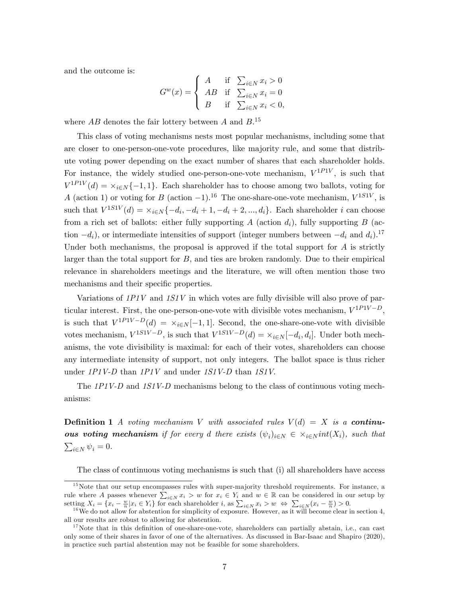and the outcome is:

$$
G^{w}(x) = \begin{cases} A & \text{if } \sum_{i \in N} x_i > 0 \\ AB & \text{if } \sum_{i \in N} x_i = 0 \\ B & \text{if } \sum_{i \in N} x_i < 0, \end{cases}
$$

where  $AB$  denotes the fair lottery between A and  $B$ .<sup>15</sup>

This class of voting mechanisms nests most popular mechanisms, including some that are closer to one-person-one-vote procedures, like majority rule, and some that distribute voting power depending on the exact number of shares that each shareholder holds. For instance, the widely studied one-person-one-vote mechanism,  $V^{1PIV}$ , is such that  $V^{1PIV}(d) = \times_{i \in \mathbb{N}} \{-1, 1\}.$  Each shareholder has to choose among two ballots, voting for A (action 1) or voting for B (action  $-1$ ).<sup>16</sup> The one-share-one-vote mechanism,  $V^{1S1V}$ , is such that  $V^{1S1V}(d) = \times_{i \in \mathbb{N}} \{-d_i, -d_i + 1, -d_i + 2, ..., d_i\}$ . Each shareholder i can choose from a rich set of ballots: either fully supporting A (action  $d_i$ ), fully supporting B (action  $-d_i$ , or intermediate intensities of support (integer numbers between  $-d_i$  and  $d_i$ ).<sup>17</sup> Under both mechanisms, the proposal is approved if the total support for  $A$  is strictly larger than the total support for  $B$ , and ties are broken randomly. Due to their empirical relevance in shareholders meetings and the literature, we will often mention those two mechanisms and their specific properties.

Variations of  $1PIV$  and  $1SIV$  in which votes are fully divisible will also prove of particular interest. First, the one-person-one-vote with divisible votes mechanism,  $V^{1PIV-D}$ , is such that  $V^{1P1V-D}(d) = \times_{i \in N} [-1,1]$ . Second, the one-share-one-vote with divisible votes mechanism,  $V^{1S1V-D}$ , is such that  $V^{1S1V-D}(d) = \times_{i \in N} [-d_i, d_i]$ . Under both mechanisms, the vote divisibility is maximal: for each of their votes, shareholders can choose any intermediate intensity of support, not only integers. The ballot space is thus richer under 1P1V-D than 1P1V and under 1S1V-D than 1S1V.

The 1P1V-D and 1S1V-D mechanisms belong to the class of continuous voting mechanisms:

**Definition 1** A voting mechanism V with associated rules  $V(d) = X$  is a continu**ous voting mechanism** if for every d there exists  $(\psi_i)_{i \in N} \in \times_{i \in N} int(X_i)$ , such that  $\sum_{i\in N}\psi_i = 0.$ 

The class of continuous voting mechanisms is such that (i) all shareholders have access

 $15$ Note that our setup encompasses rules with super-majority threshold requirements. For instance, a rule where A passes whenever  $\sum_{i\in N} x_i > w$  for  $x_i \in Y_i$  and  $w \in \mathbb{R}$  can be considered in our setup by setting  $X_i = \{x_i - \frac{w}{n} | x_i \in Y_i\}$  for each shareholder i, as  $\sum_{i \in N} x_i > w \Leftrightarrow \sum_{i \in N} (x_i - \frac{w}{n}) > 0$ .

<sup>&</sup>lt;sup>16</sup>We do not allow for abstention for simplicity of exposure. However, as it will become clear in section 4, all our results are robust to allowing for abstention.

 $17$  Note that in this definition of one-share-one-vote, shareholders can partially abstain, i.e., can cast only some of their shares in favor of one of the alternatives. As discussed in Bar-Isaac and Shapiro (2020), in practice such partial abstention may not be feasible for some shareholders.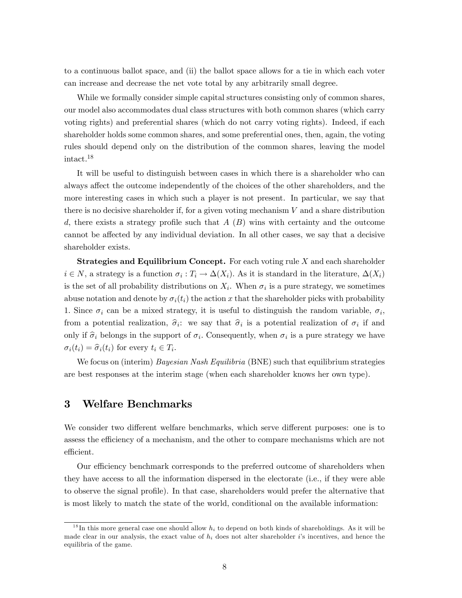to a continuous ballot space, and (ii) the ballot space allows for a tie in which each voter can increase and decrease the net vote total by any arbitrarily small degree.

While we formally consider simple capital structures consisting only of common shares, our model also accommodates dual class structures with both common shares (which carry voting rights) and preferential shares (which do not carry voting rights). Indeed, if each shareholder holds some common shares, and some preferential ones, then, again, the voting rules should depend only on the distribution of the common shares, leaving the model intact.<sup>18</sup>

It will be useful to distinguish between cases in which there is a shareholder who can always affect the outcome independently of the choices of the other shareholders, and the more interesting cases in which such a player is not present. In particular, we say that there is no decisive shareholder if, for a given voting mechanism  $V$  and a share distribution d, there exists a strategy profile such that  $A(B)$  wins with certainty and the outcome cannot be affected by any individual deviation. In all other cases, we say that a decisive shareholder exists.

**Strategies and Equilibrium Concept.** For each voting rule  $X$  and each shareholder  $i \in N$ , a strategy is a function  $\sigma_i : T_i \to \Delta(X_i)$ . As it is standard in the literature,  $\Delta(X_i)$ is the set of all probability distributions on  $X_i$ . When  $\sigma_i$  is a pure strategy, we sometimes abuse notation and denote by  $\sigma_i(t_i)$  the action x that the shareholder picks with probability 1. Since  $\sigma_i$  can be a mixed strategy, it is useful to distinguish the random variable,  $\sigma_i$ , from a potential realization,  $\hat{\sigma}_i$ : we say that  $\hat{\sigma}_i$  is a potential realization of  $\sigma_i$  if and only if  $\hat{\sigma}_i$  belongs in the support of  $\sigma_i$ . Consequently, when  $\sigma_i$  is a pure strategy we have  $\sigma_i(t_i) = \hat{\sigma}_i(t_i)$  for every  $t_i \in T_i$ .

We focus on (interim) *Bayesian Nash Equilibria* (BNE) such that equilibrium strategies are best responses at the interim stage (when each shareholder knows her own type).

## 3 Welfare Benchmarks

We consider two different welfare benchmarks, which serve different purposes: one is to assess the efficiency of a mechanism, and the other to compare mechanisms which are not efficient.

Our efficiency benchmark corresponds to the preferred outcome of shareholders when they have access to all the information dispersed in the electorate (i.e., if they were able to observe the signal profile). In that case, shareholders would prefer the alternative that is most likely to match the state of the world, conditional on the available information:

<sup>&</sup>lt;sup>18</sup>In this more general case one should allow  $h_i$  to depend on both kinds of shareholdings. As it will be made clear in our analysis, the exact value of  $h_i$  does not alter shareholder is incentives, and hence the equilibria of the game.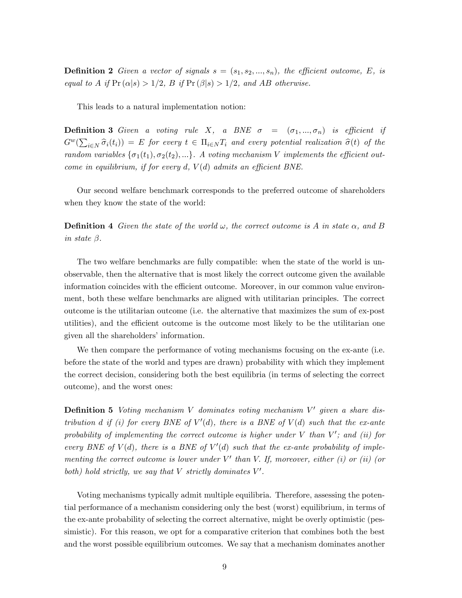**Definition 2** Given a vector of signals  $s = (s_1, s_2, ..., s_n)$ , the efficient outcome, E, is equal to A if  $Pr(\alpha|s) > 1/2$ , B if  $Pr(\beta|s) > 1/2$ , and AB otherwise.

This leads to a natural implementation notion:

**Definition 3** Given a voting rule X, a BNE  $\sigma = (\sigma_1, ..., \sigma_n)$  is efficient if  $G^w(\sum_{i\in N} \widehat{\sigma}_i(t_i)) = E$  for every  $t \in \Pi_{i\in N} T_i$  and every potential realization  $\widehat{\sigma}(t)$  of the random variables  $\{\sigma_1(t_1), \sigma_2(t_2), ...\}$ . A voting mechanism V implements the efficient outcome in equilibrium, if for every d,  $V(d)$  admits an efficient BNE.

Our second welfare benchmark corresponds to the preferred outcome of shareholders when they know the state of the world:

**Definition 4** Given the state of the world  $\omega$ , the correct outcome is A in state  $\alpha$ , and B in state  $\beta$ .

The two welfare benchmarks are fully compatible: when the state of the world is unobservable, then the alternative that is most likely the correct outcome given the available information coincides with the efficient outcome. Moreover, in our common value environment, both these welfare benchmarks are aligned with utilitarian principles. The correct outcome is the utilitarian outcome (i.e. the alternative that maximizes the sum of ex-post utilities), and the efficient outcome is the outcome most likely to be the utilitarian one given all the shareholders' information.

We then compare the performance of voting mechanisms focusing on the ex-ante (i.e. before the state of the world and types are drawn) probability with which they implement the correct decision, considering both the best equilibria (in terms of selecting the correct outcome), and the worst ones:

**Definition 5** Voting mechanism V dominates voting mechanism  $V'$  given a share distribution d if (i) for every BNE of  $V'(d)$ , there is a BNE of  $V(d)$  such that the ex-ante probability of implementing the correct outcome is higher under  $V$  than  $V'$ ; and (ii) for every BNE of  $V(d)$ , there is a BNE of  $V'(d)$  such that the ex-ante probability of implementing the correct outcome is lower under  $V'$  than V. If, moreover, either (i) or (ii) (or both) hold strictly, we say that  $V$  strictly dominates  $V'$ .

Voting mechanisms typically admit multiple equilibria. Therefore, assessing the potential performance of a mechanism considering only the best (worst) equilibrium, in terms of the ex-ante probability of selecting the correct alternative, might be overly optimistic (pessimistic). For this reason, we opt for a comparative criterion that combines both the best and the worst possible equilibrium outcomes. We say that a mechanism dominates another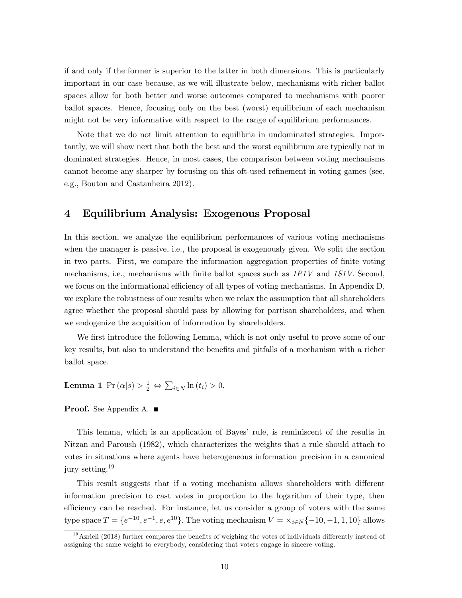if and only if the former is superior to the latter in both dimensions. This is particularly important in our case because, as we will illustrate below, mechanisms with richer ballot spaces allow for both better and worse outcomes compared to mechanisms with poorer ballot spaces. Hence, focusing only on the best (worst) equilibrium of each mechanism might not be very informative with respect to the range of equilibrium performances.

Note that we do not limit attention to equilibria in undominated strategies. Importantly, we will show next that both the best and the worst equilibrium are typically not in dominated strategies. Hence, in most cases, the comparison between voting mechanisms cannot become any sharper by focusing on this oft-used refinement in voting games (see, e.g., Bouton and Castanheira 2012).

## 4 Equilibrium Analysis: Exogenous Proposal

In this section, we analyze the equilibrium performances of various voting mechanisms when the manager is passive, i.e., the proposal is exogenously given. We split the section in two parts. First, we compare the information aggregation properties of finite voting mechanisms, i.e., mechanisms with finite ballot spaces such as  $1PIV$  and  $1SIV$ . Second, we focus on the informational efficiency of all types of voting mechanisms. In Appendix D, we explore the robustness of our results when we relax the assumption that all shareholders agree whether the proposal should pass by allowing for partisan shareholders, and when we endogenize the acquisition of information by shareholders.

We first introduce the following Lemma, which is not only useful to prove some of our key results, but also to understand the benefits and pitfalls of a mechanism with a richer ballot space.

**Lemma 1** 
$$
\Pr(\alpha|s) > \frac{1}{2} \Leftrightarrow \sum_{i \in N} \ln(t_i) > 0.
$$

### **Proof.** See Appendix A. ■

This lemma, which is an application of Bayesí rule, is reminiscent of the results in Nitzan and Paroush (1982), which characterizes the weights that a rule should attach to votes in situations where agents have heterogeneous information precision in a canonical jury setting.<sup>19</sup>

This result suggests that if a voting mechanism allows shareholders with different information precision to cast votes in proportion to the logarithm of their type, then efficiency can be reached. For instance, let us consider a group of voters with the same type space  $T = \{e^{-10}, e^{-1}, e, e^{10}\}$ . The voting mechanism  $V = \frac{\times_{i \in N} \{-10, -1, 1, 10\}}{2}$  allows

 $19$ Azrieli (2018) further compares the benefits of weighing the votes of individuals differently instead of assigning the same weight to everybody, considering that voters engage in sincere voting.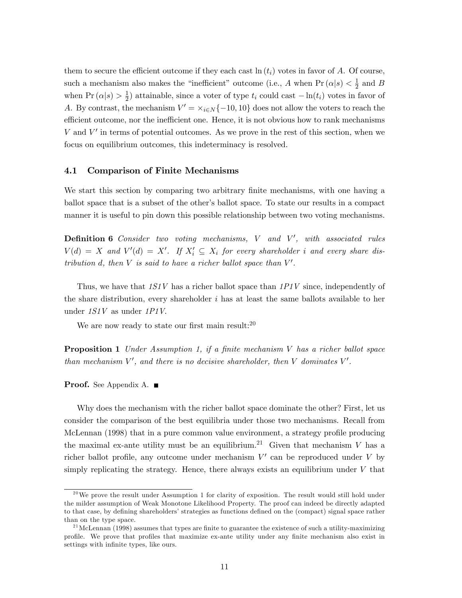them to secure the efficient outcome if they each cast  $\ln(t_i)$  votes in favor of A. Of course, such a mechanism also makes the "inefficient" outcome (i.e., A when  $Pr(\alpha|s) < \frac{1}{2}$  $\frac{1}{2}$  and B when  $\Pr(\alpha|s) > \frac{1}{2}$  $\frac{1}{2}$ ) attainable, since a voter of type  $t_i$  could cast  $-\ln(t_i)$  votes in favor of A. By contrast, the mechanism  $V' = \times_{i \in N} \{-10, 10\}$  does not allow the voters to reach the efficient outcome, nor the inefficient one. Hence, it is not obvious how to rank mechanisms  $V$  and  $V'$  in terms of potential outcomes. As we prove in the rest of this section, when we focus on equilibrium outcomes, this indeterminacy is resolved.

### 4.1 Comparison of Finite Mechanisms

We start this section by comparing two arbitrary finite mechanisms, with one having a ballot space that is a subset of the other's ballot space. To state our results in a compact manner it is useful to pin down this possible relationship between two voting mechanisms.

**Definition 6** Consider two voting mechanisms,  $V$  and  $V'$ , with associated rules  $V(d) = X$  and  $V'(d) = X'$ . If  $X'_i \subseteq X_i$  for every shareholder i and every share distribution d, then  $V$  is said to have a richer ballot space than  $V'$ .

Thus, we have that  $1S1V$  has a richer ballot space than  $1P1V$  since, independently of the share distribution, every shareholder  $i$  has at least the same ballots available to her under 1S1V as under 1P1V.

We are now ready to state our first main result: $20$ 

**Proposition 1** Under Assumption 1, if a finite mechanism  $V$  has a richer ballot space than mechanism  $V'$ , and there is no decisive shareholder, then V dominates  $V'$ .

**Proof.** See Appendix A. ■

Why does the mechanism with the richer ballot space dominate the other? First, let us consider the comparison of the best equilibria under those two mechanisms. Recall from McLennan (1998) that in a pure common value environment, a strategy profile producing the maximal ex-ante utility must be an equilibrium.<sup>21</sup> Given that mechanism V has a richer ballot profile, any outcome under mechanism  $V'$  can be reproduced under V by simply replicating the strategy. Hence, there always exists an equilibrium under  $V$  that

 $^{20}$ We prove the result under Assumption 1 for clarity of exposition. The result would still hold under the milder assumption of Weak Monotone Likelihood Property. The proof can indeed be directly adapted to that case, by defining shareholders' strategies as functions defined on the (compact) signal space rather than on the type space.

 $^{21}$ McLennan (1998) assumes that types are finite to guarantee the existence of such a utility-maximizing profile. We prove that profiles that maximize ex-ante utility under any finite mechanism also exist in settings with infinite types, like ours.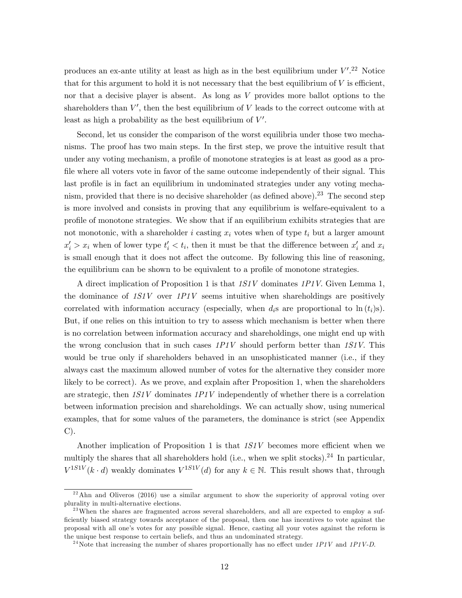produces an ex-ante utility at least as high as in the best equilibrium under  $V'.^{22}$  Notice that for this argument to hold it is not necessary that the best equilibrium of  $V$  is efficient, nor that a decisive player is absent. As long as V provides more ballot options to the shareholders than  $V'$ , then the best equilibrium of V leads to the correct outcome with at least as high a probability as the best equilibrium of  $V'$ .

Second, let us consider the comparison of the worst equilibria under those two mechanisms. The proof has two main steps. In the Örst step, we prove the intuitive result that under any voting mechanism, a profile of monotone strategies is at least as good as a profile where all voters vote in favor of the same outcome independently of their signal. This last profile is in fact an equilibrium in undominated strategies under any voting mechanism, provided that there is no decisive shareholder (as defined above).<sup>23</sup> The second step is more involved and consists in proving that any equilibrium is welfare-equivalent to a profile of monotone strategies. We show that if an equilibrium exhibits strategies that are not monotonic, with a shareholder i casting  $x_i$  votes when of type  $t_i$  but a larger amount  $x'_i > x_i$  when of lower type  $t'_i < t_i$ , then it must be that the difference between  $x'_i$  and  $x_i$ is small enough that it does not affect the outcome. By following this line of reasoning, the equilibrium can be shown to be equivalent to a profile of monotone strategies.

A direct implication of Proposition 1 is that 1S1V dominates 1P1V. Given Lemma 1, the dominance of  $1S1V$  over  $1PIV$  seems intuitive when shareholdings are positively correlated with information accuracy (especially, when  $d_i$ s are proportional to  $\ln(t_i)$ s). But, if one relies on this intuition to try to assess which mechanism is better when there is no correlation between information accuracy and shareholdings, one might end up with the wrong conclusion that in such cases  $1PIV$  should perform better than  $1SIV$ . This would be true only if shareholders behaved in an unsophisticated manner (i.e., if they always cast the maximum allowed number of votes for the alternative they consider more likely to be correct). As we prove, and explain after Proposition 1, when the shareholders are strategic, then  $1S1V$  dominates  $1P1V$  independently of whether there is a correlation between information precision and shareholdings. We can actually show, using numerical examples, that for some values of the parameters, the dominance is strict (see Appendix C).

Another implication of Proposition 1 is that  $1S1V$  becomes more efficient when we multiply the shares that all shareholders hold (i.e., when we split stocks).<sup>24</sup> In particular,  $V^{1S1V}(k \cdot d)$  weakly dominates  $V^{1S1V}(d)$  for any  $k \in \mathbb{N}$ . This result shows that, through

 $2<sup>22</sup>$ Ahn and Oliveros (2016) use a similar argument to show the superiority of approval voting over plurality in multi-alternative elections.

<sup>&</sup>lt;sup>23</sup>When the shares are fragmented across several shareholders, and all are expected to employ a sufficiently biased strategy towards acceptance of the proposal, then one has incentives to vote against the proposal with all one's votes for any possible signal. Hence, casting all your votes against the reform is the unique best response to certain beliefs, and thus an undominated strategy.

<sup>&</sup>lt;sup>24</sup>Note that increasing the number of shares proportionally has no effect under  $1P1V$  and  $1P1V-D$ .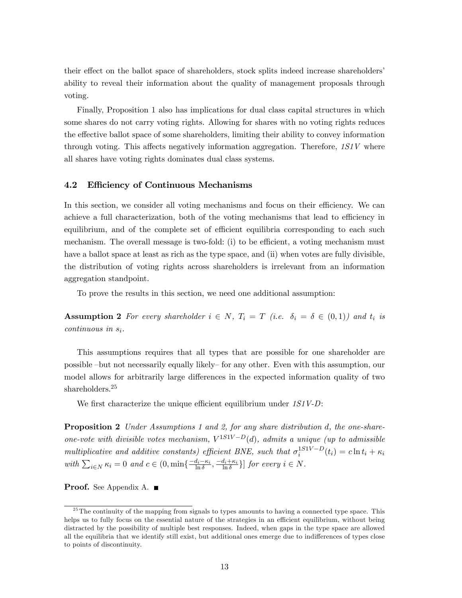their effect on the ballot space of shareholders, stock splits indeed increase shareholders' ability to reveal their information about the quality of management proposals through voting.

Finally, Proposition 1 also has implications for dual class capital structures in which some shares do not carry voting rights. Allowing for shares with no voting rights reduces the effective ballot space of some shareholders, limiting their ability to convey information through voting. This affects negatively information aggregation. Therefore,  $1S1V$  where all shares have voting rights dominates dual class systems.

### 4.2 Efficiency of Continuous Mechanisms

In this section, we consider all voting mechanisms and focus on their efficiency. We can achieve a full characterization, both of the voting mechanisms that lead to efficiency in equilibrium, and of the complete set of efficient equilibria corresponding to each such mechanism. The overall message is two-fold: (i) to be efficient, a voting mechanism must have a ballot space at least as rich as the type space, and (ii) when votes are fully divisible, the distribution of voting rights across shareholders is irrelevant from an information aggregation standpoint.

To prove the results in this section, we need one additional assumption:

**Assumption 2** For every shareholder  $i \in N$ ,  $T_i = T$  (i.e.  $\delta_i = \delta \in (0,1)$ ) and  $t_i$  is  $continuous$  in  $s_i$ .

This assumptions requires that all types that are possible for one shareholder are possible –but not necessarily equally likely– for any other. Even with this assumption, our model allows for arbitrarily large differences in the expected information quality of two shareholders.<sup>25</sup>

We first characterize the unique efficient equilibrium under  $1S1V-D$ :

**Proposition 2** Under Assumptions 1 and 2, for any share distribution d, the one-shareone-vote with divisible votes mechanism,  $V^{1S1V-D}(d)$ , admits a unique (up to admissible multiplicative and additive constants) efficient BNE, such that  $\sigma_i^{1S_1V-D}(t_i) = c \ln t_i + \kappa_i$ with  $\sum_{i \in N} \kappa_i = 0$  and  $c \in (0, \min\{\frac{-d_i - \kappa_i}{\ln \delta}, \frac{-d_i + \kappa_i}{\ln \delta}\}]$  for every  $i \in N$ .

Proof. See Appendix A. ■

 $25$ The continuity of the mapping from signals to types amounts to having a connected type space. This helps us to fully focus on the essential nature of the strategies in an efficient equilibrium, without being distracted by the possibility of multiple best responses. Indeed, when gaps in the type space are allowed all the equilibria that we identify still exist, but additional ones emerge due to indifferences of types close to points of discontinuity.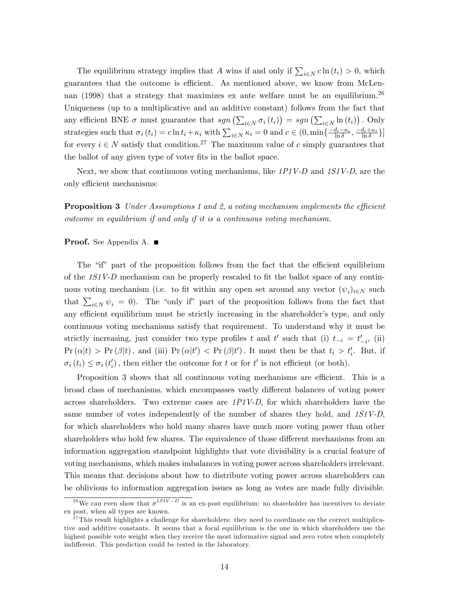The equilibrium strategy implies that A wins if and only if  $\sum_{i\in N} c \ln(t_i) > 0$ , which guarantees that the outcome is efficient. As mentioned above, we know from McLennan (1998) that a strategy that maximizes ex ante welfare must be an equilibrium.<sup>26</sup> Uniqueness (up to a multiplicative and an additive constant) follows from the fact that any efficient BNE  $\sigma$  must guarantee that  $sgn(\sum_{i\in N}\sigma_i(t_i)) = sgn(\sum_{i\in N}\ln(t_i))$ . Only strategies such that  $\sigma_i (t_i) = c \ln t_i + \kappa_i$  with  $\sum_{i \in N} \kappa_i = 0$  and  $c \in (0, \min\{\frac{-d_i - \kappa_i}{\ln \delta}, \frac{-d_i + \kappa_i}{\ln \delta}\}]$ for every  $i \in N$  satisfy that condition.<sup>27</sup> The maximum value of c simply guarantees that the ballot of any given type of voter fits in the ballot space.

Next, we show that continuous voting mechanisms, like  $1PIV-D$  and  $1SIV-D$ , are the only efficient mechanisms:

**Proposition 3** Under Assumptions 1 and 2, a voting mechanism implements the efficient outcome in equilibrium if and only if it is a continuous voting mechanism.

## Proof. See Appendix A. ■

The "if" part of the proposition follows from the fact that the efficient equilibrium of the  $1S1V-D$  mechanism can be properly rescaled to fit the ballot space of any continuous voting mechanism (i.e. to fit within any open set around any vector  $(\psi_i)_{i\in\mathbb{N}}$  such that  $\sum_{i\in\mathbb{N}}\psi_i = 0$ . The "only if" part of the proposition follows from the fact that any efficient equilibrium must be strictly increasing in the shareholder's type, and only continuous voting mechanisms satisfy that requirement. To understand why it must be strictly increasing, just consider two type profiles t and t' such that (i)  $t_{-i} = t'_{-i}$ , (ii)  $\Pr(\alpha|t) > \Pr(\beta|t)$ , and (iii)  $\Pr(\alpha|t') < \Pr(\beta|t')$ . It must then be that  $t_i > t'_i$ . But, if  $\sigma_i(t_i) \leq \sigma_i(t'_i)$ , then either the outcome for t or for t' is not efficient (or both).

Proposition 3 shows that all continuous voting mechanisms are efficient. This is a broad class of mechanisms, which encompasses vastly different balances of voting power across shareholders. Two extreme cases are  $1P1V-D$ , for which shareholders have the same number of votes independently of the number of shares they hold, and  $1S1V-D$ , for which shareholders who hold many shares have much more voting power than other shareholders who hold few shares. The equivalence of those different mechanisms from an information aggregation standpoint highlights that vote divisibility is a crucial feature of voting mechanisms, which makes imbalances in voting power across shareholders irrelevant. This means that decisions about how to distribute voting power across shareholders can be oblivious to information aggregation issues as long as votes are made fully divisible.

<sup>&</sup>lt;sup>26</sup>We can even show that  $\sigma^{1S_1V-D}$  is an ex-post equilibrium: no shareholder has incentives to deviate ex post, when all types are known.

 $^{27}$ This result highlights a challenge for shareholders: they need to coordinate on the correct multiplicative and additive constants. It seems that a focal equilibrium is the one in which shareholders use the highest possible vote weight when they receive the most informative signal and zero votes when completely indifferent. This prediction could be tested in the laboratory.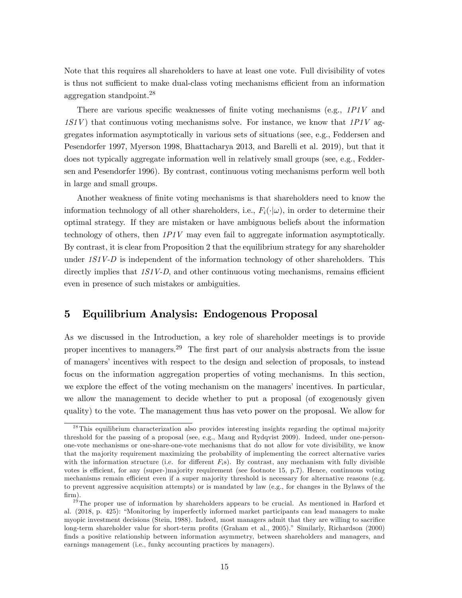Note that this requires all shareholders to have at least one vote. Full divisibility of votes is thus not sufficient to make dual-class voting mechanisms efficient from an information aggregation standpoint.<sup>28</sup>

There are various specific weaknesses of finite voting mechanisms (e.g.,  $1PIV$  and  $1S1V$ ) that continuous voting mechanisms solve. For instance, we know that  $1P1V$  aggregates information asymptotically in various sets of situations (see, e.g., Feddersen and Pesendorfer 1997, Myerson 1998, Bhattacharya 2013, and Barelli et al. 2019), but that it does not typically aggregate information well in relatively small groups (see, e.g., Feddersen and Pesendorfer 1996). By contrast, continuous voting mechanisms perform well both in large and small groups.

Another weakness of finite voting mechanisms is that shareholders need to know the information technology of all other shareholders, i.e.,  $F_i(\cdot|\omega)$ , in order to determine their optimal strategy. If they are mistaken or have ambiguous beliefs about the information technology of others, then  $1PIV$  may even fail to aggregate information asymptotically. By contrast, it is clear from Proposition 2 that the equilibrium strategy for any shareholder under  $1S1V-D$  is independent of the information technology of other shareholders. This directly implies that  $1SJV-D$ , and other continuous voting mechanisms, remains efficient even in presence of such mistakes or ambiguities.

## 5 Equilibrium Analysis: Endogenous Proposal

As we discussed in the Introduction, a key role of shareholder meetings is to provide proper incentives to managers.<sup>29</sup> The first part of our analysis abstracts from the issue of managers' incentives with respect to the design and selection of proposals, to instead focus on the information aggregation properties of voting mechanisms. In this section, we explore the effect of the voting mechanism on the managers' incentives. In particular, we allow the management to decide whether to put a proposal (of exogenously given quality) to the vote. The management thus has veto power on the proposal. We allow for

<sup>&</sup>lt;sup>28</sup>This equilibrium characterization also provides interesting insights regarding the optimal majority threshold for the passing of a proposal (see, e.g., Maug and Rydqvist 2009). Indeed, under one-personone-vote mechanisms or one-share-one-vote mechanisms that do not allow for vote divisibility, we know that the majority requirement maximizing the probability of implementing the correct alternative varies with the information structure (i.e. for different  $F_i$ s). By contrast, any mechanism with fully divisible votes is efficient, for any (super-)majority requirement (see footnote 15, p.7). Hence, continuous voting mechanisms remain efficient even if a super majority threshold is necessary for alternative reasons (e.g. to prevent aggressive acquisition attempts) or is mandated by law (e.g., for changes in the Bylaws of the firm).

<sup>&</sup>lt;sup>29</sup>The proper use of information by shareholders appears to be crucial. As mentioned in Harford et al. (2018, p. 425): "Monitoring by imperfectly informed market participants can lead managers to make myopic investment decisions (Stein, 1988). Indeed, most managers admit that they are willing to sacrifice long-term shareholder value for short-term profits (Graham et al., 2005)." Similarly, Richardson (2000) finds a positive relationship between information asymmetry, between shareholders and managers, and earnings management (i.e., funky accounting practices by managers).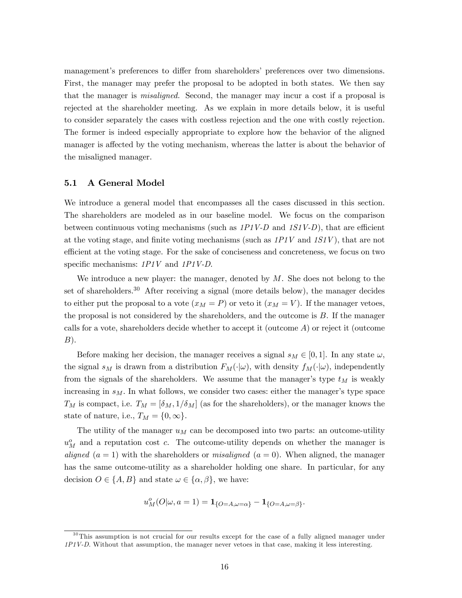management's preferences to differ from shareholders' preferences over two dimensions. First, the manager may prefer the proposal to be adopted in both states. We then say that the manager is misaligned. Second, the manager may incur a cost if a proposal is rejected at the shareholder meeting. As we explain in more details below, it is useful to consider separately the cases with costless rejection and the one with costly rejection. The former is indeed especially appropriate to explore how the behavior of the aligned manager is affected by the voting mechanism, whereas the latter is about the behavior of the misaligned manager.

### 5.1 A General Model

We introduce a general model that encompasses all the cases discussed in this section. The shareholders are modeled as in our baseline model. We focus on the comparison between continuous voting mechanisms (such as  $1PIV-D$  and  $1SIV-D$ ), that are efficient at the voting stage, and finite voting mechanisms (such as  $1PIV$  and  $1SIV$ ), that are not efficient at the voting stage. For the sake of conciseness and concreteness, we focus on two specific mechanisms:  $1P1V$  and  $1P1V-D$ .

We introduce a new player: the manager, denoted by  $M$ . She does not belong to the set of shareholders.<sup>30</sup> After receiving a signal (more details below), the manager decides to either put the proposal to a vote  $(x_M = P)$  or veto it  $(x_M = V)$ . If the manager vetoes, the proposal is not considered by the shareholders, and the outcome is B. If the manager calls for a vote, shareholders decide whether to accept it (outcome  $A$ ) or reject it (outcome  $B$ ).

Before making her decision, the manager receives a signal  $s_M \in [0, 1]$ . In any state  $\omega$ , the signal  $s_M$  is drawn from a distribution  $F_M(\cdot|\omega)$ , with density  $f_M(\cdot|\omega)$ , independently from the signals of the shareholders. We assume that the manager's type  $t_M$  is weakly increasing in  $s_M$ . In what follows, we consider two cases: either the manager's type space  $T_M$  is compact, i.e.  $T_M = [\delta_M, 1/\delta_M]$  (as for the shareholders), or the manager knows the state of nature, i.e.,  $T_M = \{0,\infty\}.$ 

The utility of the manager  $u_M$  can be decomposed into two parts: an outcome-utility  $u_M^o$  and a reputation cost c. The outcome-utility depends on whether the manager is aligned  $(a = 1)$  with the shareholders or *misaligned*  $(a = 0)$ . When aligned, the manager has the same outcome-utility as a shareholder holding one share. In particular, for any decision  $O \in \{A, B\}$  and state  $\omega \in \{\alpha, \beta\}$ , we have:

$$
u_M^o(O|\omega, a=1) = \mathbf{1}_{\{O=A, \omega=\alpha\}} - \mathbf{1}_{\{O=A, \omega=\beta\}}.
$$

<sup>&</sup>lt;sup>30</sup>This assumption is not crucial for our results except for the case of a fully aligned manager under 1P1V-D. Without that assumption, the manager never vetoes in that case, making it less interesting.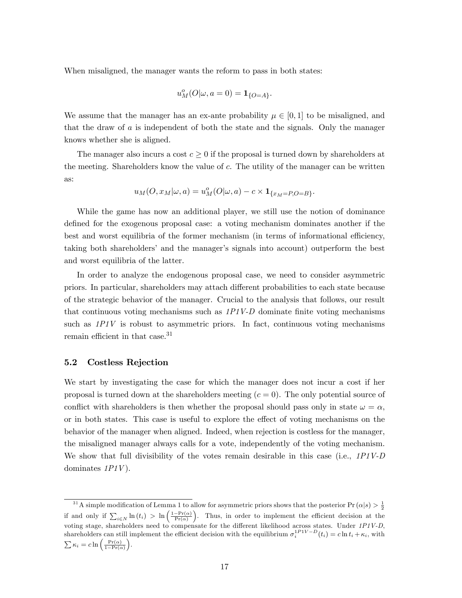When misaligned, the manager wants the reform to pass in both states:

$$
u_M^o(O|\omega, a=0) = \mathbf{1}_{\{O=A\}}.
$$

We assume that the manager has an ex-ante probability  $\mu \in [0, 1]$  to be misaligned, and that the draw of a is independent of both the state and the signals. Only the manager knows whether she is aligned.

The manager also incurs a cost  $c \geq 0$  if the proposal is turned down by shareholders at the meeting. Shareholders know the value of c. The utility of the manager can be written as:

$$
u_M(O, x_M|\omega, a) = u_M^o(O|\omega, a) - c \times \mathbf{1}_{\{x_M = P, O = B\}}.
$$

While the game has now an additional player, we still use the notion of dominance defined for the exogenous proposal case: a voting mechanism dominates another if the best and worst equilibria of the former mechanism (in terms of informational efficiency, taking both shareholders' and the manager's signals into account) outperform the best and worst equilibria of the latter.

In order to analyze the endogenous proposal case, we need to consider asymmetric priors. In particular, shareholders may attach di§erent probabilities to each state because of the strategic behavior of the manager. Crucial to the analysis that follows, our result that continuous voting mechanisms such as  $1P1V-D$  dominate finite voting mechanisms such as  $1PIV$  is robust to asymmetric priors. In fact, continuous voting mechanisms remain efficient in that case. $31$ 

### 5.2 Costless Rejection

We start by investigating the case for which the manager does not incur a cost if her proposal is turned down at the shareholders meeting  $(c = 0)$ . The only potential source of conflict with shareholders is then whether the proposal should pass only in state  $\omega = \alpha$ , or in both states. This case is useful to explore the effect of voting mechanisms on the behavior of the manager when aligned. Indeed, when rejection is costless for the manager, the misaligned manager always calls for a vote, independently of the voting mechanism. We show that full divisibility of the votes remain desirable in this case (i.e., 1P1V-D dominates  $1PIV$ ).

<sup>&</sup>lt;sup>31</sup>A simple modification of Lemma 1 to allow for asymmetric priors shows that the posterior  $Pr(\alpha|s) > \frac{1}{2}$ if and only if  $\sum_{i\in N} \ln(t_i) > \ln\left(\frac{1-\Pr(\alpha)}{\Pr(\alpha)}\right)$ . Thus, in order to implement the efficient decision at the voting stage, shareholders need to compensate for the different likelihood across states. Under  $1PIV-D$ , shareholders can still implement the efficient decision with the equilibrium  $\sigma_i^{1PIV-D}(t_i) = c \ln t_i + \kappa_i$ , with  $\sum \kappa_i = c \ln \left( \frac{\Pr(\alpha)}{1 - \Pr(\alpha)} \right)$ .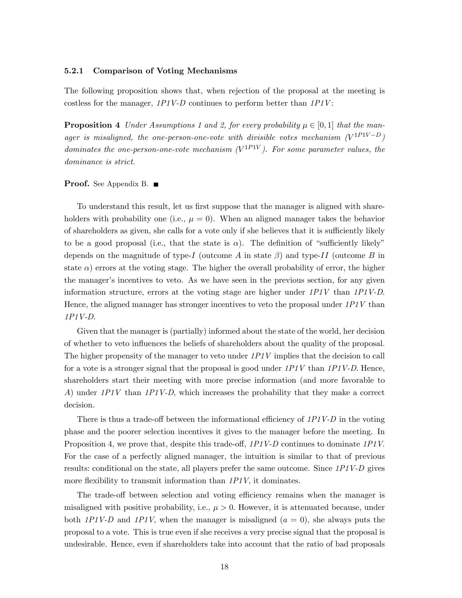#### 5.2.1 Comparison of Voting Mechanisms

The following proposition shows that, when rejection of the proposal at the meeting is costless for the manager,  $1PIV-D$  continues to perform better than  $1PIV$ :

**Proposition 4** Under Assumptions 1 and 2, for every probability  $\mu \in [0, 1]$  that the manager is misaligned, the one-person-one-vote with divisible votes mechanism  $(V^{1P1V-D})$ dominates the one-person-one-vote mechanism  $(V^{1P1V})$ . For some parameter values, the dominance is strict.

#### **Proof.** See Appendix B. ■

To understand this result, let us first suppose that the manager is aligned with shareholders with probability one (i.e.,  $\mu = 0$ ). When an aligned manager takes the behavior of shareholders as given, she calls for a vote only if she believes that it is sufficiently likely to be a good proposal (i.e., that the state is  $\alpha$ ). The definition of "sufficiently likely" depends on the magnitude of type-I (outcome A in state  $\beta$ ) and type-II (outcome B in state  $\alpha$ ) errors at the voting stage. The higher the overall probability of error, the higher the manager's incentives to veto. As we have seen in the previous section, for any given information structure, errors at the voting stage are higher under  $1PIV$  than  $1PIV$ -D. Hence, the aligned manager has stronger incentives to veto the proposal under  $1PIV$  than 1P1V-D.

Given that the manager is (partially) informed about the state of the world, her decision of whether to veto ináuences the beliefs of shareholders about the quality of the proposal. The higher propensity of the manager to veto under  $1PIV$  implies that the decision to call for a vote is a stronger signal that the proposal is good under  $1P1V$  than  $1P1V-D$ . Hence, shareholders start their meeting with more precise information (and more favorable to A) under  $1PIV$  than  $1PIV-D$ , which increases the probability that they make a correct decision.

There is thus a trade-off between the informational efficiency of  $1PIV-D$  in the voting phase and the poorer selection incentives it gives to the manager before the meeting. In Proposition 4, we prove that, despite this trade-off,  $1PIV-D$  continues to dominate  $1PIV$ . For the case of a perfectly aligned manager, the intuition is similar to that of previous results: conditional on the state, all players prefer the same outcome. Since 1P1V-D gives more flexibility to transmit information than  $1PIV$ , it dominates.

The trade-off between selection and voting efficiency remains when the manager is misaligned with positive probability, i.e.,  $\mu > 0$ . However, it is attenuated because, under both 1P1V-D and 1P1V, when the manager is misaligned  $(a = 0)$ , she always puts the proposal to a vote. This is true even if she receives a very precise signal that the proposal is undesirable. Hence, even if shareholders take into account that the ratio of bad proposals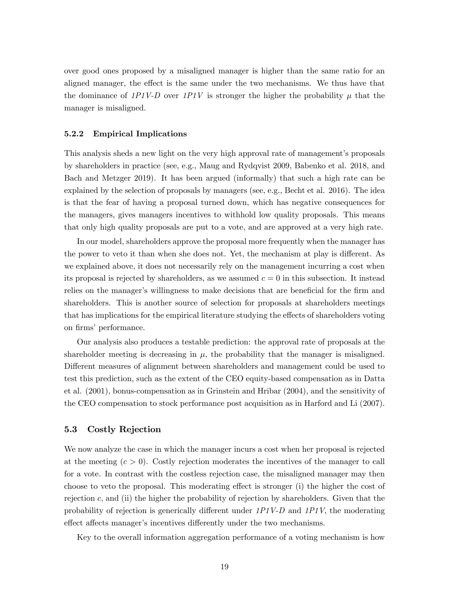over good ones proposed by a misaligned manager is higher than the same ratio for an aligned manager, the effect is the same under the two mechanisms. We thus have that the dominance of 1P1V-D over 1P1V is stronger the higher the probability  $\mu$  that the manager is misaligned.

#### 5.2.2 Empirical Implications

This analysis sheds a new light on the very high approval rate of management's proposals by shareholders in practice (see, e.g., Maug and Rydqvist 2009, Babenko et al. 2018, and Bach and Metzger 2019). It has been argued (informally) that such a high rate can be explained by the selection of proposals by managers (see, e.g., Becht et al. 2016). The idea is that the fear of having a proposal turned down, which has negative consequences for the managers, gives managers incentives to withhold low quality proposals. This means that only high quality proposals are put to a vote, and are approved at a very high rate.

In our model, shareholders approve the proposal more frequently when the manager has the power to veto it than when she does not. Yet, the mechanism at play is different. As we explained above, it does not necessarily rely on the management incurring a cost when its proposal is rejected by shareholders, as we assumed  $c = 0$  in this subsection. It instead relies on the manager's willingness to make decisions that are beneficial for the firm and shareholders. This is another source of selection for proposals at shareholders meetings that has implications for the empirical literature studying the effects of shareholders voting on firms' performance.

Our analysis also produces a testable prediction: the approval rate of proposals at the shareholder meeting is decreasing in  $\mu$ , the probability that the manager is misaligned. Different measures of alignment between shareholders and management could be used to test this prediction, such as the extent of the CEO equity-based compensation as in Datta et al. (2001), bonus-compensation as in Grinstein and Hribar (2004), and the sensitivity of the CEO compensation to stock performance post acquisition as in Harford and Li (2007).

### 5.3 Costly Rejection

We now analyze the case in which the manager incurs a cost when her proposal is rejected at the meeting  $(c > 0)$ . Costly rejection moderates the incentives of the manager to call for a vote. In contrast with the costless rejection case, the misaligned manager may then choose to veto the proposal. This moderating effect is stronger (i) the higher the cost of rejection  $c$ , and (ii) the higher the probability of rejection by shareholders. Given that the probability of rejection is generically different under  $1P1V-D$  and  $1P1V$ , the moderating effect affects manager's incentives differently under the two mechanisms.

Key to the overall information aggregation performance of a voting mechanism is how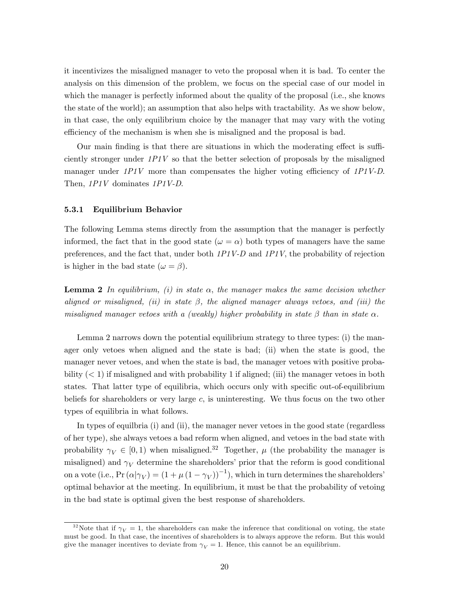it incentivizes the misaligned manager to veto the proposal when it is bad. To center the analysis on this dimension of the problem, we focus on the special case of our model in which the manager is perfectly informed about the quality of the proposal (i.e., she knows the state of the world); an assumption that also helps with tractability. As we show below, in that case, the only equilibrium choice by the manager that may vary with the voting efficiency of the mechanism is when she is misaligned and the proposal is bad.

Our main finding is that there are situations in which the moderating effect is sufficiently stronger under  $1PIV$  so that the better selection of proposals by the misaligned manager under  $1PIV$  more than compensates the higher voting efficiency of  $1PIV-D$ . Then,  $1PIV$  dominates  $1PIV$ -D.

### 5.3.1 Equilibrium Behavior

The following Lemma stems directly from the assumption that the manager is perfectly informed, the fact that in the good state  $(\omega = \alpha)$  both types of managers have the same preferences, and the fact that, under both 1P1V-D and 1P1V, the probability of rejection is higher in the bad state  $(\omega = \beta)$ .

**Lemma 2** In equilibrium, (i) in state  $\alpha$ , the manager makes the same decision whether aligned or misaligned, (ii) in state  $\beta$ , the aligned manager always vetoes, and (iii) the misaligned manager vetoes with a (weakly) higher probability in state  $\beta$  than in state  $\alpha$ .

Lemma 2 narrows down the potential equilibrium strategy to three types: (i) the manager only vetoes when aligned and the state is bad; (ii) when the state is good, the manager never vetoes, and when the state is bad, the manager vetoes with positive probability  $(< 1$ ) if misaligned and with probability 1 if aligned; (iii) the manager vetoes in both states. That latter type of equilibria, which occurs only with specific out-of-equilibrium beliefs for shareholders or very large  $c$ , is uninteresting. We thus focus on the two other types of equilibria in what follows.

In types of equilbria (i) and (ii), the manager never vetoes in the good state (regardless of her type), she always vetoes a bad reform when aligned, and vetoes in the bad state with probability  $\gamma_V \in [0, 1)$  when misaligned.<sup>32</sup> Together,  $\mu$  (the probability the manager is misaligned) and  $\gamma_V$  determine the shareholders' prior that the reform is good conditional on a vote (i.e.,  $Pr(\alpha|\gamma_V) = (1 + \mu(1 - \gamma_V))^{-1}$ ), which in turn determines the shareholders' optimal behavior at the meeting. In equilibrium, it must be that the probability of vetoing in the bad state is optimal given the best response of shareholders.

<sup>&</sup>lt;sup>32</sup>Note that if  $\gamma_V = 1$ , the shareholders can make the inference that conditional on voting, the state must be good. In that case, the incentives of shareholders is to always approve the reform. But this would give the manager incentives to deviate from  $\gamma_V = 1$ . Hence, this cannot be an equilibrium.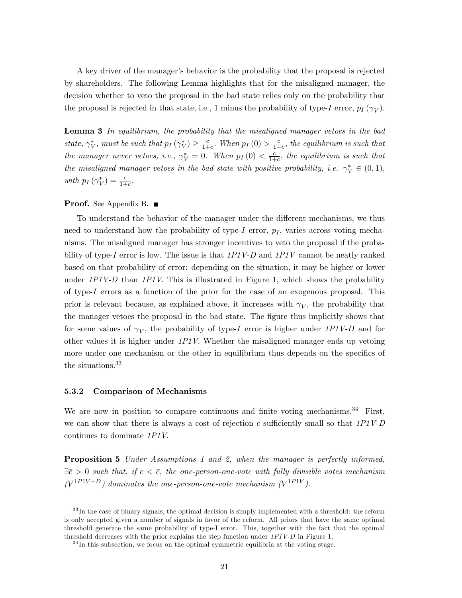A key driver of the manager's behavior is the probability that the proposal is rejected by shareholders. The following Lemma highlights that for the misaligned manager, the decision whether to veto the proposal in the bad state relies only on the probability that the proposal is rejected in that state, i.e., 1 minus the probability of type-I error,  $p_I(\gamma_V)$ .

**Lemma 3** In equilibrium, the probability that the misaligned manager vetoes in the bad state,  $\gamma_V^*$ , must be such that  $p_I(\gamma_V^*) \geq \frac{c}{1+1}$  $\frac{c}{1+c}$ . When  $p_I(0) > \frac{c}{1+c}$  $\frac{c}{1+c}$ , the equilibrium is such that the manager never vetoes, i.e.,  $\gamma_V^* = 0$ . When  $p_I(0) < \frac{c}{1+h}$  $\frac{c}{1+c}$ , the equilibrium is such that the misaligned manager vetoes in the bad state with positive probability, i.e.  $\gamma_V^* \in (0,1)$ , with  $p_I(\gamma_V^*) = \frac{c}{1+c}$ .

## **Proof.** See Appendix B. ■

To understand the behavior of the manager under the different mechanisms, we thus need to understand how the probability of type-I error,  $p_I$ , varies across voting mechanisms. The misaligned manager has stronger incentives to veto the proposal if the probability of type-I error is low. The issue is that  $1PIV-D$  and  $1PIV$  cannot be neatly ranked based on that probability of error: depending on the situation, it may be higher or lower under  $1PIV-D$  than  $1PIV$ . This is illustrated in Figure 1, which shows the probability of type-I errors as a function of the prior for the case of an exogenous proposal. This prior is relevant because, as explained above, it increases with  $\gamma_V$ , the probability that the manager vetoes the proposal in the bad state. The figure thus implicitly shows that for some values of  $\gamma_V$ , the probability of type-I error is higher under  $1P1V$ -D and for other values it is higher under  $1PIV$ . Whether the misaligned manager ends up vetoing more under one mechanism or the other in equilibrium thus depends on the specifics of the situations.<sup>33</sup>

#### 5.3.2 Comparison of Mechanisms

We are now in position to compare continuous and finite voting mechanisms.<sup>34</sup> First, we can show that there is always a cost of rejection  $c$  sufficiently small so that  $1P1V-D$ continues to dominate 1P1V.

**Proposition 5** Under Assumptions 1 and 2, when the manager is perfectly informed,  $\exists \bar{c} > 0$  such that, if  $c < \bar{c}$ , the one-person-one-vote with fully divisible votes mechanism  $(V^{1P1V-D})$  dominates the one-person-one-vote mechanism  $(V^{1P1V})$ .

 $33$  In the case of binary signals, the optimal decision is simply implemented with a threshold: the reform is only accepted given a number of signals in favor of the reform. All priors that have the same optimal threshold generate the same probability of type-I error. This, together with the fact that the optimal threshold decreases with the prior explains the step function under  $1PIV-D$  in Figure 1.

 $34$ In this subsection, we focus on the optimal symmetric equilibria at the voting stage.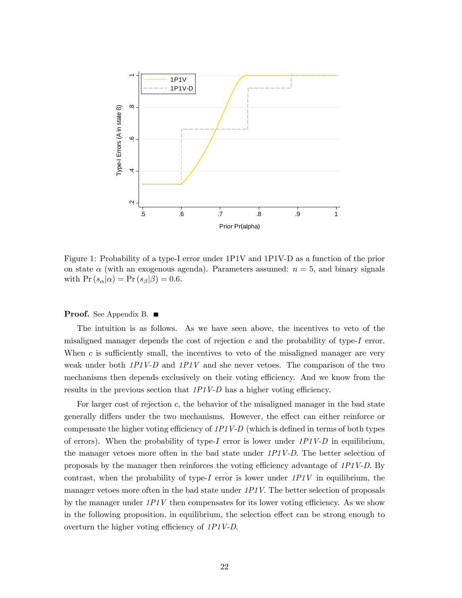

Figure 1: Probability of a type-I error under 1P1V and 1P1V-D as a function of the prior on state  $\alpha$  (with an exogenous agenda). Parameters assumed:  $n = 5$ , and binary signals with  $\Pr(s_{\alpha}|\alpha) = \Pr(s_{\beta}|\beta) = 0.6$ .

**Proof.** See Appendix B. ■

The intuition is as follows. As we have seen above, the incentives to veto of the misaligned manager depends the cost of rejection  $c$  and the probability of type- $I$  error. When  $c$  is sufficiently small, the incentives to veto of the misaligned manager are very weak under both  $1PIV-D$  and  $1PIV$  and she never vetoes. The comparison of the two mechanisms then depends exclusively on their voting efficiency. And we know from the results in the previous section that  $1PIV-D$  has a higher voting efficiency.

For larger cost of rejection  $c$ , the behavior of the misaligned manager in the bad state generally differs under the two mechanisms. However, the effect can either reinforce or compensate the higher voting efficiency of  $1PIV-D$  (which is defined in terms of both types of errors). When the probability of type-I error is lower under  $1P1V-D$  in equilibrium, the manager vetoes more often in the bad state under 1P1V-D. The better selection of proposals by the manager then reinforces the voting efficiency advantage of  $1PIV-D$ . By contrast, when the probability of type-I error is lower under  $1PIV$  in equilibrium, the manager vetoes more often in the bad state under 1P1V. The better selection of proposals by the manager under  $1PIV$  then compensates for its lower voting efficiency. As we show in the following proposition, in equilibrium, the selection effect can be strong enough to overturn the higher voting efficiency of  $1P1V-D$ .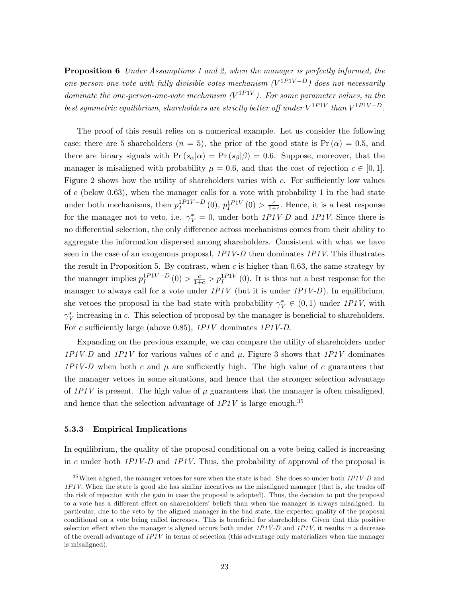**Proposition 6** Under Assumptions 1 and 2, when the manager is perfectly informed, the one-person-one-vote with fully divisible votes mechanism  $(V^{1P1V-D})$  does not necessarily dominate the one-person-one-vote mechanism  $(V^{1PIV})$ . For some parameter values, in the best symmetric equilibrium, shareholders are strictly better off under  $V^{1P1V}$  than  $V^{1P1V-D}$ .

The proof of this result relies on a numerical example. Let us consider the following case: there are 5 shareholders ( $n = 5$ ), the prior of the good state is  $Pr(\alpha) = 0.5$ , and there are binary signals with  $Pr(s_{\alpha}|\alpha) = Pr(s_{\beta}|\beta) = 0.6$ . Suppose, moreover, that the manager is misaligned with probability  $\mu = 0.6$ , and that the cost of rejection  $c \in [0, 1]$ . Figure 2 shows how the utility of shareholders varies with  $c$ . For sufficiently low values of c (below 0.63), when the manager calls for a vote with probability 1 in the bad state under both mechanisms, then  $p_I^{1P1V-D}(0)$ ,  $p_I^{1P1V}(0) > \frac{c}{1+1}$  $\frac{c}{1+c}$ . Hence, it is a best response for the manager not to veto, i.e.  $\gamma_V^* = 0$ , under both  $1PIV \cdot D$  and  $1PIV$ . Since there is no differential selection, the only difference across mechanisms comes from their ability to aggregate the information dispersed among shareholders. Consistent with what we have seen in the case of an exogenous proposal,  $1PIV-D$  then dominates  $1PIV$ . This illustrates the result in Proposition 5. By contrast, when  $c$  is higher than 0.63, the same strategy by the manager implies  $p_I^{1PIV-D}(0) > \frac{c}{1+c} > p_I^{1PIV}(0)$ . It is thus not a best response for the manager to always call for a vote under  $1PIV$  (but it is under  $1PIV-D$ ). In equilibrium, she vetoes the proposal in the bad state with probability  $\gamma_V^* \in (0,1)$  under  $1PIV$ , with  $\gamma_V^*$  increasing in c. This selection of proposal by the manager is beneficial to shareholders. For c sufficiently large (above 0.85),  $1PIV$  dominates  $1PIV-D$ .

Expanding on the previous example, we can compare the utility of shareholders under 1P1V-D and 1P1V for various values of c and  $\mu$ . Figure 3 shows that 1P1V dominates 1P1V-D when both c and  $\mu$  are sufficiently high. The high value of c guarantees that the manager vetoes in some situations, and hence that the stronger selection advantage of  $1PIV$  is present. The high value of  $\mu$  guarantees that the manager is often misaligned, and hence that the selection advantage of  $1PIV$  is large enough.<sup>35</sup>

#### 5.3.3 Empirical Implications

In equilibrium, the quality of the proposal conditional on a vote being called is increasing in c under both  $1PIV-D$  and  $1PIV$ . Thus, the probability of approval of the proposal is

 $35$  When aligned, the manager vetoes for sure when the state is bad. She does so under both  $1PIV-D$  and  $1PIV$ . When the state is good she has similar incentives as the misaligned manager (that is, she trades of the risk of rejection with the gain in case the proposal is adopted). Thus, the decision to put the proposal to a vote has a different effect on shareholders' beliefs than when the manager is always misaligned. In particular, due to the veto by the aligned manager in the bad state, the expected quality of the proposal conditional on a vote being called increases. This is beneficial for shareholders. Given that this positive selection effect when the manager is aligned occurs both under  $1PIV-D$  and  $1PIV$ , it results in a decrease of the overall advantage of  $1PIV$  in terms of selection (this advantage only materializes when the manager is misaligned).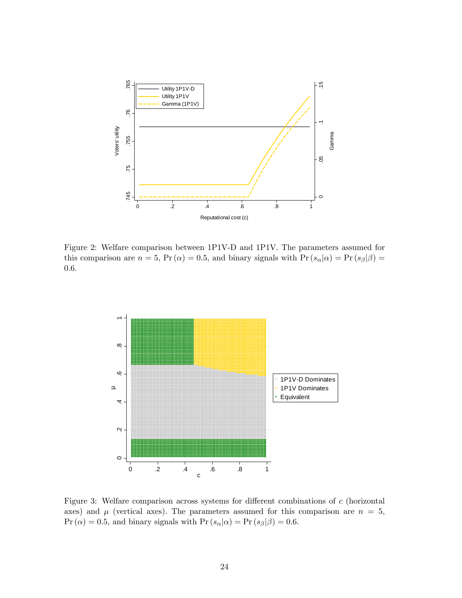

Figure 2: Welfare comparison between 1P1V-D and 1P1V. The parameters assumed for this comparison are  $n = 5$ ,  $Pr(\alpha) = 0.5$ , and binary signals with  $Pr(s_{\alpha}|\alpha) = Pr(s_{\beta}|\beta) =$ 0:6.



Figure 3: Welfare comparison across systems for different combinations of  $c$  (horizontal axes) and  $\mu$  (vertical axes). The parameters assumed for this comparison are  $n = 5$ ,  $\Pr(\alpha) = 0.5$ , and binary signals with  $\Pr(s_{\alpha}|\alpha) = \Pr(s_{\beta}|\beta) = 0.6$ .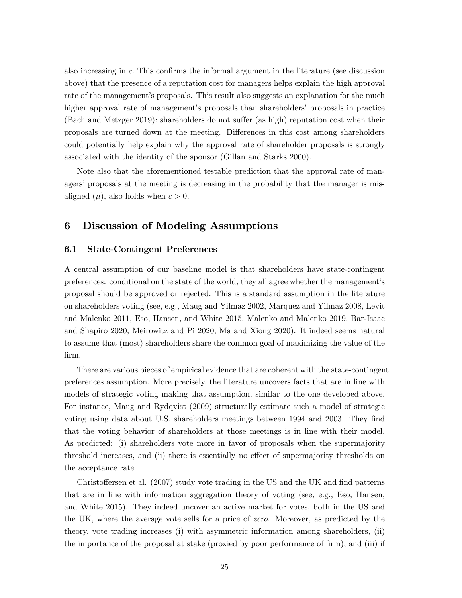also increasing in  $c$ . This confirms the informal argument in the literature (see discussion above) that the presence of a reputation cost for managers helps explain the high approval rate of the management's proposals. This result also suggests an explanation for the much higher approval rate of management's proposals than shareholders' proposals in practice  $(Bach and Metzger 2019)$ : shareholders do not suffer  $(as high)$  reputation cost when their proposals are turned down at the meeting. Differences in this cost among shareholders could potentially help explain why the approval rate of shareholder proposals is strongly associated with the identity of the sponsor (Gillan and Starks 2000).

Note also that the aforementioned testable prediction that the approval rate of managers' proposals at the meeting is decreasing in the probability that the manager is misaligned  $(\mu)$ , also holds when  $c > 0$ .

## 6 Discussion of Modeling Assumptions

### 6.1 State-Contingent Preferences

A central assumption of our baseline model is that shareholders have state-contingent preferences: conditional on the state of the world, they all agree whether the management's proposal should be approved or rejected. This is a standard assumption in the literature on shareholders voting (see, e.g., Maug and Yilmaz 2002, Marquez and Yilmaz 2008, Levit and Malenko 2011, Eso, Hansen, and White 2015, Malenko and Malenko 2019, Bar-Isaac and Shapiro 2020, Meirowitz and Pi 2020, Ma and Xiong 2020). It indeed seems natural to assume that (most) shareholders share the common goal of maximizing the value of the Örm.

There are various pieces of empirical evidence that are coherent with the state-contingent preferences assumption. More precisely, the literature uncovers facts that are in line with models of strategic voting making that assumption, similar to the one developed above. For instance, Maug and Rydqvist (2009) structurally estimate such a model of strategic voting using data about U.S. shareholders meetings between 1994 and 2003. They find that the voting behavior of shareholders at those meetings is in line with their model. As predicted: (i) shareholders vote more in favor of proposals when the supermajority threshold increases, and (ii) there is essentially no effect of supermajority thresholds on the acceptance rate.

Christoffersen et al.  $(2007)$  study vote trading in the US and the UK and find patterns that are in line with information aggregation theory of voting (see, e.g., Eso, Hansen, and White 2015). They indeed uncover an active market for votes, both in the US and the UK, where the average vote sells for a price of zero. Moreover, as predicted by the theory, vote trading increases (i) with asymmetric information among shareholders, (ii) the importance of the proposal at stake (proxied by poor performance of firm), and (iii) if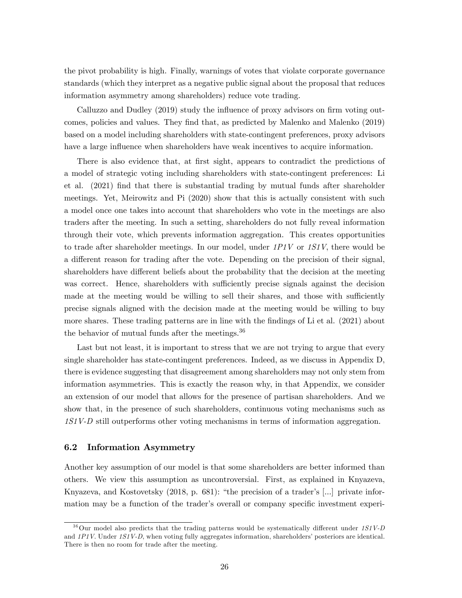the pivot probability is high. Finally, warnings of votes that violate corporate governance standards (which they interpret as a negative public signal about the proposal that reduces information asymmetry among shareholders) reduce vote trading.

Calluzzo and Dudley  $(2019)$  study the influence of proxy advisors on firm voting outcomes, policies and values. They find that, as predicted by Malenko and Malenko (2019) based on a model including shareholders with state-contingent preferences, proxy advisors have a large influence when shareholders have weak incentives to acquire information.

There is also evidence that, at first sight, appears to contradict the predictions of a model of strategic voting including shareholders with state-contingent preferences: Li et al. (2021) Önd that there is substantial trading by mutual funds after shareholder meetings. Yet, Meirowitz and Pi (2020) show that this is actually consistent with such a model once one takes into account that shareholders who vote in the meetings are also traders after the meeting. In such a setting, shareholders do not fully reveal information through their vote, which prevents information aggregation. This creates opportunities to trade after shareholder meetings. In our model, under 1P1V or 1S1V, there would be a different reason for trading after the vote. Depending on the precision of their signal, shareholders have different beliefs about the probability that the decision at the meeting was correct. Hence, shareholders with sufficiently precise signals against the decision made at the meeting would be willing to sell their shares, and those with sufficiently precise signals aligned with the decision made at the meeting would be willing to buy more shares. These trading patterns are in line with the Öndings of Li et al. (2021) about the behavior of mutual funds after the meetings.  $36$ 

Last but not least, it is important to stress that we are not trying to argue that every single shareholder has state-contingent preferences. Indeed, as we discuss in Appendix D, there is evidence suggesting that disagreement among shareholders may not only stem from information asymmetries. This is exactly the reason why, in that Appendix, we consider an extension of our model that allows for the presence of partisan shareholders. And we show that, in the presence of such shareholders, continuous voting mechanisms such as 1S1V-D still outperforms other voting mechanisms in terms of information aggregation.

### 6.2 Information Asymmetry

Another key assumption of our model is that some shareholders are better informed than others. We view this assumption as uncontroversial. First, as explained in Knyazeva, Knyazeva, and Kostovetsky  $(2018, p. 681)$ : "the precision of a trader's [...] private information may be a function of the trader's overall or company specific investment experi-

 $36$ Our model also predicts that the trading patterns would be systematically different under  $1S1V-D$ and  $1PIV$ . Under  $1SIV-D$ , when voting fully aggregates information, shareholders' posteriors are identical. There is then no room for trade after the meeting.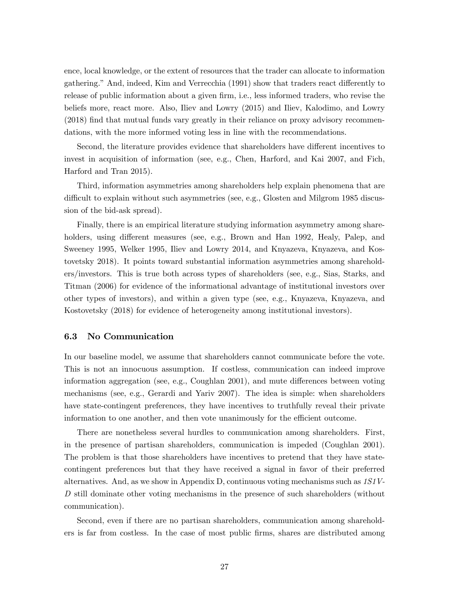ence, local knowledge, or the extent of resources that the trader can allocate to information gathering." And, indeed, Kim and Verrecchia (1991) show that traders react differently to release of public information about a given firm, i.e., less informed traders, who revise the beliefs more, react more. Also, Iliev and Lowry (2015) and Iliev, Kalodimo, and Lowry (2018) find that mutual funds vary greatly in their reliance on proxy advisory recommendations, with the more informed voting less in line with the recommendations.

Second, the literature provides evidence that shareholders have different incentives to invest in acquisition of information (see, e.g., Chen, Harford, and Kai 2007, and Fich, Harford and Tran 2015).

Third, information asymmetries among shareholders help explain phenomena that are difficult to explain without such asymmetries (see, e.g., Glosten and Milgrom 1985 discussion of the bid-ask spread).

Finally, there is an empirical literature studying information asymmetry among shareholders, using different measures (see, e.g., Brown and Han 1992, Healy, Palep, and Sweeney 1995, Welker 1995, Iliev and Lowry 2014, and Knyazeva, Knyazeva, and Kostovetsky 2018). It points toward substantial information asymmetries among shareholders/investors. This is true both across types of shareholders (see, e.g., Sias, Starks, and Titman (2006) for evidence of the informational advantage of institutional investors over other types of investors), and within a given type (see, e.g., Knyazeva, Knyazeva, and Kostovetsky (2018) for evidence of heterogeneity among institutional investors).

### 6.3 No Communication

In our baseline model, we assume that shareholders cannot communicate before the vote. This is not an innocuous assumption. If costless, communication can indeed improve information aggregation (see, e.g., Coughlan 2001), and mute differences between voting mechanisms (see, e.g., Gerardi and Yariv 2007). The idea is simple: when shareholders have state-contingent preferences, they have incentives to truthfully reveal their private information to one another, and then vote unanimously for the efficient outcome.

There are nonetheless several hurdles to communication among shareholders. First, in the presence of partisan shareholders, communication is impeded (Coughlan 2001). The problem is that those shareholders have incentives to pretend that they have statecontingent preferences but that they have received a signal in favor of their preferred alternatives. And, as we show in Appendix D, continuous voting mechanisms such as 1S1V-D still dominate other voting mechanisms in the presence of such shareholders (without communication).

Second, even if there are no partisan shareholders, communication among shareholders is far from costless. In the case of most public Örms, shares are distributed among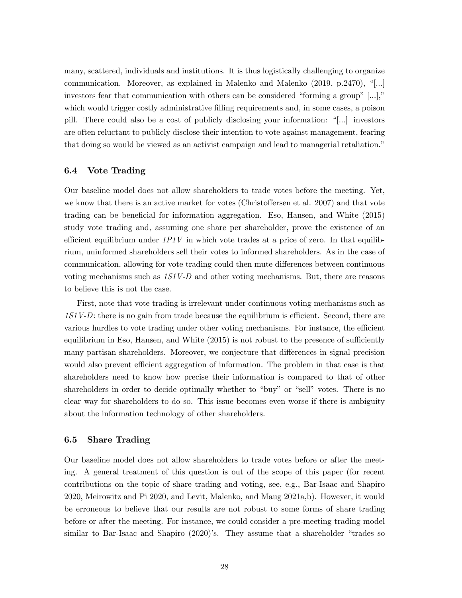many, scattered, individuals and institutions. It is thus logistically challenging to organize communication. Moreover, as explained in Malenko and Malenko  $(2019, p.2470)$ , "[...] investors fear that communication with others can be considered "forming a group"  $[...]$ " which would trigger costly administrative filling requirements and, in some cases, a poison pill. There could also be a cost of publicly disclosing your information:  $\lceil \ldots \rceil$  investors are often reluctant to publicly disclose their intention to vote against management, fearing that doing so would be viewed as an activist campaign and lead to managerial retaliation."

## 6.4 Vote Trading

Our baseline model does not allow shareholders to trade votes before the meeting. Yet, we know that there is an active market for votes (Christoffersen et al.  $2007$ ) and that vote trading can be beneficial for information aggregation. Eso, Hansen, and White (2015) study vote trading and, assuming one share per shareholder, prove the existence of an efficient equilibrium under  $1P1V$  in which vote trades at a price of zero. In that equilibrium, uninformed shareholders sell their votes to informed shareholders. As in the case of communication, allowing for vote trading could then mute differences between continuous voting mechanisms such as 1S1V-D and other voting mechanisms. But, there are reasons to believe this is not the case.

First, note that vote trading is irrelevant under continuous voting mechanisms such as  $1S1V-D$ : there is no gain from trade because the equilibrium is efficient. Second, there are various hurdles to vote trading under other voting mechanisms. For instance, the efficient equilibrium in Eso, Hansen, and White  $(2015)$  is not robust to the presence of sufficiently many partisan shareholders. Moreover, we conjecture that differences in signal precision would also prevent efficient aggregation of information. The problem in that case is that shareholders need to know how precise their information is compared to that of other shareholders in order to decide optimally whether to "buy" or "sell" votes. There is no clear way for shareholders to do so. This issue becomes even worse if there is ambiguity about the information technology of other shareholders.

## 6.5 Share Trading

Our baseline model does not allow shareholders to trade votes before or after the meeting. A general treatment of this question is out of the scope of this paper (for recent contributions on the topic of share trading and voting, see, e.g., Bar-Isaac and Shapiro 2020, Meirowitz and Pi 2020, and Levit, Malenko, and Maug 2021a,b). However, it would be erroneous to believe that our results are not robust to some forms of share trading before or after the meeting. For instance, we could consider a pre-meeting trading model similar to Bar-Isaac and Shapiro  $(2020)$ 's. They assume that a shareholder "trades so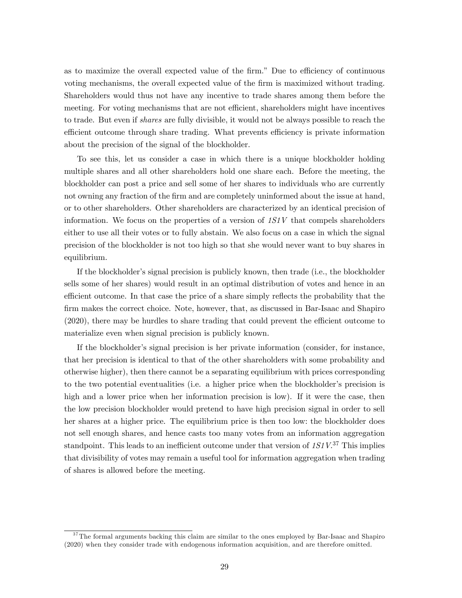as to maximize the overall expected value of the firm." Due to efficiency of continuous voting mechanisms, the overall expected value of the firm is maximized without trading. Shareholders would thus not have any incentive to trade shares among them before the meeting. For voting mechanisms that are not efficient, shareholders might have incentives to trade. But even if shares are fully divisible, it would not be always possible to reach the efficient outcome through share trading. What prevents efficiency is private information about the precision of the signal of the blockholder.

To see this, let us consider a case in which there is a unique blockholder holding multiple shares and all other shareholders hold one share each. Before the meeting, the blockholder can post a price and sell some of her shares to individuals who are currently not owning any fraction of the firm and are completely uninformed about the issue at hand, or to other shareholders. Other shareholders are characterized by an identical precision of information. We focus on the properties of a version of  $1S1V$  that compels shareholders either to use all their votes or to fully abstain. We also focus on a case in which the signal precision of the blockholder is not too high so that she would never want to buy shares in equilibrium.

If the blockholder's signal precision is publicly known, then trade (i.e., the blockholder sells some of her shares) would result in an optimal distribution of votes and hence in an efficient outcome. In that case the price of a share simply reflects the probability that the firm makes the correct choice. Note, however, that, as discussed in Bar-Isaac and Shapiro  $(2020)$ , there may be hurdles to share trading that could prevent the efficient outcome to materialize even when signal precision is publicly known.

If the blockholderís signal precision is her private information (consider, for instance, that her precision is identical to that of the other shareholders with some probability and otherwise higher), then there cannot be a separating equilibrium with prices corresponding to the two potential eventualities (i.e. a higher price when the blockholder's precision is high and a lower price when her information precision is low). If it were the case, then the low precision blockholder would pretend to have high precision signal in order to sell her shares at a higher price. The equilibrium price is then too low: the blockholder does not sell enough shares, and hence casts too many votes from an information aggregation standpoint. This leads to an inefficient outcome under that version of  $1S_1V^{37}$  This implies that divisibility of votes may remain a useful tool for information aggregation when trading of shares is allowed before the meeting.

 $37$ The formal arguments backing this claim are similar to the ones employed by Bar-Isaac and Shapiro (2020) when they consider trade with endogenous information acquisition, and are therefore omitted.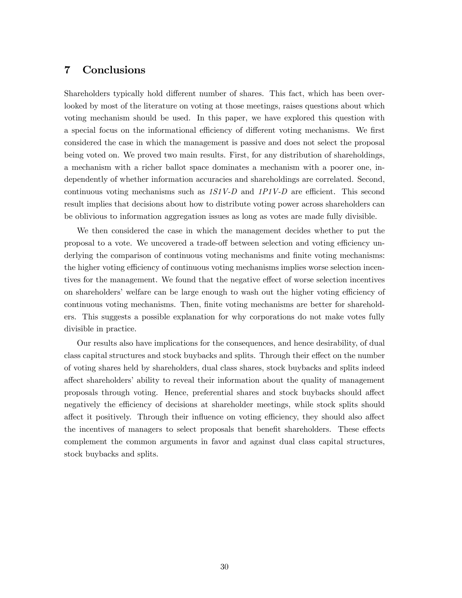## 7 Conclusions

Shareholders typically hold different number of shares. This fact, which has been overlooked by most of the literature on voting at those meetings, raises questions about which voting mechanism should be used. In this paper, we have explored this question with a special focus on the informational efficiency of different voting mechanisms. We first considered the case in which the management is passive and does not select the proposal being voted on. We proved two main results. First, for any distribution of shareholdings, a mechanism with a richer ballot space dominates a mechanism with a poorer one, independently of whether information accuracies and shareholdings are correlated. Second, continuous voting mechanisms such as  $1S1V-D$  and  $1P1V-D$  are efficient. This second result implies that decisions about how to distribute voting power across shareholders can be oblivious to information aggregation issues as long as votes are made fully divisible.

We then considered the case in which the management decides whether to put the proposal to a vote. We uncovered a trade-off between selection and voting efficiency underlying the comparison of continuous voting mechanisms and finite voting mechanisms: the higher voting efficiency of continuous voting mechanisms implies worse selection incentives for the management. We found that the negative effect of worse selection incentives on shareholders' welfare can be large enough to wash out the higher voting efficiency of continuous voting mechanisms. Then, finite voting mechanisms are better for shareholders. This suggests a possible explanation for why corporations do not make votes fully divisible in practice.

Our results also have implications for the consequences, and hence desirability, of dual class capital structures and stock buybacks and splits. Through their effect on the number of voting shares held by shareholders, dual class shares, stock buybacks and splits indeed affect shareholders' ability to reveal their information about the quality of management proposals through voting. Hence, preferential shares and stock buybacks should affect negatively the efficiency of decisions at shareholder meetings, while stock splits should affect it positively. Through their influence on voting efficiency, they should also affect the incentives of managers to select proposals that benefit shareholders. These effects complement the common arguments in favor and against dual class capital structures, stock buybacks and splits.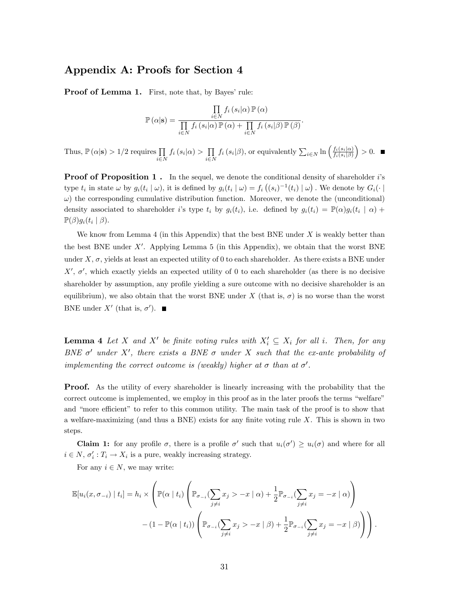## Appendix A: Proofs for Section 4

**Proof of Lemma 1.** First, note that, by Bayes' rule:

$$
\mathbb{P}(\alpha|\mathbf{s}) = \frac{\prod\limits_{i \in N} f_i(s_i|\alpha) \mathbb{P}(\alpha)}{\prod\limits_{i \in N} f_i(s_i|\alpha) \mathbb{P}(\alpha) + \prod\limits_{i \in N} f_i(s_i|\beta) \mathbb{P}(\beta)}.
$$

Thus,  $\mathbb{P}\left(\alpha|\mathbf{s}\right) > 1/2$  requires  $\prod_{i \in N}$  $f_i(s_i|\alpha) > \prod_{i \in \mathbb{N}}$  $i\in\mathbb{N}$  $f_i(s_i|\beta)$ , or equivalently  $\sum_{i\in\mathbb{N}} \ln\left(\frac{f_i(s_i|\alpha)}{f_i(s_i|\beta)}\right)$  $f_i(s_i|\beta)$  $\big) > 0.$ 

**Proof of Proposition 1.** In the sequel, we denote the conditional density of shareholder is type  $t_i$  in state  $\omega$  by  $g_i(t_i | \omega)$ , it is defined by  $g_i(t_i | \omega) = f_i((s_i)^{-1}(t_i) | \omega)$ . We denote by  $G_i(\cdot | \omega)$  $\omega$ ) the corresponding cumulative distribution function. Moreover, we denote the (unconditional) density associated to shareholder *i*'s type  $t_i$  by  $g_i(t_i)$ , i.e. defined by  $g_i(t_i) = \mathbb{P}(\alpha)g_i(t_i \mid \alpha) +$  $\mathbb{P}(\beta)g_i(t_i\mid\beta).$ 

We know from Lemma 4 (in this Appendix) that the best BNE under  $X$  is weakly better than the best BNE under  $X'$ . Applying Lemma 5 (in this Appendix), we obtain that the worst BNE under  $X, \sigma$ , yields at least an expected utility of 0 to each shareholder. As there exists a BNE under  $X'$ ,  $\sigma'$ , which exactly yields an expected utility of 0 to each shareholder (as there is no decisive shareholder by assumption, any profile yielding a sure outcome with no decisive shareholder is an equilibrium), we also obtain that the worst BNE under X (that is,  $\sigma$ ) is no worse than the worst BNE under  $X'$  (that is,  $\sigma'$ ).

**Lemma 4** Let X and X' be finite voting rules with  $X'_i \subseteq X_i$  for all i. Then, for any BNE  $\sigma'$  under X', there exists a BNE  $\sigma$  under X such that the ex-ante probability of implementing the correct outcome is (weakly) higher at  $\sigma$  than at  $\sigma'$ .

**Proof.** As the utility of every shareholder is linearly increasing with the probability that the correct outcome is implemented, we employ in this proof as in the later proofs the terms "welfare" and "more efficient" to refer to this common utility. The main task of the proof is to show that a welfare-maximizing (and thus a BNE) exists for any finite voting rule  $X$ . This is shown in two steps.

**Claim 1:** for any profile  $\sigma$ , there is a profile  $\sigma'$  such that  $u_i(\sigma') \geq u_i(\sigma)$  and where for all  $i \in N$ ,  $\sigma'_i : T_i \to X_i$  is a pure, weakly increasing strategy.

For any  $i \in N$ , we may write:

$$
\mathbb{E}[u_i(x, \sigma_{-i}) | t_i] = h_i \times \left( \mathbb{P}(\alpha | t_i) \left( \mathbb{P}_{\sigma_{-i}}(\sum_{j \neq i} x_j > -x | \alpha) + \frac{1}{2} \mathbb{P}_{\sigma_{-i}}(\sum_{j \neq i} x_j = -x | \alpha) \right) - (1 - \mathbb{P}(\alpha | t_i)) \left( \mathbb{P}_{\sigma_{-i}}(\sum_{j \neq i} x_j > -x | \beta) + \frac{1}{2} \mathbb{P}_{\sigma_{-i}}(\sum_{j \neq i} x_j = -x | \beta) \right) \right).
$$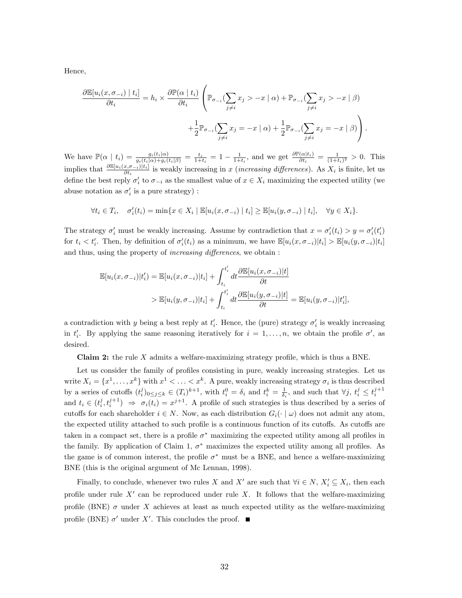Hence,

$$
\frac{\partial \mathbb{E}[u_i(x, \sigma_{-i}) | t_i]}{\partial t_i} = h_i \times \frac{\partial \mathbb{P}(\alpha | t_i)}{\partial t_i} \left( \mathbb{P}_{\sigma_{-i}}(\sum_{j \neq i} x_j > -x | \alpha) + \mathbb{P}_{\sigma_{-i}}(\sum_{j \neq i} x_j > -x | \beta) + \frac{1}{2} \mathbb{P}_{\sigma_{-i}}(\sum_{j \neq i} x_j = -x | \alpha) + \frac{1}{2} \mathbb{P}_{\sigma_{-i}}(\sum_{j \neq i} x_j = -x | \beta) \right).
$$

We have  $\mathbb{P}(\alpha \mid t_i) = \frac{g_i(t_i|\alpha)}{g_i(t_i|\alpha) + g_i(t_i|\beta)} = \frac{t_i}{1+t_i} = 1 - \frac{1}{1+t_i}$ , and we get  $\frac{\partial \mathbb{P}(\alpha|t_i)}{\partial t_i} = \frac{1}{(1+t_i)^2} > 0$ . This implies that  $\frac{\partial \mathbb{E}[u_i(x,\sigma_{-i})|t_i]}{\partial t_i}$  is weakly increasing in x (*increasing differences*). As  $X_i$  is finite, let us define the best reply  $\sigma'_i$  to  $\sigma_{-i}$  as the smallest value of  $x \in X_i$  maximizing the expected utility (we abuse notation as  $\sigma_i'$  is a pure strategy):

$$
\forall t_i \in T_i, \quad \sigma'_i(t_i) = \min\{x \in X_i \mid \mathbb{E}[u_i(x, \sigma_{-i}) \mid t_i] \geq \mathbb{E}[u_i(y, \sigma_{-i}) \mid t_i], \quad \forall y \in X_i\}.
$$

The strategy  $\sigma'_i$  must be weakly increasing. Assume by contradiction that  $x = \sigma'_i(t_i) > y = \sigma'_i(t'_i)$ for  $t_i < t'_i$ . Then, by definition of  $\sigma'_i(t_i)$  as a minimum, we have  $\mathbb{E}[u_i(x, \sigma_{-i})|t_i] > \mathbb{E}[u_i(y, \sigma_{-i})|t_i]$ and thus, using the property of *increasing differences*, we obtain :

$$
\mathbb{E}[u_i(x, \sigma_{-i})|t_i'] = \mathbb{E}[u_i(x, \sigma_{-i})|t_i] + \int_{t_i}^{t_i'} dt \frac{\partial \mathbb{E}[u_i(x, \sigma_{-i})|t]}{\partial t}
$$
  
> 
$$
\mathbb{E}[u_i(y, \sigma_{-i})|t_i] + \int_{t_i}^{t_i'} dt \frac{\partial \mathbb{E}[u_i(y, \sigma_{-i})|t]}{\partial t} = \mathbb{E}[u_i(y, \sigma_{-i})|t_i'],
$$

a contradiction with y being a best reply at  $t'_{i}$ . Hence, the (pure) strategy  $\sigma'_{i}$  is weakly increasing in  $t'_i$ . By applying the same reasoning iteratively for  $i = 1, \ldots, n$ , we obtain the profile  $\sigma'$ , as desired.

Claim 2: the rule  $X$  admits a welfare-maximizing strategy profile, which is thus a BNE.

Let us consider the family of profiles consisting in pure, weakly increasing strategies. Let us write  $X_i = \{x^1, \ldots, x^k\}$  with  $x^1 < \ldots < x^k$ . A pure, weakly increasing strategy  $\sigma_i$  is thus described by a series of cutoffs  $(t_i^j)_{0 \le j \le k} \in (T_i)^{k+1}$ , with  $t_i^0 = \delta_i$  and  $t_i^k = \frac{1}{\delta_i}$ , and such that  $\forall j, t_i^j \le t_i^{j+1}$ and  $t_i \in (t_i^j, t_i^{j+1}) \implies \sigma_i(t_i) = x^{j+1}$ . A profile of such strategies is thus described by a series of cutoffs for each shareholder  $i \in N$ . Now, as each distribution  $G_i(\cdot | \omega)$  does not admit any atom, the expected utility attached to such profile is a continuous function of its cutoffs. As cutoffs are taken in a compact set, there is a profile  $\sigma^*$  maximizing the expected utility among all profiles in the family. By application of Claim 1,  $\sigma^*$  maximizes the expected utility among all profiles. As the game is of common interest, the profile  $\sigma^*$  must be a BNE, and hence a welfare-maximizing BNE (this is the original argument of Mc Lennan, 1998).

Finally, to conclude, whenever two rules X and X' are such that  $\forall i \in N$ ,  $X'_i \subseteq X_i$ , then each profile under rule  $X'$  can be reproduced under rule X. It follows that the welfare-maximizing profile (BNE)  $\sigma$  under X achieves at least as much expected utility as the welfare-maximizing profile (BNE)  $\sigma'$  under X'. This concludes the proof.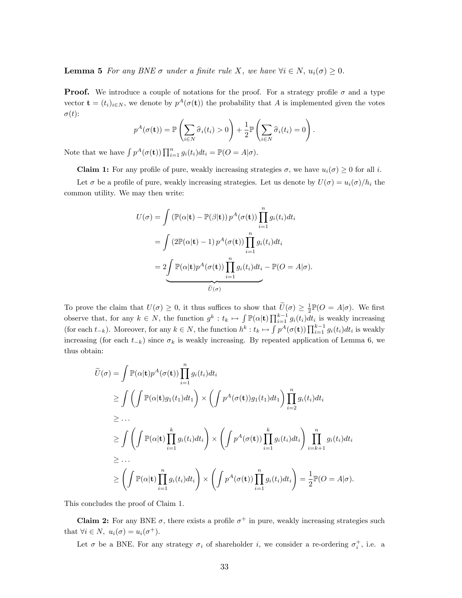**Lemma 5** For any BNE  $\sigma$  under a finite rule X, we have  $\forall i \in N$ ,  $u_i(\sigma) \geq 0$ .

**Proof.** We introduce a couple of notations for the proof. For a strategy profile  $\sigma$  and a type vector  $\mathbf{t} = (t_i)_{i \in N}$ , we denote by  $p^A(\sigma(\mathbf{t}))$  the probability that A is implemented given the votes  $\sigma(t)$ :

$$
p^{A}(\sigma(\mathbf{t})) = \mathbb{P}\left(\sum_{i \in N} \widehat{\sigma}_{i}(t_{i}) > 0\right) + \frac{1}{2} \mathbb{P}\left(\sum_{i \in N} \widehat{\sigma}_{i}(t_{i}) = 0\right).
$$

Note that we have  $\int p^A(\sigma(\mathbf{t})) \prod_{i=1}^n g_i(t_i) dt_i = \mathbb{P}(O = A|\sigma)$ .

**Claim 1:** For any profile of pure, weakly increasing strategies  $\sigma$ , we have  $u_i(\sigma) \geq 0$  for all i.

Let  $\sigma$  be a profile of pure, weakly increasing strategies. Let us denote by  $U(\sigma) = u_i(\sigma)/h_i$  the common utility. We may then write:

$$
U(\sigma) = \int (\mathbb{P}(\alpha | \mathbf{t}) - \mathbb{P}(\beta | \mathbf{t})) p^{A}(\sigma(\mathbf{t})) \prod_{i=1}^{n} g_{i}(t_{i}) dt_{i}
$$
  
= 
$$
\int (2\mathbb{P}(\alpha | \mathbf{t}) - 1) p^{A}(\sigma(\mathbf{t})) \prod_{i=1}^{n} g_{i}(t_{i}) dt_{i}
$$
  
= 
$$
2 \underbrace{\int \mathbb{P}(\alpha | \mathbf{t}) p^{A}(\sigma(\mathbf{t})) \prod_{i=1}^{n} g_{i}(t_{i}) dt_{i}}_{\widetilde{U}(\sigma)} - \mathbb{P}(O = A | \sigma).
$$

To prove the claim that  $U(\sigma) \geq 0$ , it thus suffices to show that  $\tilde{U}(\sigma) \geq \frac{1}{2} \mathbb{P}(O = A|\sigma)$ . We first 2 observe that, for any  $k \in N$ , the function  $g^k : t_k \mapsto \int \mathbb{P}(\alpha | \mathbf{t}) \prod_{i=1}^{k-1} g_i(t_i) dt_i$  is weakly increasing (for each  $t_{-k}$ ). Moreover, for any  $k \in N$ , the function  $h^k : t_k \mapsto \int p^A(\sigma(\mathbf{t})) \prod_{i=1}^{k-1} g_i(t_i) dt_i$  is weakly increasing (for each  $t_{-k}$ ) since  $\sigma_k$  is weakly increasing. By repeated application of Lemma 6, we thus obtain:

$$
\widetilde{U}(\sigma) = \int \mathbb{P}(\alpha | \mathbf{t}) p^{A}(\sigma(\mathbf{t})) \prod_{i=1}^{n} g_{i}(t_{i}) dt_{i}
$$
\n
$$
\geq \int \left( \int \mathbb{P}(\alpha | \mathbf{t}) g_{1}(t_{1}) dt_{1} \right) \times \left( \int p^{A}(\sigma(\mathbf{t})) g_{1}(t_{1}) dt_{1} \right) \prod_{i=2}^{n} g_{i}(t_{i}) dt_{i}
$$
\n
$$
\geq \dots
$$
\n
$$
\geq \int \left( \int \mathbb{P}(\alpha | \mathbf{t}) \prod_{i=1}^{k} g_{i}(t_{i}) dt_{i} \right) \times \left( \int p^{A}(\sigma(\mathbf{t})) \prod_{i=1}^{k} g_{i}(t_{i}) dt_{i} \right) \prod_{i=k+1}^{n} g_{i}(t_{i}) dt_{i}
$$
\n
$$
\geq \dots
$$
\n
$$
\geq \left( \int \mathbb{P}(\alpha | \mathbf{t}) \prod_{i=1}^{n} g_{i}(t_{i}) dt_{i} \right) \times \left( \int p^{A}(\sigma(\mathbf{t})) \prod_{i=1}^{n} g_{i}(t_{i}) dt_{i} \right) = \frac{1}{2} \mathbb{P}(O = A | \sigma).
$$

This concludes the proof of Claim 1.

**Claim 2:** For any BNE  $\sigma$ , there exists a profile  $\sigma^+$  in pure, weakly increasing strategies such that  $\forall i \in N, u_i(\sigma) = u_i(\sigma^+).$ 

Let  $\sigma$  be a BNE. For any strategy  $\sigma_i$  of shareholder i, we consider a re-ordering  $\sigma_i^+$ , i.e. a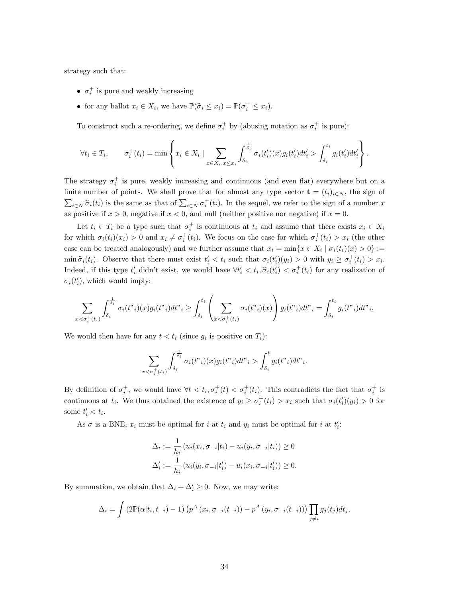strategy such that:

- $\sigma_i^+$  is pure and weakly increasing
- for any ballot  $x_i \in X_i$ , we have  $\mathbb{P}(\widehat{\sigma}_i \leq x_i) = \mathbb{P}(\sigma_i^+ \leq x_i)$ .

To construct such a re-ordering, we define  $\sigma_i^+$  by (abusing notation as  $\sigma_i^+$  is pure):

$$
\forall t_i \in T_i, \qquad \sigma_i^+(t_i) = \min \left\{ x_i \in X_i \mid \sum_{x \in X_i, x \leq x_i} \int_{\delta_i}^{\frac{1}{\delta_i}} \sigma_i(t'_i)(x) g_i(t'_i) dt'_i > \int_{\delta_i}^{t_i} g_i(t'_i) dt'_i \right\}.
$$

The strategy  $\sigma_i^+$  is pure, weakly increasing and continuous (and even flat) everywhere but on a finite number of points. We shall prove that for almost any type vector  $\mathbf{t} = (t_i)_{i \in N}$ , the sign of  $\sum_{i\in N} \hat{\sigma}_i(t_i)$  is the same as that of  $\sum_{i\in N} \sigma_i^+(t_i)$ . In the sequel, we refer to the sign of a number x as positive if  $x > 0$ , negative if  $x < 0$ , and null (neither positive nor negative) if  $x = 0$ .

Let  $t_i \in T_i$  be a type such that  $\sigma_i^+$  is continuous at  $t_i$  and assume that there exists  $x_i \in X_i$ for which  $\sigma_i(t_i)(x_i) > 0$  and  $x_i \neq \sigma_i^+(t_i)$ . We focus on the case for which  $\sigma_i^+(t_i) > x_i$  (the other case can be treated analogously) and we further assume that  $x_i = \min\{x \in X_i \mid \sigma_i(t_i)(x) > 0\} :=$  $\min \widehat{\sigma}_i(t_i)$ . Observe that there must exist  $t'_i < t_i$  such that  $\sigma_i(t'_i)(y_i) > 0$  with  $y_i \ge \sigma_i^+(t_i) > x_i$ . Indeed, if this type  $t'_i$  didn't exist, we would have  $\forall t'_i \leq t_i, \hat{\sigma}_i(t'_i) \leq \sigma_i^+(t_i)$  for any realization of  $\sigma_i(t'_i)$ , which would imply:

$$
\sum_{x<\sigma_i^+(t_i)}\int_{\delta_i}^{\frac{1}{\delta_i}} \sigma_i(t_{i})(x)g_i(t_{i})dt_{i} \geq \int_{\delta_i}^{t_i} \left(\sum_{x<\sigma_i^+(t_i)} \sigma_i(t_{i})(x)\right)g_i(t_{i})dt_{i} = \int_{\delta_i}^{t_i} g_i(t_{i})dt_{i}.
$$

We would then have for any  $t < t_i$  (since  $g_i$  is positive on  $T_i$ ):

 $\boldsymbol{x}$ 

$$
\sum_{\langle \sigma_i^+(t_i) \rangle} \int_{\delta_i}^{\frac{1}{\delta_i}} \sigma_i(t_{i}^{\nu_i})(x) g_i(t_{i}^{\nu_i}) dt_{i}^{\nu_i} > \int_{\delta_i}^t g_i(t_{i}^{\nu_i}) dt_{i}^{\nu_i}.
$$

By definition of  $\sigma_i^+$ , we would have  $\forall t < t_i$ ,  $\sigma_i^+(t) < \sigma_i^+(t_i)$ . This contradicts the fact that  $\sigma_i^+$  is continuous at  $t_i$ . We thus obtained the existence of  $y_i \ge \sigma_i^+(t_i) > x_i$  such that  $\sigma_i(t'_i)(y_i) > 0$  for some  $t'_i < t_i$ .

As  $\sigma$  is a BNE,  $x_i$  must be optimal for i at  $t_i$  and  $y_i$  must be optimal for i at  $t'_i$ :

$$
\Delta_i := \frac{1}{h_i} \left( u_i(x_i, \sigma_{-i}|t_i) - u_i(y_i, \sigma_{-i}|t_i) \right) \ge 0
$$
  

$$
\Delta'_i := \frac{1}{h_i} \left( u_i(y_i, \sigma_{-i}|t'_i) - u_i(x_i, \sigma_{-i}|t'_i) \right) \ge 0.
$$

By summation, we obtain that  $\Delta_i + \Delta'_i \geq 0$ . Now, we may write:

$$
\Delta_i = \int \left(2\mathbb{P}(\alpha|t_i, t_{-i}) - 1\right) \left(p^A\left(x_i, \sigma_{-i}(t_{-i})\right) - p^A\left(y_i, \sigma_{-i}(t_{-i})\right)\right) \prod_{j \neq i} g_j(t_j) dt_j.
$$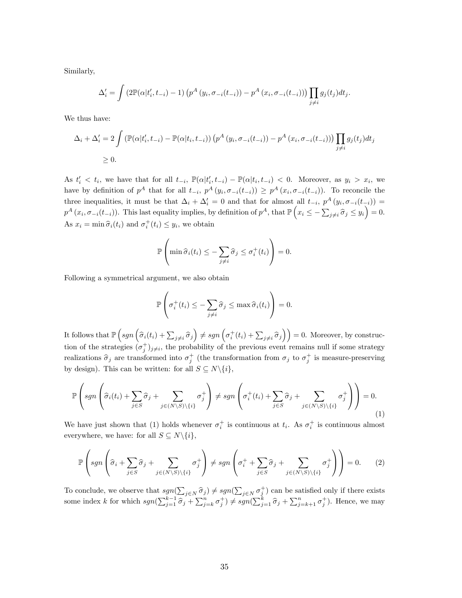Similarly,

$$
\Delta'_{i} = \int \left(2\mathbb{P}(\alpha|t'_{i}, t_{-i}) - 1\right) \left(p^A\left(y_i, \sigma_{-i}(t_{-i})\right) - p^A\left(x_i, \sigma_{-i}(t_{-i})\right)\right) \prod_{j \neq i} g_j(t_j) dt_j.
$$

We thus have:

$$
\Delta_i + \Delta'_i = 2 \int \left( \mathbb{P}(\alpha | t'_i, t_{-i}) - \mathbb{P}(\alpha | t_i, t_{-i}) \right) \left( p^A \left( y_i, \sigma_{-i}(t_{-i}) \right) - p^A \left( x_i, \sigma_{-i}(t_{-i}) \right) \right) \prod_{j \neq i} g_j(t_j) dt_j
$$
  
\n
$$
\geq 0.
$$

As  $t'_i < t_i$ , we have that for all  $t_{-i}$ ,  $\mathbb{P}(\alpha | t'_i, t_{-i}) - \mathbb{P}(\alpha | t_i, t_{-i}) < 0$ . Moreover, as  $y_i > x_i$ , we have by definition of  $p^A$  that for all  $t_{-i}$ ,  $p^A(y_i, \sigma_{-i}(t_{-i})) \geq p^A(x_i, \sigma_{-i}(t_{-i}))$ . To reconcile the three inequalities, it must be that  $\Delta_i + \Delta'_i = 0$  and that for almost all  $t_{-i}$ ,  $p^A(y_i, \sigma_{-i}(t_{-i})) =$  $p^A(x_i, \sigma_{-i}(t_{-i}))$ . This last equality implies, by definition of  $p^A$ , that  $\mathbb{P}\left(x_i \leq -\sum_{j\neq i} \hat{\sigma}_j \leq y_i\right) = 0$ . As  $x_i = \min \hat{\sigma}_i(t_i)$  and  $\sigma_i^+(t_i) \leq y_i$ , we obtain

$$
\mathbb{P}\left(\min \widehat{\sigma}_i(t_i) \leq -\sum_{j \neq i} \widehat{\sigma}_j \leq \sigma_i^+(t_i)\right) = 0.
$$

Following a symmetrical argument, we also obtain

$$
\mathbb{P}\left(\sigma_i^+(t_i) \le -\sum_{j\neq i} \widehat{\sigma}_j \le \max \widehat{\sigma}_i(t_i)\right) = 0.
$$

It follows that  $\mathbb{P}\left(sgn\left(\widehat{\sigma}_{i}(t_{i}) + \sum_{j\neq i}\widehat{\sigma}_{j}\right) \neq sgn\left(\sigma_{i}^{+}(t_{i}) + \sum_{j\neq i}\widehat{\sigma}_{j}\right)\right) = 0$ . Moreover, by construction of the strategies  $(\sigma_j^+)_{j\neq i}$ , the probability of the previous event remains null if some strategy realizations  $\hat{\sigma}_j$  are transformed into  $\sigma_j^+$  (the transformation from  $\sigma_j$  to  $\sigma_j^+$  is measure-preserving by design). This can be written: for all  $S \subseteq N \setminus \{i\},$ 

$$
\mathbb{P}\left(sgn\left(\widehat{\sigma}_{i}(t_{i})+\sum_{j\in S}\widehat{\sigma}_{j}+\sum_{j\in (N\setminus S)\setminus\{i\}}\sigma_{j}^{+}\right)\neq sgn\left(\sigma_{i}^{+}(t_{i})+\sum_{j\in S}\widehat{\sigma}_{j}+\sum_{j\in (N\setminus S)\setminus\{i\}}\sigma_{j}^{+}\right)\right)=0.
$$
\n(1)

We have just shown that (1) holds whenever  $\sigma_i^+$  is continuous at  $t_i$ . As  $\sigma_i^+$  is continuous almost everywhere, we have: for all  $S \subseteq N \backslash \{i\},$ 

$$
\mathbb{P}\left(sgn\left(\widehat{\sigma}_i + \sum_{j \in S} \widehat{\sigma}_j + \sum_{j \in (N \setminus S) \setminus \{i\}} \sigma_j^+\right) \neq sgn\left(\sigma_i^+ + \sum_{j \in S} \widehat{\sigma}_j + \sum_{j \in (N \setminus S) \setminus \{i\}} \sigma_j^+\right)\right) = 0. \tag{2}
$$

To conclude, we observe that  $sgn(\sum_{j\in N} \hat{\sigma}_j) \neq sgn(\sum_{j\in N} \sigma_j^+)$  can be satisfied only if there exists some index k for which  $sgn(\sum_{j=1}^{k-1} \hat{\sigma}_j + \sum_{j=k}^n \sigma_j^+) \neq sgn(\sum_{j=1}^k \hat{\sigma}_j + \sum_{j=k+1}^n \sigma_j^+)$ . Hence, we may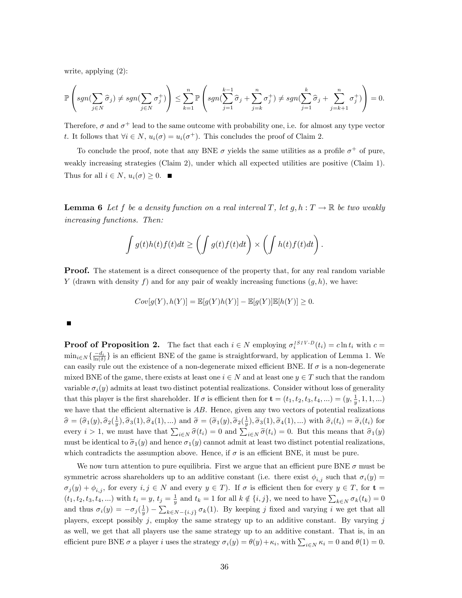write, applying (2):

$$
\mathbb{P}\left(sgn(\sum_{j\in N}\widehat{\sigma}_j)\neq sgn(\sum_{j\in N}\sigma_j^+)\right)\leq \sum_{k=1}^n \mathbb{P}\left(sgn(\sum_{j=1}^{k-1}\widehat{\sigma}_j+\sum_{j=k}^n\sigma_j^+)\neq sgn(\sum_{j=1}^k\widehat{\sigma}_j+\sum_{j=k+1}^n\sigma_j^+)\right)=0.
$$

Therefore,  $\sigma$  and  $\sigma^+$  lead to the same outcome with probability one, i.e. for almost any type vector t. It follows that  $\forall i \in N$ ,  $u_i(\sigma) = u_i(\sigma^+)$ . This concludes the proof of Claim 2.

To conclude the proof, note that any BNE  $\sigma$  yields the same utilities as a profile  $\sigma^+$  of pure, weakly increasing strategies (Claim 2), under which all expected utilities are positive (Claim 1). Thus for all  $i \in N$ ,  $u_i(\sigma) \geq 0$ .

**Lemma 6** Let f be a density function on a real interval T, let  $g, h: T \to \mathbb{R}$  be two weakly increasing functions. Then:

$$
\int g(t)h(t)f(t)dt \ge \left(\int g(t)f(t)dt\right) \times \left(\int h(t)f(t)dt\right).
$$

**Proof.** The statement is a direct consequence of the property that, for any real random variable Y (drawn with density f) and for any pair of weakly increasing functions  $(g, h)$ , we have:

$$
Cov[g(Y), h(Y)] = \mathbb{E}[g(Y)h(Y)] - \mathbb{E}[g(Y)]\mathbb{E}[h(Y)] \ge 0.
$$

#### П

**Proof of Proposition 2.** The fact that each  $i \in N$  employing  $\sigma_i^{ISIV-D}(t_i) = c \ln t_i$  with  $c =$  $\min_{i\in\mathbb{N}}\{\frac{-d_i}{\ln(\delta)}\}$  is an efficient BNE of the game is straightforward, by application of Lemma 1. We can easily rule out the existence of a non-degenerate mixed efficient BNE. If  $\sigma$  is a non-degenerate mixed BNE of the game, there exists at least one  $i \in N$  and at least one  $y \in T$  such that the random variable  $\sigma_i(y)$  admits at least two distinct potential realizations. Consider without loss of generality that this player is the first shareholder. If  $\sigma$  is efficient then for  $\mathbf{t} = (t_1, t_2, t_3, t_4, ...) = (y, \frac{1}{y}, 1, 1, ...)$ we have that the efficient alternative is  $AB$ . Hence, given any two vectors of potential realizations  $\hat{\sigma} = (\hat{\sigma}_1(y), \hat{\sigma}_2(\frac{1}{y}), \hat{\sigma}_3(1), \hat{\sigma}_4(1), ...)$  and  $\tilde{\sigma} = (\tilde{\sigma}_1(y), \tilde{\sigma}_2(\frac{1}{y}), \tilde{\sigma}_3(1), \tilde{\sigma}_4(1), ...)$  with  $\hat{\sigma}_i(t_i) = \tilde{\sigma}_i(t_i)$  for every  $i > 1$ , we must have that  $\sum_{i \in N} \hat{\sigma}(t_i) = 0$  and  $\sum_{i \in N} \tilde{\sigma}(t_i) = 0$ . But this means that  $\hat{\sigma}_1(y)$ must be identical to  $\tilde{\sigma}_1(y)$  and hence  $\sigma_1(y)$  cannot admit at least two distinct potential realizations, which contradicts the assumption above. Hence, if  $\sigma$  is an efficient BNE, it must be pure.

We now turn attention to pure equilibria. First we argue that an efficient pure BNE  $\sigma$  must be symmetric across shareholders up to an additive constant (i.e. there exist  $\phi_{i,j}$  such that  $\sigma_i(y)$  =  $\sigma_j(y) + \phi_{i,j}$ , for every  $i, j \in N$  and every  $y \in T$ ). If  $\sigma$  is efficient then for every  $y \in T$ , for  $t =$  $(t_1, t_2, t_3, t_4, ...)$  with  $t_i = y$ ,  $t_j = \frac{1}{y}$  and  $t_k = 1$  for all  $k \notin \{i, j\}$ , we need to have  $\sum_{k \in N} \sigma_k(t_k) = 0$ and thus  $\sigma_i(y) = -\sigma_j(\frac{1}{y}) - \sum_{k \in N^{-1}(i,j)} \sigma_k(1)$ . By keeping j fixed and varying i we get that all players, except possibly  $j$ , employ the same strategy up to an additive constant. By varying  $j$ as well, we get that all players use the same strategy up to an additive constant. That is, in an efficient pure BNE  $\sigma$  a player i uses the strategy  $\sigma_i(y) = \theta(y) + \kappa_i$ , with  $\sum_{i \in N} \kappa_i = 0$  and  $\theta(1) = 0$ .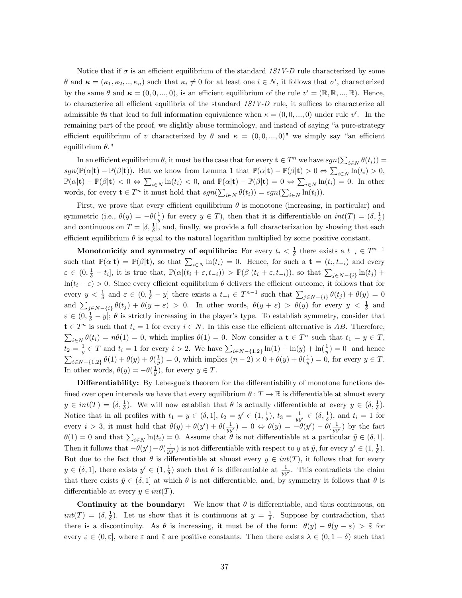Notice that if  $\sigma$  is an efficient equilibrium of the standard 1S1V-D rule characterized by some  $\theta$  and  $\kappa = (\kappa_1, \kappa_2, ..., \kappa_n)$  such that  $\kappa_i \neq 0$  for at least one  $i \in N$ , it follows that  $\sigma'$ , characterized by the same  $\theta$  and  $\kappa = (0, 0, ..., 0)$ , is an efficient equilibrium of the rule  $v' = (\mathbb{R}, \mathbb{R}, ..., \mathbb{R})$ . Hence, to characterize all efficient equilibria of the standard  $1S1V-D$  rule, it suffices to characterize all admissible  $\theta$ s that lead to full information equivalence when  $\kappa = (0, 0, ..., 0)$  under rule v'. In the remaining part of the proof, we slightly abuse terminology, and instead of saying "a pure-strategy efficient equilibrium of v characterized by  $\theta$  and  $\kappa = (0, 0, ..., 0)$ " we simply say "an efficient equilibrium  $\theta$ ."

In an efficient equilibrium  $\theta$ , it must be the case that for every  $\mathbf{t} \in T^n$  we have  $sgn(\sum_{i \in N} \theta(t_i)) =$  $sgn(\mathbb{P}(\alpha|\mathbf{t}) - \mathbb{P}(\beta|\mathbf{t}))$ . But we know from Lemma 1 that  $\mathbb{P}(\alpha|\mathbf{t}) - \mathbb{P}(\beta|\mathbf{t}) > 0 \Leftrightarrow \sum_{i \in N} \ln(t_i) > 0$ ,  $\mathbb{P}(\alpha|\mathbf{t}) - \mathbb{P}(\beta|\mathbf{t}) < 0 \Leftrightarrow \sum_{i \in N} \ln(t_i) < 0$ , and  $\mathbb{P}(\alpha|\mathbf{t}) - \mathbb{P}(\beta|\mathbf{t}) = 0 \Leftrightarrow \sum_{i \in N} \ln(t_i) = 0$ . In other words, for every  $\mathbf{t} \in T^n$  it must hold that  $sgn(\sum_{i \in N} \theta(t_i)) = sgn(\sum_{i \in N} \ln(t_i)).$ 

First, we prove that every efficient equilibrium  $\theta$  is monotone (increasing, in particular) and symmetric (i.e.,  $\theta(y) = -\theta(\frac{1}{y})$  for every  $y \in T$ ), then that it is differentiable on  $int(T) = (\delta, \frac{1}{\delta})$ and continuous on  $T = [\delta, \frac{1}{\delta}],$  and, finally, we provide a full characterization by showing that each efficient equilibrium  $\theta$  is equal to the natural logarithm multiplied by some positive constant.

Monotonicity and symmetry of equilibria: For every  $t_i < \frac{1}{\delta}$  there exists a  $t_{-i} \in T^{n-1}$ such that  $\mathbb{P}(\alpha|\mathbf{t}) = \mathbb{P}(\beta|\mathbf{t})$ , so that  $\sum_{i \in N} \ln(t_i) = 0$ . Hence, for such a  $\mathbf{t} = (t_i, t_{-i})$  and every  $\varepsilon \in (0, \frac{1}{\delta} - t_i],$  it is true that,  $\mathbb{P}(\alpha | (t_i + \varepsilon, t_{-i})) > \mathbb{P}(\beta | (t_i + \varepsilon, t_{-i})),$  so that  $\sum_{j \in N - \{i\}} \ln(t_j)$  +  $ln(t_i + \varepsilon) > 0$ . Since every efficient equilibrium  $\theta$  delivers the efficient outcome, it follows that for every  $y < \frac{1}{\delta}$  and  $\varepsilon \in (0, \frac{1}{\delta} - y]$  there exists a  $t_{-i} \in T^{n-1}$  such that  $\sum_{j \in N^{-i}} \theta(t_j) + \theta(y) = 0$ and  $\sum_{j\in N_{f}}\theta(t_{j}) + \theta(y+\varepsilon) > 0$ . In other words,  $\theta(y+\varepsilon) > \theta(y)$  for every  $y < \frac{1}{\delta}$  and  $\varepsilon \in (0, \frac{1}{\delta} - y]$ ;  $\theta$  is strictly increasing in the player's type. To establish symmetry, consider that  $\mathbf{t} \in T^n$  is such that  $t_i = 1$  for every  $i \in N$ . In this case the efficient alternative is AB. Therefore,  $\sum_{i\in\mathbb{N}}\theta(t_i)=n\theta(1)=0$ , which implies  $\theta(1)=0$ . Now consider a  $\mathbf{t}\in\mathbb{T}^n$  such that  $t_1=y\in\mathbb{T}$ ,  $t_2 = \frac{1}{y} \in T$  and  $t_i = 1$  for every  $i > 2$ . We have  $\sum_{i \in N - \{1,2\}} \ln(1) + \ln(y) + \ln(\frac{1}{y}) = 0$  and hence  $\sum_{i\in N-\{1,2\}} \theta(1) + \theta(y) + \theta(\frac{1}{y}) = 0$ , which implies  $(n-2) \times 0 + \theta(y) + \theta(\frac{1}{y}) = 0$ , for every  $y \in T$ . In other words,  $\theta(y) = -\theta(\frac{1}{y})$ , for every  $y \in T$ .

Differentiability: By Lebesgue's theorem for the differentiability of monotone functions defined over open intervals we have that every equilibrium  $\theta : T \to \mathbb{R}$  is differentiable at almost every  $y \in int(T) = (\delta, \frac{1}{\delta})$ . We will now establish that  $\theta$  is actually differentiable at every  $y \in (\delta, \frac{1}{\delta})$ . Notice that in all profiles with  $t_1 = y \in (\delta, 1], t_2 = y' \in (1, \frac{1}{\delta}), t_3 = \frac{1}{yy'} \in (\delta, \frac{1}{\delta}),$  and  $t_i = 1$  for every  $i > 3$ , it must hold that  $\theta(y) + \theta(y') + \theta(\frac{1}{yy'}) = 0 \Leftrightarrow \theta(y) = -\theta(y') - \theta(\frac{1}{yy'})$  by the fact  $\theta(1) = 0$  and that  $\sum_{i \in N} \ln(t_i) = 0$ . Assume that  $\theta$  is not differentiable at a particular  $\tilde{y} \in (\delta, 1]$ . Then it follows that  $-\theta(y') - \theta(\frac{1}{yy'})$  is not differentiable with respect to y at  $\tilde{y}$ , for every  $y' \in (1, \frac{1}{\delta})$ . But due to the fact that  $\theta$  is differentiable at almost every  $y \in int(T)$ , it follows that for every  $y \in (\delta, 1]$ , there exists  $y' \in (1, \frac{1}{\delta})$  such that  $\theta$  is differentiable at  $\frac{1}{yy'}$ . This contradicts the claim that there exists  $\tilde{y} \in (\delta, 1]$  at which  $\theta$  is not differentiable, and, by symmetry it follows that  $\theta$  is differentiable at every  $y \in int(T)$ .

Continuity at the boundary: We know that  $\theta$  is differentiable, and thus continuous, on  $int(T) = (\delta, \frac{1}{\delta})$ . Let us show that it is continuous at  $y = \frac{1}{\delta}$ . Suppose by contradiction, that there is a discontinuity. As  $\theta$  is increasing, it must be of the form:  $\theta(y) - \theta(y - \varepsilon) > \tilde{\varepsilon}$  for every  $\varepsilon \in (0,\bar{\varepsilon}],$  where  $\bar{\varepsilon}$  and  $\tilde{\varepsilon}$  are positive constants. Then there exists  $\lambda \in (0,1-\delta)$  such that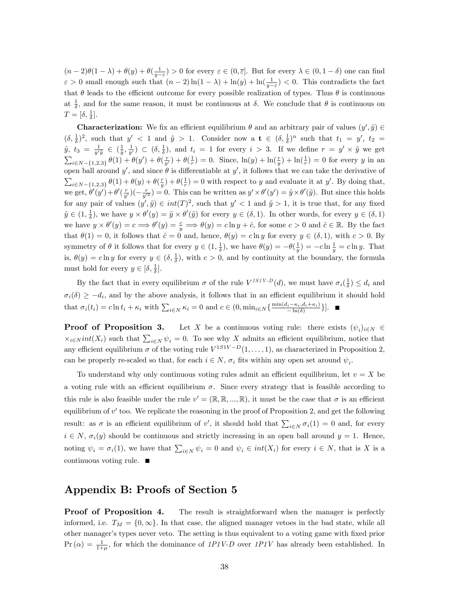$(n-2)\theta(1-\lambda) + \theta(y) + \theta(\frac{1}{y-\varepsilon}) > 0$  for every  $\varepsilon \in (0,\overline{\varepsilon}]$ . But for every  $\lambda \in (0,1-\delta)$  one can find  $\varepsilon > 0$  small enough such that  $(n-2)\ln(1-\lambda) + \ln(y) + \ln(\frac{1}{y-\varepsilon}) < 0$ . This contradicts the fact that  $\theta$  leads to the efficient outcome for every possible realization of types. Thus  $\theta$  is continuous at  $\frac{1}{\delta}$ , and for the same reason, it must be continuous at  $\delta$ . We conclude that  $\theta$  is continuous on  $T=[\delta, \frac{1}{\delta}].$ 

**Characterization:** We fix an efficient equilibrium  $\theta$  and an arbitrary pair of values  $(y', \tilde{y}) \in$  $(\delta, \frac{1}{\delta})^2$ , such that  $y' < 1$  and  $\tilde{y} > 1$ . Consider now a  $\mathbf{t} \in (\delta, \frac{1}{\delta})^n$  such that  $t_1 = y'$ ,  $t_2 =$  $\tilde{y}, t_3 = \frac{1}{y'\tilde{y}} \in \left(\frac{1}{\tilde{y}}, \frac{1}{y'}\right) \subset (\delta, \frac{1}{\delta})$ , and  $t_i = 1$  for every  $i > 3$ . If we define  $r = y' \times \tilde{y}$  we get  $\sum_{i\in N-\{1,2,3\}} \theta(1) + \theta(y') + \theta(\frac{r}{y'}) + \theta(\frac{1}{r}) = 0$ . Since,  $\ln(y) + \ln(\frac{r}{y}) + \ln(\frac{1}{r}) = 0$  for every y in an open ball around y', and since  $\theta$  is differentiable at y', it follows that we can take the derivative of  $\sum_{i\in N-\{1,2,3\}} \theta(1) + \theta(y) + \theta(\frac{r}{y}) + \theta(\frac{1}{r}) = 0$  with respect to y and evaluate it at y'. By doing that, we get,  $\theta'(y') + \theta'(\frac{r}{y'})(-\frac{r}{y'^2}) = 0$ . This can be written as  $y' \times \theta'(y') = \tilde{y} \times \theta'(\tilde{y})$ . But since this holds for any pair of values  $(y', \tilde{y}) \in int(T)^2$ , such that  $y' < 1$  and  $\tilde{y} > 1$ , it is true that, for any fixed  $\tilde{y} \in (1, \frac{1}{\delta})$ , we have  $y \times \theta'(y) = \tilde{y} \times \theta'(\tilde{y})$  for every  $y \in (\delta, 1)$ . In other words, for every  $y \in (\delta, 1)$ we have  $y \times \theta'(y) = c \Longrightarrow \theta'(y) = \frac{c}{y} \Longrightarrow \theta(y) = c \ln y + \hat{c}$ , for some  $c > 0$  and  $\hat{c} \in \mathbb{R}$ . By the fact that  $\theta(1) = 0$ , it follows that  $\hat{c} = 0$  and, hence,  $\theta(y) = c \ln y$  for every  $y \in (\delta, 1)$ , with  $c > 0$ . By symmetry of  $\theta$  it follows that for every  $y \in (1, \frac{1}{\delta})$ , we have  $\theta(y) = -\theta(\frac{1}{y}) = -c \ln \frac{1}{y} = c \ln y$ . That is,  $\theta(y) = c \ln y$  for every  $y \in (\delta, \frac{1}{\delta})$ , with  $c > 0$ , and by continuity at the boundary, the formula must hold for every  $y \in [\delta, \frac{1}{\delta}].$ 

By the fact that in every equilibrium  $\sigma$  of the rule  $V^{ISIV-D}(d)$ , we must have  $\sigma_i(\frac{1}{\delta}) \leq d_i$  and  $\sigma_i(\delta) \geq -d_i$ , and by the above analysis, it follows that in an efficient equilibrium it should hold that  $\sigma_i(t_i) = c \ln t_i + \kappa_i$  with  $\sum_{i \in N} \kappa_i = 0$  and  $c \in (0, \min_{i \in N} {\frac{\min(d_i - \kappa_i, d_i + \kappa_i)}{-\ln(\delta)}})$  $\frac{i^{-\kappa_i, a_i + \kappa_i}}{-\ln(\delta)}\big\}\big].$ 

**Proof of Proposition 3.** Let X be a continuous voting rule: there exists  $(\psi_i)_{i \in N} \in$  $\chi_{i\in\mathbb{N}}$  int(X<sub>i</sub>) such that  $\sum_{i\in\mathbb{N}}\psi_i=0$ . To see why X admits an efficient equilibrium, notice that any efficient equilibrium  $\sigma$  of the voting rule  $V^{1S1V-D}(1,\ldots,1)$ , as characterized in Proposition 2, can be properly re-scaled so that, for each  $i \in N$ ,  $\sigma_i$  fits within any open set around  $\psi_i$ .

To understand why only continuous voting rules admit an efficient equilibrium, let  $v = X$  be a voting rule with an efficient equilibrium  $\sigma$ . Since every strategy that is feasible according to this rule is also feasible under the rule  $v' = (\mathbb{R}, \mathbb{R}, ..., \mathbb{R})$ , it must be the case that  $\sigma$  is an efficient equilibrium of  $v'$  too. We replicate the reasoning in the proof of Proposition 2, and get the following result: as  $\sigma$  is an efficient equilibrium of v', it should hold that  $\sum_{i\in N}\sigma_i(1)=0$  and, for every  $i \in N$ ,  $\sigma_i(y)$  should be continuous and strictly increasing in an open ball around  $y = 1$ . Hence, noting  $\psi_i = \sigma_i(1)$ , we have that  $\sum_{i \in N} \psi_i = 0$  and  $\psi_i \in int(X_i)$  for every  $i \in N$ , that is X is a continuous voting rule.

## Appendix B: Proofs of Section 5

**Proof of Proposition 4.** The result is straightforward when the manager is perfectly informed, i.e.  $T_M = \{0,\infty\}$ . In that case, the aligned manager vetoes in the bad state, while all other manager's types never veto. The setting is thus equivalent to a voting game with fixed prior  $Pr(\alpha) = \frac{1}{1+\mu}$ , for which the dominance of 1P1V-D over 1P1V has already been established. In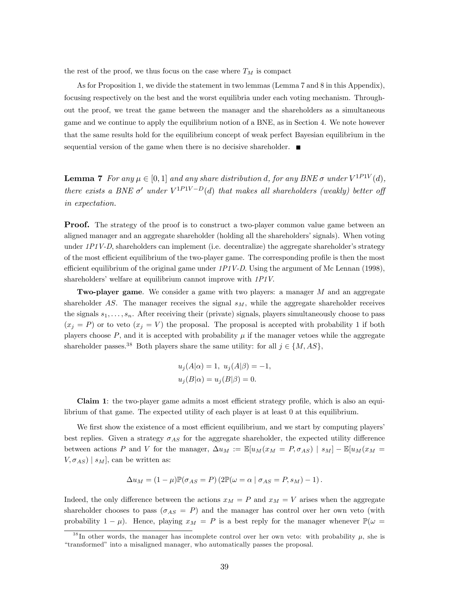the rest of the proof, we thus focus on the case where  $T_M$  is compact

As for Proposition 1, we divide the statement in two lemmas (Lemma 7 and 8 in this Appendix), focusing respectively on the best and the worst equilibria under each voting mechanism. Throughout the proof, we treat the game between the manager and the shareholders as a simultaneous game and we continue to apply the equilibrium notion of a BNE, as in Section 4. We note however that the same results hold for the equilibrium concept of weak perfect Bayesian equilibrium in the sequential version of the game when there is no decisive shareholder.  $\blacksquare$ 

**Lemma 7** For any  $\mu \in [0, 1]$  and any share distribution d, for any BNE  $\sigma$  under  $V^{1P1V}(d)$ , there exists a BNE  $\sigma'$  under  $V^{1P1V-D}(d)$  that makes all shareholders (weakly) better of in expectation.

**Proof.** The strategy of the proof is to construct a two-player common value game between an aligned manager and an aggregate shareholder (holding all the shareholders' signals). When voting under  $1P1V-D$ , shareholders can implement (i.e. decentralize) the aggregate shareholder's strategy of the most efficient equilibrium of the two-player game. The corresponding profile is then the most efficient equilibrium of the original game under  $1P1V-D$ . Using the argument of Mc Lennan (1998), shareholders' welfare at equilibrium cannot improve with  $1PIV$ .

Two-player game. We consider a game with two players: a manager M and an aggregate shareholder AS. The manager receives the signal  $s_M$ , while the aggregate shareholder receives the signals  $s_1, \ldots, s_n$ . After receiving their (private) signals, players simultaneously choose to pass  $(x_j = P)$  or to veto  $(x_j = V)$  the proposal. The proposal is accepted with probability 1 if both players choose  $P$ , and it is accepted with probability  $\mu$  if the manager vetoes while the aggregate shareholder passes.<sup>38</sup> Both players share the same utility: for all  $j \in \{M, AS\}$ ,

$$
u_j(A|\alpha) = 1, \ u_j(A|\beta) = -1,
$$
  

$$
u_j(B|\alpha) = u_j(B|\beta) = 0.
$$

Claim 1: the two-player game admits a most efficient strategy profile, which is also an equilibrium of that game. The expected utility of each player is at least 0 at this equilibrium.

We first show the existence of a most efficient equilibrium, and we start by computing players' best replies. Given a strategy  $\sigma_{AS}$  for the aggregate shareholder, the expected utility difference between actions P and V for the manager,  $\Delta u_M := \mathbb{E}[u_M(x_M = P, \sigma_{AS}) | s_M] - \mathbb{E}[u_M(x_M = P, \sigma_{AS})]$  $V, \sigma_{AS}$  |  $s_M$ ], can be written as:

$$
\Delta u_M = (1 - \mu) \mathbb{P}(\sigma_{AS} = P) (2 \mathbb{P}(\omega = \alpha \mid \sigma_{AS} = P, s_M) - 1).
$$

Indeed, the only difference between the actions  $x_M = P$  and  $x_M = V$  arises when the aggregate shareholder chooses to pass  $(\sigma_{AS} = P)$  and the manager has control over her own veto (with probability  $1 - \mu$ ). Hence, playing  $x_M = P$  is a best reply for the manager whenever  $\mathbb{P}(\omega =$ 

<sup>&</sup>lt;sup>38</sup>In other words, the manager has incomplete control over her own veto: with probability  $\mu$ , she is "transformed" into a misaligned manager, who automatically passes the proposal.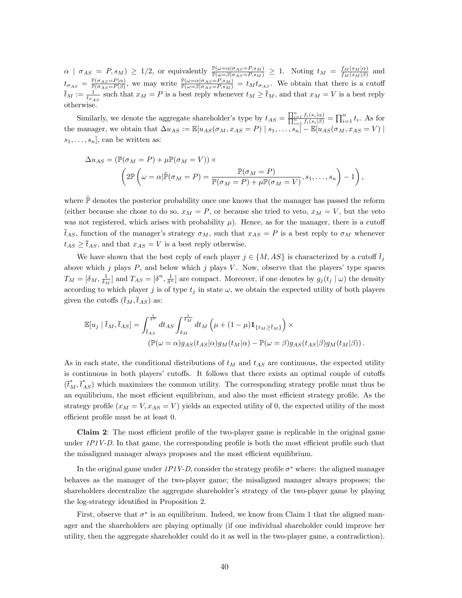$\alpha \mid \sigma_{AS} = P, s_M) \ge 1/2$ , or equivalently  $\frac{\mathbb{P}(\omega = \alpha | \sigma_{AS} = P, s_M)}{\mathbb{P}(\omega = \beta | \sigma_{AS} = P, s_M)} \ge 1$ . Noting  $t_M = \frac{f_M(s_M|\alpha)}{f_M(s_M|\beta)}$  $\frac{J_M(s_M|\alpha)}{f_M(s_M|\beta)}$  and  $t_{\sigma_{AS}} = \frac{\mathbb{P}(\sigma_{AS}=P|\alpha)}{\mathbb{P}(\sigma_{AS}=P|\beta)}$  $\frac{\mathbb{P}(\sigma_{AS}=P|\alpha)}{\mathbb{P}(\sigma_{AS}=P|\beta)}$ , we may write  $\frac{\mathbb{P}(\omega=\alpha|\sigma_{AS}=P,s_M)}{\mathbb{P}(\omega=\beta|\sigma_{AS}=P,s_M)}=t_Mt_{\sigma_{AS}}$ . We obtain that there is a cutoff  $\overline{t}_M := \frac{1}{t_{\sigma_{AS}}}$  such that  $x_M = P$  is a best reply whenever  $t_M \ge \overline{t}_M$ , and that  $x_M = V$  is a best reply otherwise.

Similarly, we denote the aggregate shareholder's type by  $t_{AS} = \frac{\prod_{i=1}^{n} f_i(s_i|\alpha)}{\prod_{i=1}^{n} f_i(s_i|\beta)} = \prod_{i=1}^{n} t_i$ . As for the manager, we obtain that  $\Delta u_{AS} := \mathbb{E}[u_{AS}(\sigma_M, x_{AS} = P) | s_1, \ldots, s_n] - \mathbb{E}[u_{AS}(\sigma_M, x_{AS} = V) |$  $s_1, \ldots, s_n$ , can be written as:

$$
\Delta u_{AS} = (\mathbb{P}(\sigma_M = P) + \mu \mathbb{P}(\sigma_M = V)) \times \left(2\mathbb{P}\left(\omega = \alpha | \tilde{\mathbb{P}}(\sigma_M = P) = \frac{\mathbb{P}(\sigma_M = P)}{\mathbb{P}(\sigma_M = P) + \mu \mathbb{P}(\sigma_M = V)}, s_1, \dots, s_n\right) - 1\right),
$$

where  $\mathbb{\tilde{P}}$  denotes the posterior probability once one knows that the manager has passed the reform (either because she chose to do so,  $x_M = P$ , or because she tried to veto,  $x_M = V$ , but the veto was not registered, which arises with probability  $\mu$ ). Hence, as for the manager, there is a cutoff  $\overline{t}_{AS}$ , function of the manager's strategy  $\sigma_M$ , such that  $x_{AS} = P$  is a best reply to  $\sigma_M$  whenever  $t_{AS} \geq \bar{t}_{AS}$ , and that  $x_{AS} = V$  is a best reply otherwise.

We have shown that the best reply of each player  $j \in \{M, AS\}$  is characterized by a cutoff  $\bar{t}_i$ above which j plays  $P$ , and below which j plays  $V$ . Now, observe that the players' type spaces  $T_M = [\delta_M, \frac{1}{\delta_M}]$  and  $T_{AS} = [\delta^n, \frac{1}{\delta^n}]$  are compact. Moreover, if one denotes by  $g_j(t_j | \omega)$  the density according to which player j is of type  $t_j$  in state  $\omega$ , we obtain the expected utility of both players given the cutoffs  $(\bar{t}_M,\bar{t}_{AS})$  as:

$$
\mathbb{E}[u_j \mid \bar{t}_M, \bar{t}_{AS}] = \int_{\bar{t}_{AS}}^{\frac{1}{\delta^n}} dt_{AS} \int_{\delta_M}^{\frac{1}{\delta_M}} dt_M \left( \mu + (1 - \mu) \mathbf{1}_{\{t_M \ge \bar{t}_M\}} \right) \times \n(\mathbb{P}(\omega = \alpha) g_{AS}(t_{AS}|\alpha) g_M(t_M|\alpha) - \mathbb{P}(\omega = \beta) g_{AS}(t_{AS}|\beta) g_M(t_M|\beta)).
$$

As in each state, the conditional distributions of  $t_M$  and  $t_{AS}$  are continuous, the expected utility is continuous in both players' cutoffs. It follows that there exists an optimal couple of cutoffs  $(\vec{t}_M^*, \vec{t}_{AS}^*)$  which maximizes the common utility. The corresponding strategy profile must thus be an equilibrium, the most efficient equilibrium, and also the most efficient strategy profile. As the strategy profile  $(x_M = V, x_{AS} = V)$  yields an expected utility of 0, the expected utility of the most efficient profile must be at least 0.

Claim 2: The most efficient profile of the two-player game is replicable in the original game under  $1PIV-D$ . In that game, the corresponding profile is both the most efficient profile such that the misaligned manager always proposes and the most efficient equilibrium.

In the original game under  $1PIV-D$ , consider the strategy profile  $\sigma^*$  where: the aligned manager behaves as the manager of the two-player game; the misaligned manager always proposes; the shareholders decentralize the aggregate shareholder's strategy of the two-player game by playing the log-strategy identified in Proposition 2.

First, observe that  $\sigma^*$  is an equilibrium. Indeed, we know from Claim 1 that the aligned manager and the shareholders are playing optimally (if one individual shareholder could improve her utility, then the aggregate shareholder could do it as well in the two-player game, a contradiction).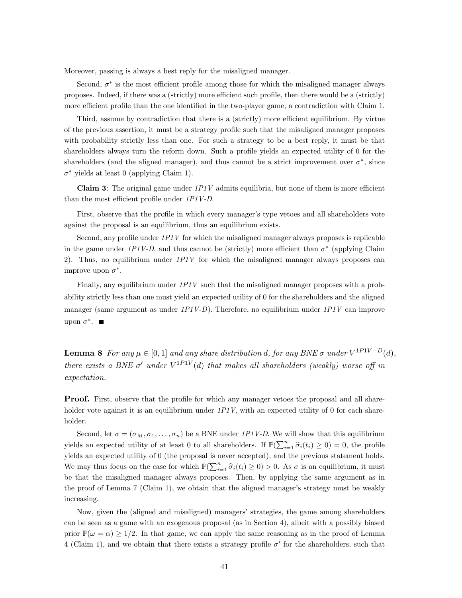Moreover, passing is always a best reply for the misaligned manager.

Second,  $\sigma^*$  is the most efficient profile among those for which the misaligned manager always proposes. Indeed, if there was a (strictly) more efficient such profile, then there would be a (strictly) more efficient profile than the one identified in the two-player game, a contradiction with Claim 1.

Third, assume by contradiction that there is a (strictly) more efficient equilibrium. By virtue of the previous assertion, it must be a strategy profile such that the misaligned manager proposes with probability strictly less than one. For such a strategy to be a best reply, it must be that shareholders always turn the reform down. Such a profile yields an expected utility of 0 for the shareholders (and the aligned manager), and thus cannot be a strict improvement over  $\sigma^*$ , since  $\sigma^*$  yields at least 0 (applying Claim 1).

**Claim 3:** The original game under  $1PIV$  admits equilibria, but none of them is more efficient than the most efficient profile under  $1P1V-D$ .

First, observe that the profile in which every manager's type vetoes and all shareholders vote against the proposal is an equilibrium, thus an equilibrium exists.

Second, any profile under  $1PIV$  for which the misaligned manager always proposes is replicable in the game under  $1P1V-D$ , and thus cannot be (strictly) more efficient than  $\sigma^*$  (applying Claim 2). Thus, no equilibrium under  $1PIV$  for which the misaligned manager always proposes can improve upon  $\sigma^*$ .

Finally, any equilibrium under  $1PIV$  such that the misaligned manager proposes with a probability strictly less than one must yield an expected utility of 0 for the shareholders and the aligned manager (same argument as under  $1PIV-D$ ). Therefore, no equilibrium under  $1PIV$  can improve upon  $\sigma^*$ .

**Lemma 8** For any  $\mu \in [0, 1]$  and any share distribution d, for any BNE  $\sigma$  under  $V^{1P1V-D}(d)$ , there exists a BNE  $\sigma'$  under  $V^{1P1V}(d)$  that makes all shareholders (weakly) worse off in expectation.

**Proof.** First, observe that the profile for which any manager vetoes the proposal and all shareholder vote against it is an equilibrium under  $1P1V$ , with an expected utility of 0 for each shareholder.

Second, let  $\sigma = (\sigma_M, \sigma_1, \ldots, \sigma_n)$  be a BNE under 1P1V-D. We will show that this equilibrium yields an expected utility of at least 0 to all shareholders. If  $\mathbb{P}(\sum_{i=1}^n \hat{\sigma}_i(t_i) \geq 0) = 0$ , the profile yields an expected utility of 0 (the proposal is never accepted), and the previous statement holds. We may thus focus on the case for which  $\mathbb{P}(\sum_{i=1}^n \hat{\sigma}_i(t_i) \geq 0) > 0$ . As  $\sigma$  is an equilibrium, it must be that the misaligned manager always proposes. Then, by applying the same argument as in the proof of Lemma 7 (Claim 1), we obtain that the aligned manager's strategy must be weakly increasing.

Now, given the (aligned and misaligned) managersí strategies, the game among shareholders can be seen as a game with an exogenous proposal (as in Section 4), albeit with a possibly biased prior  $\mathbb{P}(\omega = \alpha) \ge 1/2$ . In that game, we can apply the same reasoning as in the proof of Lemma 4 (Claim 1), and we obtain that there exists a strategy profile  $\sigma'$  for the shareholders, such that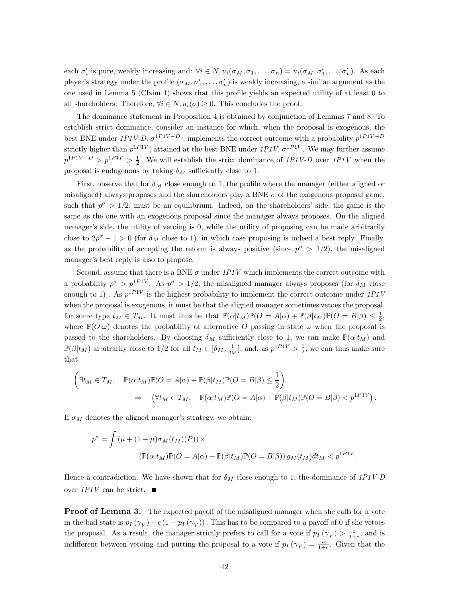each  $\sigma'_i$  is pure, weakly increasing and:  $\forall i \in N$ ,  $u_i(\sigma_M, \sigma_1, \ldots, \sigma_n) = u_i(\sigma_M, \sigma'_1, \ldots, \sigma'_n)$ . As each player's strategy under the profile  $(\sigma_M, \sigma'_1, \ldots, \sigma'_n)$  is weakly increasing, a similar argument as the one used in Lemma  $5$  (Claim 1) shows that this profile yields an expected utility of at least  $0$  to all shareholders. Therefore,  $\forall i \in N$ ,  $u_i(\sigma) \geq 0$ . This concludes the proof.

The dominance statement in Proposition 4 is obtained by conjunction of Lemmas 7 and 8. To establish strict dominance, consider an instance for which, when the proposal is exogenous, the best BNE under  $1P1V-D$ ,  $\sigma^{1P1V-D}$ , implements the correct outcome with a probability  $p^{1P1V-D}$ strictly higher than  $p^{1PIV}$ , attained at the best BNE under  $1PIV$ ,  $\sigma^{1PIV}$ . We may further assume  $p^{1PIV-D} > p^{1PIV} > \frac{1}{2}$ . We will establish the strict dominance of 1P1V-D over 1P1V when the proposal is endogenous by taking  $\delta_M$  sufficiently close to 1.

First, observe that for  $\delta_M$  close enough to 1, the profile where the manager (either aligned or misaligned) always proposes and the shareholders play a BNE  $\sigma$  of the exogenous proposal game, such that  $p^{\sigma} > 1/2$ , must be an equilibrium. Indeed, on the shareholders' side, the game is the same as the one with an exogenous proposal since the manager always proposes. On the aligned manager's side, the utility of vetoing is 0, while the utility of proposing can be made arbitrarily close to  $2p^{\sigma} - 1 > 0$  (for  $\delta_M$  close to 1), in which case proposing is indeed a best reply. Finally, as the probability of accepting the reform is always positive (since  $p^{\sigma} > 1/2$ ), the misaligned manager's best reply is also to propose.

Second, assume that there is a BNE  $\sigma$  under 1P1V which implements the correct outcome with a probability  $p^{\sigma} > p^{1PIV}$ . As  $p^{\sigma} > 1/2$ , the misaligned manager always proposes (for  $\delta_M$  close enough to 1). As  $p^{1PIV}$  is the highest probability to implement the correct outcome under  $1PIV$ when the proposal is exogenous, it must be that the aligned manager sometimes vetoes the proposal, for some type  $t_M \in T_M$ . It must thus be that  $\mathbb{P}(\alpha | t_M)\mathbb{P}(O = A|\alpha) + \mathbb{P}(\beta | t_M)\mathbb{P}(O = B|\beta) \leq \frac{1}{2}$ , where  $\mathbb{P}(O|\omega)$  denotes the probability of alternative O passing in state  $\omega$  when the proposal is passed to the shareholders. By choosing  $\delta_M$  sufficiently close to 1, we can make  $\mathbb{P}(\alpha|t_M)$  and  $\mathbb{P}(\beta | t_M)$  arbitrarily close to 1/2 for all  $t_M \in [\delta_M, \frac{1}{\delta_M}]$ , and, as  $p^{1P1V} > \frac{1}{2}$ , we can thus make sure that

$$
\left(\exists t_M \in T_M, \quad \mathbb{P}(\alpha | t_M) \mathbb{P}(O = A | \alpha) + \mathbb{P}(\beta | t_M) \mathbb{P}(O = B | \beta) \leq \frac{1}{2}\right)
$$
  
\n
$$
\Rightarrow \quad (\forall t_M \in T_M, \quad \mathbb{P}(\alpha | t_M) \mathbb{P}(O = A | \alpha) + \mathbb{P}(\beta | t_M) \mathbb{P}(O = B | \beta) < p^{1PIV}).
$$

If  $\sigma_M$  denotes the aligned manager's strategy, we obtain:

$$
p^{\sigma} = \int (\mu + (1 - \mu)\sigma_M(t_M)(P)) \times
$$
  

$$
(\mathbb{P}(\alpha | t_M)\mathbb{P}(O = A|\alpha) + \mathbb{P}(\beta | t_M)\mathbb{P}(O = B|\beta)) g_M(t_M) dt_M < p^{1PIV}.
$$

Hence a contradiction. We have shown that for  $\delta_M$  close enough to 1, the dominance of 1P1V-D over  $1PIV$  can be strict.  $\blacksquare$ 

**Proof of Lemma 3.** The expected payoff of the misaligned manager when she calls for a vote in the bad state is  $p_I(\gamma_V) - c(1 - p_I(\gamma_V))$ . This has to be compared to a payoff of 0 if she vetoes the proposal. As a result, the manager strictly prefers to call for a vote if  $p_I(\gamma_V) > \frac{c}{1+c}$ , and is indifferent between vetoing and putting the proposal to a vote if  $p_I(\gamma_V) = \frac{c}{1+c}$ . Given that the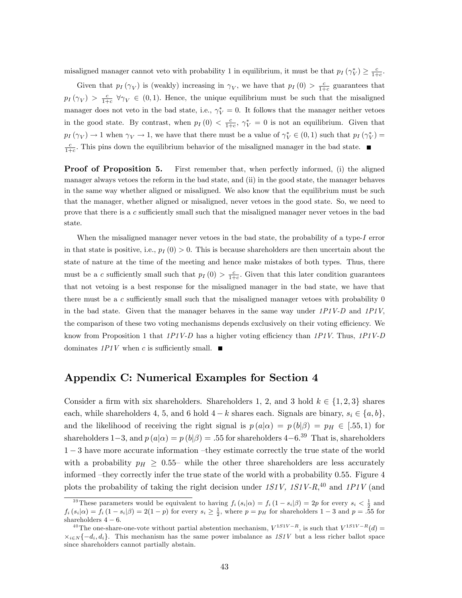misaligned manager cannot veto with probability 1 in equilibrium, it must be that  $p_I(\gamma_V^*) \geq \frac{c}{1+c}$ .

Given that  $p_I(\gamma_V)$  is (weakly) increasing in  $\gamma_V$ , we have that  $p_I(0) > \frac{c}{1+c}$  guarantees that  $p_I(\gamma_V) > \frac{c}{1+c}$   $\forall \gamma_V \in (0,1)$ . Hence, the unique equilibrium must be such that the misaligned manager does not veto in the bad state, i.e.,  $\gamma_V^* = 0$ . It follows that the manager neither vetoes in the good state. By contrast, when  $p_I(0) < \frac{c}{1+c}$ ,  $\gamma_V^* = 0$  is not an equilibrium. Given that  $p_I(\gamma_V) \to 1$  when  $\gamma_V \to 1$ , we have that there must be a value of  $\gamma_V^* \in (0,1)$  such that  $p_I(\gamma_V^*) =$  $\frac{c}{1+c}$ . This pins down the equilibrium behavior of the misaligned manager in the bad state.

**Proof of Proposition 5.** First remember that, when perfectly informed, (i) the aligned manager always vetoes the reform in the bad state, and (ii) in the good state, the manager behaves in the same way whether aligned or misaligned. We also know that the equilibrium must be such that the manager, whether aligned or misaligned, never vetoes in the good state. So, we need to prove that there is a  $c$  sufficiently small such that the misaligned manager never vetoes in the bad state.

When the misaligned manager never vetoes in the bad state, the probability of a type-I error in that state is positive, i.e.,  $p_I(0) > 0$ . This is because shareholders are then uncertain about the state of nature at the time of the meeting and hence make mistakes of both types. Thus, there must be a c sufficiently small such that  $p_I(0) > \frac{c}{1+c}$ . Given that this later condition guarantees that not vetoing is a best response for the misaligned manager in the bad state, we have that there must be a  $c$  sufficiently small such that the misaligned manager vetoes with probability  $0$ in the bad state. Given that the manager behaves in the same way under  $1P1V-D$  and  $1P1V$ , the comparison of these two voting mechanisms depends exclusively on their voting efficiency. We know from Proposition 1 that  $1P1V-D$  has a higher voting efficiency than  $1P1V$ . Thus,  $1P1V-D$ dominates  $1PIV$  when c is sufficiently small.  $\blacksquare$ 

## Appendix C: Numerical Examples for Section 4

Consider a firm with six shareholders. Shareholders 1, 2, and 3 hold  $k \in \{1, 2, 3\}$  shares each, while shareholders 4, 5, and 6 hold  $4-k$  shares each. Signals are binary,  $s_i \in \{a, b\}$ , and the likelihood of receiving the right signal is  $p(a|\alpha) = p(b|\beta) = p_H \in [.55,1)$  for shareholders 1-3, and  $p(a|\alpha) = p(b|\beta) = .55$  for shareholders 4-6.<sup>39</sup> That is, shareholders  $1 - 3$  have more accurate information -they estimate correctly the true state of the world with a probability  $p_H \geq 0.55$  while the other three shareholders are less accurately informed  $-they$  correctly infer the true state of the world with a probability 0.55. Figure 4 plots the probability of taking the right decision under  $1S1V$ ,  $1S1V-R$ ,  $^{40}$  and  $1P1V$  (and

<sup>&</sup>lt;sup>39</sup>These parameters would be equivalent to having  $f_i(s_i|\alpha) = f_i(1-s_i|\beta) = 2p$  for every  $s_i < \frac{1}{2}$  and  $f_i(s_i|\alpha) = f_i(1-s_i|\beta) = 2(1-p)$  for every  $s_i \geq \frac{1}{2}$ , where  $p = p_H$  for shareholders  $1-3$  and  $p = .55$  for shareholders  $4 - 6$ .

<sup>&</sup>lt;sup>40</sup>The one-share-one-vote without partial abstention mechanism,  $V^{1S1V-R}$ , is such that  $V^{1S1V-R}(d)$  $x_{i\in N}\{-d_i, d_i\}$ . This mechanism has the same power imbalance as  $1S1V$  but a less richer ballot space since shareholders cannot partially abstain.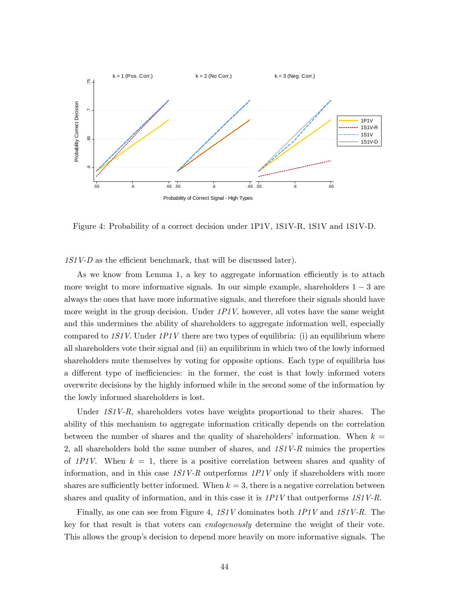

Figure 4: Probability of a correct decision under 1P1V, 1S1V-R, 1S1V and 1S1V-D.

 $1S1V-D$  as the efficient benchmark, that will be discussed later).

As we know from Lemma 1, a key to aggregate information efficiently is to attach more weight to more informative signals. In our simple example, shareholders  $1 - 3$  are always the ones that have more informative signals, and therefore their signals should have more weight in the group decision. Under  $1PIV$ , however, all votes have the same weight and this undermines the ability of shareholders to aggregate information well, especially compared to  $1S1V$ . Under  $1P1V$  there are two types of equilibria: (i) an equilibrium where all shareholders vote their signal and (ii) an equilibrium in which two of the lowly informed shareholders mute themselves by voting for opposite options. Each type of equilibria has a different type of inefficiencies: in the former, the cost is that lowly informed voters overwrite decisions by the highly informed while in the second some of the information by the lowly informed shareholders is lost.

Under 1S1V-R, shareholders votes have weights proportional to their shares. The ability of this mechanism to aggregate information critically depends on the correlation between the number of shares and the quality of shareholders' information. When  $k =$ 2, all shareholders hold the same number of shares, and  $1S_1V-R$  mimics the properties of 1P1V. When  $k = 1$ , there is a positive correlation between shares and quality of information, and in this case  $1S1V-R$  outperforms  $1P1V$  only if shareholders with more shares are sufficiently better informed. When  $k = 3$ , there is a negative correlation between shares and quality of information, and in this case it is  $1P1V$  that outperforms  $1S1V-R$ .

Finally, as one can see from Figure 4, 1S1V dominates both 1P1V and 1S1V-R. The key for that result is that voters can endogenously determine the weight of their vote. This allows the group's decision to depend more heavily on more informative signals. The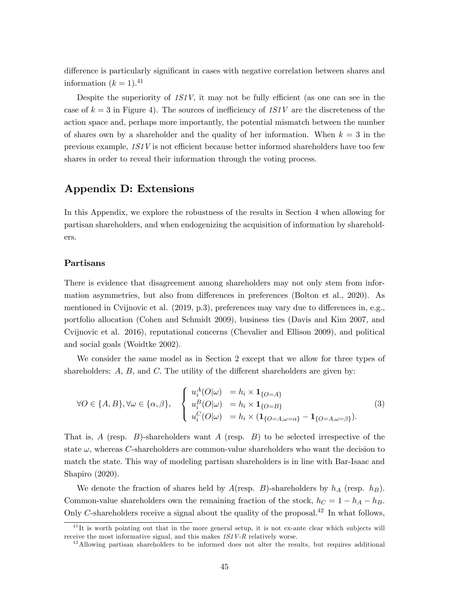difference is particularly significant in cases with negative correlation between shares and information  $(k = 1).<sup>41</sup>$ 

Despite the superiority of  $1S1V$ , it may not be fully efficient (as one can see in the case of  $k = 3$  in Figure 4). The sources of inefficiency of 1S1V are the discreteness of the action space and, perhaps more importantly, the potential mismatch between the number of shares own by a shareholder and the quality of her information. When  $k = 3$  in the previous example,  $1S1V$  is not efficient because better informed shareholders have too few shares in order to reveal their information through the voting process.

## Appendix D: Extensions

In this Appendix, we explore the robustness of the results in Section 4 when allowing for partisan shareholders, and when endogenizing the acquisition of information by shareholders.

## Partisans

There is evidence that disagreement among shareholders may not only stem from information asymmetries, but also from differences in preferences (Bolton et al., 2020). As mentioned in Cvijnovic et al.  $(2019, p.3)$ , preferences may vary due to differences in, e.g., portfolio allocation (Cohen and Schmidt 2009), business ties (Davis and Kim 2007, and Cvijnovic et al. 2016), reputational concerns (Chevalier and Ellison 2009), and political and social goals (Woidtke 2002).

We consider the same model as in Section 2 except that we allow for three types of shareholders:  $A, B$ , and  $C$ . The utility of the different shareholders are given by:

$$
\forall O \in \{A, B\}, \forall \omega \in \{\alpha, \beta\}, \quad\n\begin{cases}\n u_i^A(O|\omega) &= h_i \times \mathbf{1}_{\{O = A\}} \\
 u_i^B(O|\omega) &= h_i \times \mathbf{1}_{\{O = B\}} \\
 u_i^C(O|\omega) &= h_i \times (\mathbf{1}_{\{O = A, \omega = \alpha\}} - \mathbf{1}_{\{O = A, \omega = \beta\}}).\n\end{cases}\n\tag{3}
$$

That is, A (resp.  $B$ )-shareholders want A (resp.  $B$ ) to be selected irrespective of the state  $\omega$ , whereas C-shareholders are common-value shareholders who want the decision to match the state. This way of modeling partisan shareholders is in line with Bar-Isaac and Shapiro (2020).

We denote the fraction of shares held by  $A$ (resp.  $B$ )-shareholders by  $h_A$  (resp.  $h_B$ ). Common-value shareholders own the remaining fraction of the stock,  $h_C = 1 - h_A - h_B$ . Only C-shareholders receive a signal about the quality of the proposal.<sup>42</sup> In what follows,

 $^{41}$ It is worth pointing out that in the more general setup, it is not ex-ante clear which subjects will receive the most informative signal, and this makes  $1S1V-R$  relatively worse.

 $42$ Allowing partisan shareholders to be informed does not alter the results, but requires additional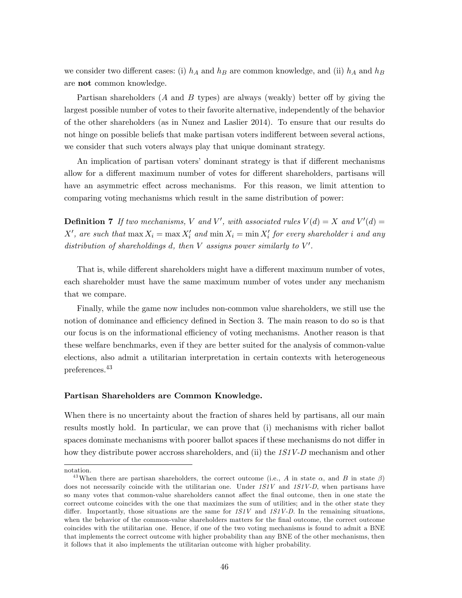we consider two different cases: (i)  $h_A$  and  $h_B$  are common knowledge, and (ii)  $h_A$  and  $h_B$ are not common knowledge.

Partisan shareholders (A and B types) are always (weakly) better off by giving the largest possible number of votes to their favorite alternative, independently of the behavior of the other shareholders (as in Nunez and Laslier 2014). To ensure that our results do not hinge on possible beliefs that make partisan voters indifferent between several actions, we consider that such voters always play that unique dominant strategy.

An implication of partisan voters' dominant strategy is that if different mechanisms allow for a different maximum number of votes for different shareholders, partisans will have an asymmetric effect across mechanisms. For this reason, we limit attention to comparing voting mechanisms which result in the same distribution of power:

**Definition 7** If two mechanisms, V and V', with associated rules  $V(d) = X$  and  $V'(d) =$ X', are such that  $\max X_i = \max X'_i$  and  $\min X_i = \min X'_i$  for every shareholder i and any distribution of shareholdings d, then  $V$  assigns power similarly to  $V'$ .

That is, while different shareholders might have a different maximum number of votes, each shareholder must have the same maximum number of votes under any mechanism that we compare.

Finally, while the game now includes non-common value shareholders, we still use the notion of dominance and efficiency defined in Section 3. The main reason to do so is that our focus is on the informational efficiency of voting mechanisms. Another reason is that these welfare benchmarks, even if they are better suited for the analysis of common-value elections, also admit a utilitarian interpretation in certain contexts with heterogeneous preferences.<sup>43</sup>

#### Partisan Shareholders are Common Knowledge.

When there is no uncertainty about the fraction of shares held by partisans, all our main results mostly hold. In particular, we can prove that (i) mechanisms with richer ballot spaces dominate mechanisms with poorer ballot spaces if these mechanisms do not differ in how they distribute power accross shareholders, and (ii) the 1S1V-D mechanism and other

notation.

<sup>&</sup>lt;sup>43</sup>When there are partisan shareholders, the correct outcome (i.e., A in state  $\alpha$ , and B in state  $\beta$ ) does not necessarily coincide with the utilitarian one. Under  $1S1V$  and  $1S1V-D$ , when partisans have so many votes that common-value shareholders cannot affect the final outcome, then in one state the correct outcome coincides with the one that maximizes the sum of utilities; and in the other state they differ. Importantly, those situations are the same for  $1S1V$  and  $1S1V-D$ . In the remaining situations, when the behavior of the common-value shareholders matters for the final outcome, the correct outcome coincides with the utilitarian one. Hence, if one of the two voting mechanisms is found to admit a BNE that implements the correct outcome with higher probability than any BNE of the other mechanisms, then it follows that it also implements the utilitarian outcome with higher probability.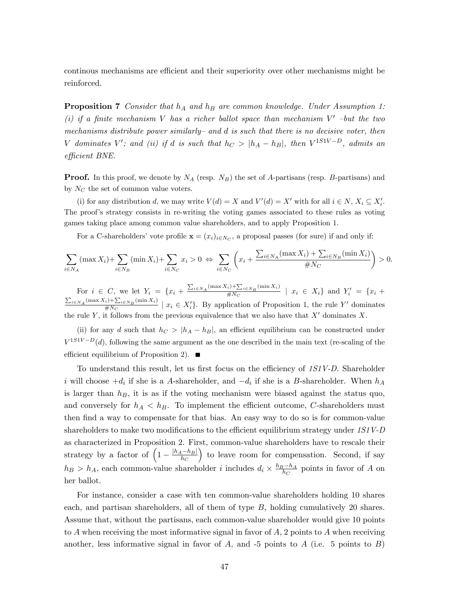continous mechanisms are efficient and their superiority over other mechanisms might be reinforced.

**Proposition 7** Consider that  $h_A$  and  $h_B$  are common knowledge. Under Assumption 1: (i) if a finite mechanism V has a richer ballot space than mechanism  $V'$  -but the two mechanisms distribute power similarly– and d is such that there is no decisive voter, then V dominates V'; and (ii) if d is such that  $h_C > |h_A - h_B|$ , then  $V^{1S1V-D}$ , admits an efficient BNE.

**Proof.** In this proof, we denote by  $N_A$  (resp.  $N_B$ ) the set of A-partisans (resp. B-partisans) and by  $N_C$  the set of common value voters.

(i) for any distribution d, we may write  $V(d) = X$  and  $V'(d) = X'$  with for all  $i \in N$ ,  $X_i \subseteq X'_i$ . The proof's strategy consists in re-writing the voting games associated to these rules as voting games taking place among common value shareholders, and to apply Proposition 1.

For a C-shareholders' vote profile  $\mathbf{x} = (x_i)_{i \in N_C}$ , a proposal passes (for sure) if and only if:

$$
\sum_{i \in N_A} (\max X_i) + \sum_{i \in N_B} (\min X_i) + \sum_{i \in N_C} x_i > 0 \Leftrightarrow \sum_{i \in N_C} \left( x_i + \frac{\sum_{i \in N_A} (\max X_i) + \sum_{i \in N_B} (\min X_i)}{\#N_C} \right) > 0.
$$

For  $i \in C$ , we let  $Y_i = \{x_i + \frac{\sum_{i \in N_A} (\max X_i) + \sum_{i \in N_B} (\min X_i)}{\#N_C}\}$ For  $i \in C$ , we let  $Y_i = \{x_i + \frac{\sum_{i \in N_A} (\min X_i)}{\#N_C} \mid x_i \in X_i\}$  and  $Y'_i = \{x_i + \frac{\sum_{i \in N_A} (\max X_i) + \sum_{i \in N_B} (\min X_i)}{\#N_C} \mid x_i \in X_i\}$  and  $Y'_i = \{x_i + \frac{\sum_{i \in N_A} (\max X_i) + \sum_{i \in N_B} (\min X_i)}{\#N_C} \mid x_i \in X'\}$  $\frac{W_1 \cup Z_2 \in N_B(\text{min }1, Y)}{W_1 \oplus W_2}$   $x_i \in X'_i$ . By application of Proposition 1, the rule Y' dominates the rule Y, it follows from the previous equivalence that we also have that  $X'$  dominates X.

(ii) for any d such that  $h_C > |h_A - h_B|$ , an efficient equilibrium can be constructed under  $V^{1S1V-D}(d)$ , following the same argument as the one described in the main text (re-scaling of the efficient equilibrium of Proposition 2).  $\blacksquare$ 

To understand this result, let us first focus on the efficiency of  $1S1V-D$ . Shareholder i will choose  $+d_i$  if she is a A-shareholder, and  $-d_i$  if she is a B-shareholder. When  $h_A$ is larger than  $h_B$ , it is as if the voting mechanism were biased against the status quo, and conversely for  $h_A < h_B$ . To implement the efficient outcome, C-shareholders must then find a way to compensate for that bias. An easy way to do so is for common-value shareholders to make two modifications to the efficient equilibrium strategy under  $1S1V-D$ as characterized in Proposition 2. First, common-value shareholders have to rescale their strategy by a factor of  $\left(1 - \frac{|h_A - h_B|}{h_C}\right)$  to leave room for compensation. Second, if say  $h_B > h_A$ , each common-value shareholder *i* includes  $d_i \times \frac{h_B - h_A}{h_C}$  points in favor of A on her ballot.

For instance, consider a case with ten common-value shareholders holding 10 shares each, and partisan shareholders, all of them of type B, holding cumulatively 20 shares. Assume that, without the partisans, each common-value shareholder would give 10 points to A when receiving the most informative signal in favor of  $A$ , 2 points to A when receiving another, less informative signal in favor of  $A$ , and -5 points to  $A$  (i.e. 5 points to  $B$ )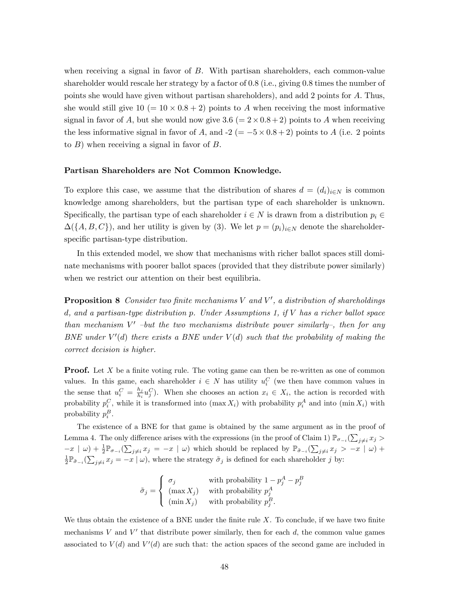when receiving a signal in favor of B. With partisan shareholders, each common-value shareholder would rescale her strategy by a factor of 0.8 (i.e., giving 0.8 times the number of points she would have given without partisan shareholders), and add 2 points for A: Thus, she would still give  $10 (= 10 \times 0.8 + 2)$  points to A when receiving the most informative signal in favor of A, but she would now give  $3.6 (= 2 \times 0.8 + 2)$  points to A when receiving the less informative signal in favor of A, and  $-2 (= -5 \times 0.8 + 2)$  points to A (i.e. 2 points to  $B$ ) when receiving a signal in favor of  $B$ .

#### Partisan Shareholders are Not Common Knowledge.

To explore this case, we assume that the distribution of shares  $d = (d_i)_{i \in N}$  is common knowledge among shareholders, but the partisan type of each shareholder is unknown. Specifically, the partisan type of each shareholder  $i \in N$  is drawn from a distribution  $p_i \in$  $\Delta({A, B, C})$ , and her utility is given by (3). We let  $p = (p_i)_{i \in N}$  denote the shareholderspecific partisan-type distribution.

In this extended model, we show that mechanisms with richer ballot spaces still dominate mechanisms with poorer ballot spaces (provided that they distribute power similarly) when we restrict our attention on their best equilibria.

**Proposition 8** Consider two finite mechanisms V and V', a distribution of shareholdings d, and a partisan-type distribution p. Under Assumptions 1, if V has a richer ballot space than mechanism  $V'$  -but the two mechanisms distribute power similarly-, then for any BNE under  $V'(d)$  there exists a BNE under  $V(d)$  such that the probability of making the correct decision is higher.

**Proof.** Let X be a finite voting rule. The voting game can then be re-written as one of common values. In this game, each shareholder  $i \in N$  has utility  $u_i^C$  (we then have common values in the sense that  $u_i^C = \frac{h_j}{h_i}$  $\frac{h_j}{h_i}u_j^C$ ). When she chooses an action  $x_i \in X_i$ , the action is recorded with probability  $p_i^C$ , while it is transformed into  $(\max X_i)$  with probability  $p_i^A$  and into  $(\min X_i)$  with probability  $p_i^B$ .

The existence of a BNE for that game is obtained by the same argument as in the proof of Lemma 4. The only difference arises with the expressions (in the proof of Claim 1)  $\mathbb{P}_{\sigma_{-i}}(\sum_{j\neq i}x_j>$  $(x-x \mid \omega) + \frac{1}{2} \mathbb{P}_{\sigma_{-i}}(\sum_{j \neq i} x_j = -x \mid \omega)$  which should be replaced by  $\mathbb{P}_{\tilde{\sigma}_{-i}}(\sum_{j \neq i} x_j > -x \mid \omega) +$  $\frac{1}{2} \mathbb{P}_{\tilde{\sigma}_{-i}}(\sum_{j \neq i} x_j = -x \mid \omega)$ , where the strategy  $\tilde{\sigma}_j$  is defined for each shareholder j by:

$$
\tilde{\sigma}_j = \begin{cases}\n\sigma_j & \text{with probability } 1 - p_j^A - p_j^B \\
(\max X_j) & \text{with probability } p_j^A \\
(\min X_j) & \text{with probability } p_j^B.\n\end{cases}
$$

We thus obtain the existence of a BNE under the finite rule  $X$ . To conclude, if we have two finite mechanisms V and V' that distribute power similarly, then for each  $d$ , the common value games associated to  $V(d)$  and  $V'(d)$  are such that: the action spaces of the second game are included in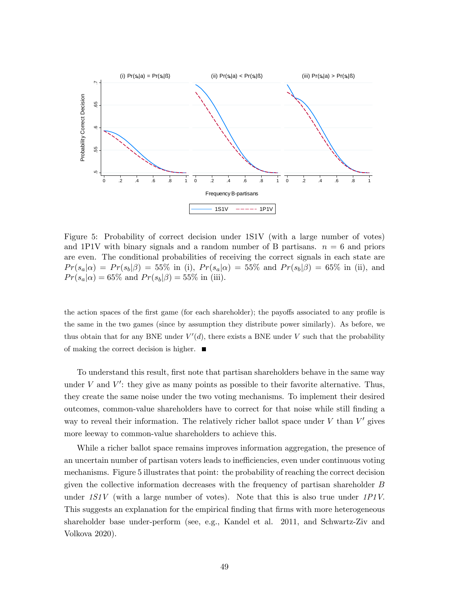

Figure 5: Probability of correct decision under 1S1V (with a large number of votes) and 1P1V with binary signals and a random number of B partisans.  $n = 6$  and priors are even. The conditional probabilities of receiving the correct signals in each state are  $Pr(s_a|\alpha) = Pr(s_b|\beta) = 55\%$  in (i),  $Pr(s_a|\alpha) = 55\%$  and  $Pr(s_b|\beta) = 65\%$  in (ii), and  $Pr(s_a|\alpha) = 65\%$  and  $Pr(s_b|\beta) = 55\%$  in (iii).

the action spaces of the first game (for each shareholder); the payoffs associated to any profile is the same in the two games (since by assumption they distribute power similarly). As before, we thus obtain that for any BNE under  $V'(d)$ , there exists a BNE under V such that the probability of making the correct decision is higher.  $\blacksquare$ 

To understand this result, first note that partisan shareholders behave in the same way under  $V$  and  $V'$ : they give as many points as possible to their favorite alternative. Thus, they create the same noise under the two voting mechanisms. To implement their desired outcomes, common-value shareholders have to correct for that noise while still Önding a way to reveal their information. The relatively richer ballot space under  $V$  than  $V'$  gives more leeway to common-value shareholders to achieve this.

While a richer ballot space remains improves information aggregation, the presence of an uncertain number of partisan voters leads to inefficiencies, even under continuous voting mechanisms. Figure 5 illustrates that point: the probability of reaching the correct decision given the collective information decreases with the frequency of partisan shareholder B under  $1S1V$  (with a large number of votes). Note that this is also true under  $1P1V$ . This suggests an explanation for the empirical finding that firms with more heterogeneous shareholder base under-perform (see, e.g., Kandel et al. 2011, and Schwartz-Ziv and Volkova 2020).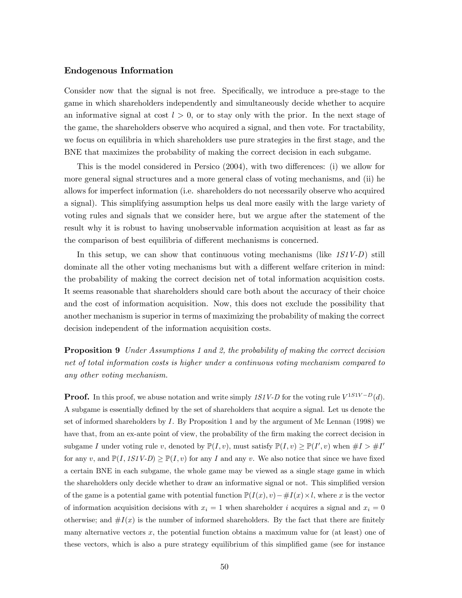## Endogenous Information

Consider now that the signal is not free. Specifically, we introduce a pre-stage to the game in which shareholders independently and simultaneously decide whether to acquire an informative signal at cost  $l > 0$ , or to stay only with the prior. In the next stage of the game, the shareholders observe who acquired a signal, and then vote. For tractability, we focus on equilibria in which shareholders use pure strategies in the first stage, and the BNE that maximizes the probability of making the correct decision in each subgame.

This is the model considered in Persico  $(2004)$ , with two differences: (i) we allow for more general signal structures and a more general class of voting mechanisms, and (ii) he allows for imperfect information (i.e. shareholders do not necessarily observe who acquired a signal). This simplifying assumption helps us deal more easily with the large variety of voting rules and signals that we consider here, but we argue after the statement of the result why it is robust to having unobservable information acquisition at least as far as the comparison of best equilibria of different mechanisms is concerned.

In this setup, we can show that continuous voting mechanisms (like  $1S1V-D$ ) still dominate all the other voting mechanisms but with a different welfare criterion in mind: the probability of making the correct decision net of total information acquisition costs. It seems reasonable that shareholders should care both about the accuracy of their choice and the cost of information acquisition. Now, this does not exclude the possibility that another mechanism is superior in terms of maximizing the probability of making the correct decision independent of the information acquisition costs.

**Proposition 9** Under Assumptions 1 and 2, the probability of making the correct decision net of total information costs is higher under a continuous voting mechanism compared to any other voting mechanism.

**Proof.** In this proof, we abuse notation and write simply 1S1V-D for the voting rule  $V^{1S1V-D}(d)$ . A subgame is essentially defined by the set of shareholders that acquire a signal. Let us denote the set of informed shareholders by I. By Proposition 1 and by the argument of Mc Lennan (1998) we have that, from an ex-ante point of view, the probability of the firm making the correct decision in subgame I under voting rule v, denoted by  $\mathbb{P}(I, v)$ , must satisfy  $\mathbb{P}(I, v) \ge \mathbb{P}(I', v)$  when  $\#I > \#I'$ for any v, and  $\mathbb{P}(I, 1S1V-D) \geq \mathbb{P}(I, v)$  for any I and any v. We also notice that since we have fixed a certain BNE in each subgame, the whole game may be viewed as a single stage game in which the shareholders only decide whether to draw an informative signal or not. This simplified version of the game is a potential game with potential function  $\mathbb{P}(I(x), v) - \#I(x) \times l$ , where x is the vector of information acquisition decisions with  $x_i = 1$  when shareholder i acquires a signal and  $x_i = 0$ otherwise; and  $\#I(x)$  is the number of informed shareholders. By the fact that there are finitely many alternative vectors  $x$ , the potential function obtains a maximum value for (at least) one of these vectors, which is also a pure strategy equilibrium of this simplified game (see for instance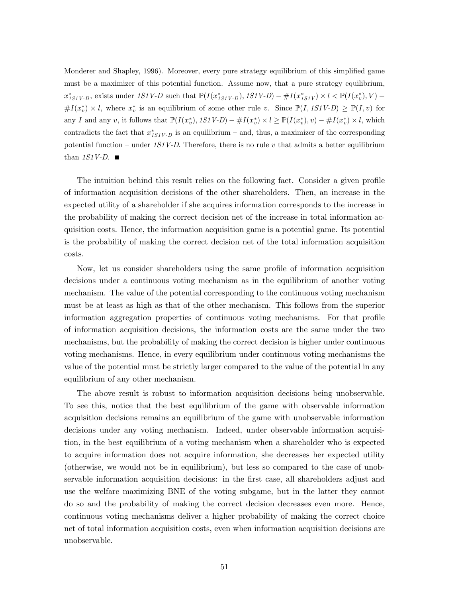Monderer and Shapley, 1996). Moreover, every pure strategy equilibrium of this simplified game must be a maximizer of this potential function. Assume now, that a pure strategy equilibrium,  $x^*_{1S1V\text{-}D}$ , exists under  $1S1V\text{-}D$  such that  $\mathbb{P}(I(x^*_{1S1V\text{-}D}), 1S1V\text{-}D) - #I(x^*_{1S1V}) \times l < \mathbb{P}(I(x^*_{v}), V) \#I(x_v^*) \times l$ , where  $x_v^*$  is an equilibrium of some other rule v. Since  $\mathbb{P}(I, 1S1V-D) \geq \mathbb{P}(I, v)$  for any I and any v, it follows that  $\mathbb{P}(I(x_v^*), 1S1V-D) - #I(x_v^*) \times l \geq \mathbb{P}(I(x_v^*), v) - #I(x_v^*) \times l$ , which contradicts the fact that  $x_{1S1V-D}^{*}$  is an equilibrium – and, thus, a maximizer of the corresponding potential function – under  $1S1V-D$ . Therefore, there is no rule v that admits a better equilibrium than  $1S1V-D.$ 

The intuition behind this result relies on the following fact. Consider a given profile of information acquisition decisions of the other shareholders. Then, an increase in the expected utility of a shareholder if she acquires information corresponds to the increase in the probability of making the correct decision net of the increase in total information acquisition costs. Hence, the information acquisition game is a potential game. Its potential is the probability of making the correct decision net of the total information acquisition costs.

Now, let us consider shareholders using the same profile of information acquisition decisions under a continuous voting mechanism as in the equilibrium of another voting mechanism. The value of the potential corresponding to the continuous voting mechanism must be at least as high as that of the other mechanism. This follows from the superior information aggregation properties of continuous voting mechanisms. For that profile of information acquisition decisions, the information costs are the same under the two mechanisms, but the probability of making the correct decision is higher under continuous voting mechanisms. Hence, in every equilibrium under continuous voting mechanisms the value of the potential must be strictly larger compared to the value of the potential in any equilibrium of any other mechanism.

The above result is robust to information acquisition decisions being unobservable. To see this, notice that the best equilibrium of the game with observable information acquisition decisions remains an equilibrium of the game with unobservable information decisions under any voting mechanism. Indeed, under observable information acquisition, in the best equilibrium of a voting mechanism when a shareholder who is expected to acquire information does not acquire information, she decreases her expected utility (otherwise, we would not be in equilibrium), but less so compared to the case of unobservable information acquisition decisions: in the first case, all shareholders adjust and use the welfare maximizing BNE of the voting subgame, but in the latter they cannot do so and the probability of making the correct decision decreases even more. Hence, continuous voting mechanisms deliver a higher probability of making the correct choice net of total information acquisition costs, even when information acquisition decisions are unobservable.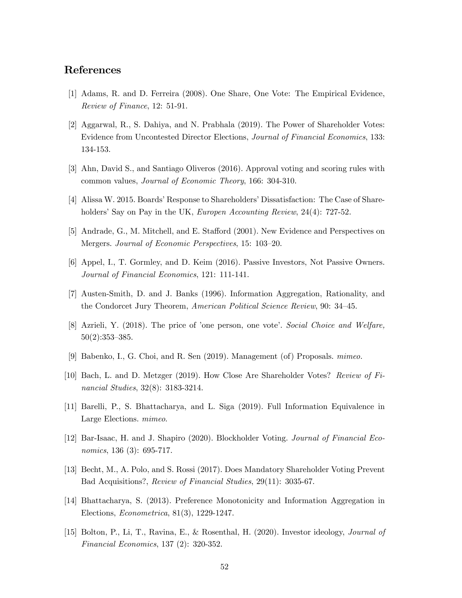## References

- [1] Adams, R. and D. Ferreira (2008). One Share, One Vote: The Empirical Evidence, Review of Finance, 12: 51-91.
- [2] Aggarwal, R., S. Dahiya, and N. Prabhala (2019). The Power of Shareholder Votes: Evidence from Uncontested Director Elections, Journal of Financial Economics, 133: 134-153.
- [3] Ahn, David S., and Santiago Oliveros (2016). Approval voting and scoring rules with common values, Journal of Economic Theory, 166: 304-310.
- [4] Alissa W. 2015. Boards' Response to Shareholders' Dissatisfaction: The Case of Shareholders' Say on Pay in the UK, Europen Accounting Review, 24(4): 727-52.
- [5] Andrade, G., M. Mitchell, and E. Stafford (2001). New Evidence and Perspectives on Mergers. Journal of Economic Perspectives, 15: 103–20.
- [6] Appel, I., T. Gormley, and D. Keim (2016). Passive Investors, Not Passive Owners. Journal of Financial Economics, 121: 111-141.
- [7] Austen-Smith, D. and J. Banks (1996). Information Aggregation, Rationality, and the Condorcet Jury Theorem, American Political Science Review, 90: 34–45.
- [8] Azrieli, Y. (2018). The price of 'one person, one vote'. Social Choice and Welfare,  $50(2):353-385.$
- [9] Babenko, I., G. Choi, and R. Sen (2019). Management (of) Proposals. mimeo.
- [10] Bach, L. and D. Metzger (2019). How Close Are Shareholder Votes? Review of Financial Studies, 32(8): 3183-3214.
- [11] Barelli, P., S. Bhattacharya, and L. Siga (2019). Full Information Equivalence in Large Elections. mimeo.
- [12] Bar-Isaac, H. and J. Shapiro (2020). Blockholder Voting. Journal of Financial Economics, 136 (3): 695-717.
- [13] Becht, M., A. Polo, and S. Rossi (2017). Does Mandatory Shareholder Voting Prevent Bad Acquisitions?, Review of Financial Studies, 29(11): 3035-67.
- [14] Bhattacharya, S. (2013). Preference Monotonicity and Information Aggregation in Elections, Econometrica, 81(3), 1229-1247.
- [15] Bolton, P., Li, T., Ravina, E., & Rosenthal, H. (2020). Investor ideology, Journal of Financial Economics, 137 (2): 320-352.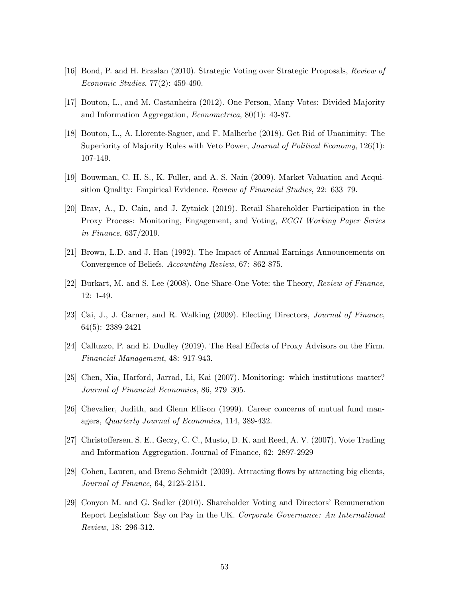- [16] Bond, P. and H. Eraslan (2010). Strategic Voting over Strategic Proposals, Review of Economic Studies, 77(2): 459-490.
- [17] Bouton, L., and M. Castanheira (2012). One Person, Many Votes: Divided Majority and Information Aggregation, Econometrica, 80(1): 43-87.
- [18] Bouton, L., A. Llorente-Saguer, and F. Malherbe (2018). Get Rid of Unanimity: The Superiority of Majority Rules with Veto Power, *Journal of Political Economy*, 126(1): 107-149.
- [19] Bouwman, C. H. S., K. Fuller, and A. S. Nain (2009). Market Valuation and Acquisition Quality: Empirical Evidence. Review of Financial Studies, 22: 633–79.
- [20] Brav, A., D. Cain, and J. Zytnick (2019). Retail Shareholder Participation in the Proxy Process: Monitoring, Engagement, and Voting, ECGI Working Paper Series in Finance, 637/2019.
- [21] Brown, L.D. and J. Han (1992). The Impact of Annual Earnings Announcements on Convergence of Beliefs. Accounting Review, 67: 862-875.
- [22] Burkart, M. and S. Lee (2008). One Share-One Vote: the Theory, Review of Finance, 12: 1-49.
- [23] Cai, J., J. Garner, and R. Walking (2009). Electing Directors, Journal of Finance, 64(5): 2389-2421
- [24] Calluzzo, P. and E. Dudley (2019). The Real Effects of Proxy Advisors on the Firm. Financial Management, 48: 917-943.
- [25] Chen, Xia, Harford, Jarrad, Li, Kai (2007). Monitoring: which institutions matter? Journal of Financial Economics, 86, 279–305.
- [26] Chevalier, Judith, and Glenn Ellison (1999). Career concerns of mutual fund managers, Quarterly Journal of Economics, 114, 389-432.
- [27] Christoffersen, S. E., Geczy, C. C., Musto, D. K. and Reed, A. V. (2007), Vote Trading and Information Aggregation. Journal of Finance, 62: 2897-2929
- [28] Cohen, Lauren, and Breno Schmidt (2009). Attracting flows by attracting big clients, Journal of Finance, 64, 2125-2151.
- [29] Conyon M. and G. Sadler (2010). Shareholder Voting and Directors' Remuneration Report Legislation: Say on Pay in the UK. Corporate Governance: An International Review, 18: 296-312.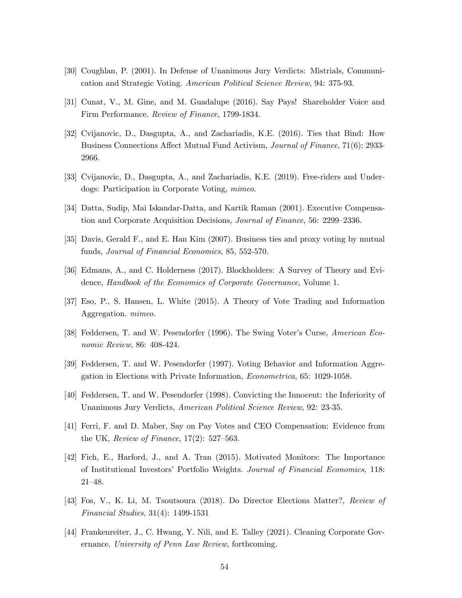- [30] Coughlan, P. (2001). In Defense of Unanimous Jury Verdicts: Mistrials, Communication and Strategic Voting. American Political Science Review, 94: 375-93.
- [31] Cunat, V., M. Gine, and M. Guadalupe (2016). Say Pays! Shareholder Voice and Firm Performance. Review of Finance, 1799-1834.
- [32] Cvijanovic, D., Dasgupta, A., and Zachariadis, K.E. (2016). Ties that Bind: How Business Connections Affect Mutual Fund Activism, Journal of Finance, 71(6): 2933-2966.
- [33] Cvijanovic, D., Dasgupta, A., and Zachariadis, K.E. (2019). Free-riders and Underdogs: Participation in Corporate Voting, mimeo.
- [34] Datta, Sudip, Mai Iskandar-Datta, and Kartik Raman (2001). Executive Compensation and Corporate Acquisition Decisions, *Journal of Finance*, 56: 2299–2336.
- [35] Davis, Gerald F., and E. Han Kim (2007). Business ties and proxy voting by mutual funds, Journal of Financial Economics, 85, 552-570.
- [36] Edmans, A., and C. Holderness (2017). Blockholders: A Survey of Theory and Evidence, Handbook of the Economics of Corporate Governance, Volume 1.
- [37] Eso, P., S. Hansen, L. White (2015). A Theory of Vote Trading and Information Aggregation. mimeo.
- [38] Feddersen, T. and W. Pesendorfer (1996). The Swing Voter's Curse, American Economic Review, 86: 408-424.
- [39] Feddersen, T. and W. Pesendorfer (1997). Voting Behavior and Information Aggregation in Elections with Private Information, Econometrica, 65: 1029-1058.
- [40] Feddersen, T. and W. Pesendorfer (1998). Convicting the Innocent: the Inferiority of Unanimous Jury Verdicts, American Political Science Review, 92: 23-35.
- [41] Ferri, F. and D. Maber, Say on Pay Votes and CEO Compensation: Evidence from the UK, Review of Finance,  $17(2)$ : 527–563.
- [42] Fich, E., Harford, J., and A. Tran (2015). Motivated Monitors: The Importance of Institutional Investorsí Portfolio Weights. Journal of Financial Economics, 118:  $21 - 48.$
- [43] Fos, V., K. Li, M. Tsoutsoura (2018). Do Director Elections Matter?, Review of Financial Studies, 31(4): 1499-1531
- [44] Frankenreiter, J., C. Hwang, Y. Nili, and E. Talley (2021). Cleaning Corporate Governance. University of Penn Law Review, forthcoming.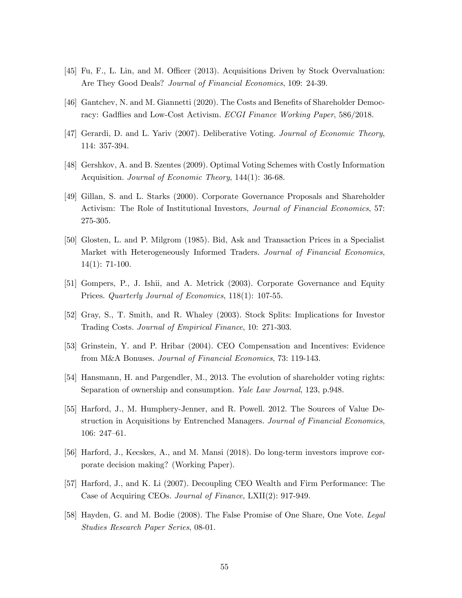- [45] Fu, F., L. Lin, and M. Officer (2013). Acquisitions Driven by Stock Overvaluation: Are They Good Deals? *Journal of Financial Economics*, 109: 24-39.
- [46] Gantchev, N. and M. Giannetti (2020). The Costs and Benefits of Shareholder Democracy: Gadflies and Low-Cost Activism. *ECGI Finance Working Paper*, 586/2018.
- [47] Gerardi, D. and L. Yariv (2007). Deliberative Voting. Journal of Economic Theory, 114: 357-394.
- [48] Gershkov, A. and B. Szentes (2009). Optimal Voting Schemes with Costly Information Acquisition. *Journal of Economic Theory*, 144(1): 36-68.
- [49] Gillan, S. and L. Starks (2000). Corporate Governance Proposals and Shareholder Activism: The Role of Institutional Investors, Journal of Financial Economics, 57: 275-305.
- [50] Glosten, L. and P. Milgrom (1985). Bid, Ask and Transaction Prices in a Specialist Market with Heterogeneously Informed Traders. Journal of Financial Economics, 14(1): 71-100.
- [51] Gompers, P., J. Ishii, and A. Metrick (2003). Corporate Governance and Equity Prices. Quarterly Journal of Economics, 118(1): 107-55.
- [52] Gray, S., T. Smith, and R. Whaley (2003). Stock Splits: Implications for Investor Trading Costs. Journal of Empirical Finance, 10: 271-303.
- [53] Grinstein, Y. and P. Hribar (2004). CEO Compensation and Incentives: Evidence from M&A Bonuses. Journal of Financial Economics, 73: 119-143.
- [54] Hansmann, H. and Pargendler, M., 2013. The evolution of shareholder voting rights: Separation of ownership and consumption. Yale Law Journal, 123, p.948.
- [55] Harford, J., M. Humphery-Jenner, and R. Powell. 2012. The Sources of Value Destruction in Acquisitions by Entrenched Managers. Journal of Financial Economics,  $106: 247–61.$
- [56] Harford, J., Kecskes, A., and M. Mansi (2018). Do long-term investors improve corporate decision making? (Working Paper).
- [57] Harford, J., and K. Li (2007). Decoupling CEO Wealth and Firm Performance: The Case of Acquiring CEOs. Journal of Finance, LXII(2): 917-949.
- [58] Hayden, G. and M. Bodie (2008). The False Promise of One Share, One Vote. Legal Studies Research Paper Series, 08-01.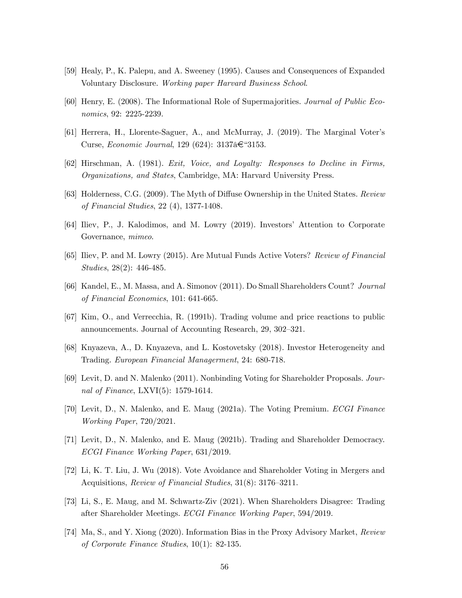- [59] Healy, P., K. Palepu, and A. Sweeney (1995). Causes and Consequences of Expanded Voluntary Disclosure. Working paper Harvard Business School.
- [60] Henry, E. (2008). The Informational Role of Supermajorities. Journal of Public Economics, 92: 2225-2239.
- [61] Herrera, H., Llorente-Saguer, A., and McMurray, J. (2019). The Marginal Voterís Curse, Economic Journal, 129 (624):  $3137\hat{a} \in 3153$ .
- [62] Hirschman, A. (1981). Exit, Voice, and Loyalty: Responses to Decline in Firms, Organizations, and States, Cambridge, MA: Harvard University Press.
- [63] Holderness, C.G. (2009). The Myth of Diffuse Ownership in the United States. Review of Financial Studies, 22 (4), 1377-1408.
- [64] Iliev, P., J. Kalodimos, and M. Lowry (2019). Investors' Attention to Corporate Governance, mimeo.
- [65] Iliev, P. and M. Lowry (2015). Are Mutual Funds Active Voters? Review of Financial Studies, 28(2): 446-485.
- [66] Kandel, E., M. Massa, and A. Simonov (2011). Do Small Shareholders Count? Journal of Financial Economics, 101: 641-665.
- [67] Kim, O., and Verrecchia, R. (1991b). Trading volume and price reactions to public announcements. Journal of Accounting Research, 29, 302–321.
- [68] Knyazeva, A., D. Knyazeva, and L. Kostovetsky (2018). Investor Heterogeneity and Trading. European Financial Managerment, 24: 680-718.
- [69] Levit, D. and N. Malenko (2011). Nonbinding Voting for Shareholder Proposals. Journal of Finance, LXVI(5): 1579-1614.
- [70] Levit, D., N. Malenko, and E. Maug (2021a). The Voting Premium. ECGI Finance Working Paper, 720/2021.
- [71] Levit, D., N. Malenko, and E. Maug (2021b). Trading and Shareholder Democracy. ECGI Finance Working Paper, 631/2019.
- [72] Li, K. T. Liu, J. Wu (2018). Vote Avoidance and Shareholder Voting in Mergers and Acquisitions, Review of Financial Studies, 31(8): 3176-3211.
- [73] Li, S., E. Maug, and M. Schwartz-Ziv (2021). When Shareholders Disagree: Trading after Shareholder Meetings. ECGI Finance Working Paper, 594/2019.
- [74] Ma, S., and Y. Xiong (2020). Information Bias in the Proxy Advisory Market, Review of Corporate Finance Studies, 10(1): 82-135.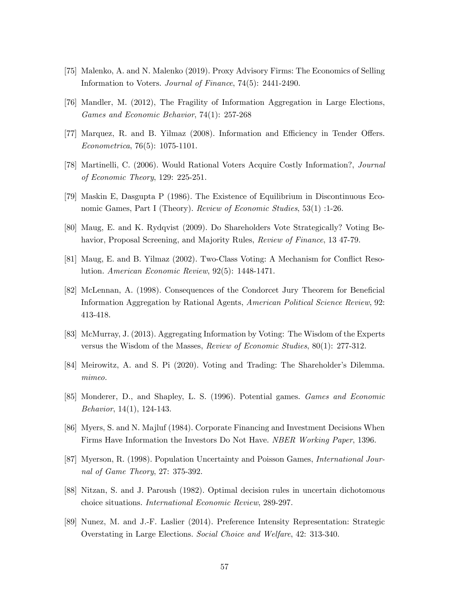- [75] Malenko, A. and N. Malenko (2019). Proxy Advisory Firms: The Economics of Selling Information to Voters. Journal of Finance, 74(5): 2441-2490.
- [76] Mandler, M. (2012), The Fragility of Information Aggregation in Large Elections, Games and Economic Behavior, 74(1): 257-268
- [77] Marquez, R. and B. Yilmaz (2008). Information and Efficiency in Tender Offers. Econometrica, 76(5): 1075-1101.
- [78] Martinelli, C. (2006). Would Rational Voters Acquire Costly Information?, Journal of Economic Theory, 129: 225-251.
- [79] Maskin E, Dasgupta P (1986). The Existence of Equilibrium in Discontinuous Economic Games, Part I (Theory). Review of Economic Studies, 53(1) :1-26.
- [80] Maug, E. and K. Rydqvist (2009). Do Shareholders Vote Strategically? Voting Behavior, Proposal Screening, and Majority Rules, *Review of Finance*, 13 47-79.
- [81] Maug, E. and B. Yilmaz (2002). Two-Class Voting: A Mechanism for Conflict Resolution. American Economic Review, 92(5): 1448-1471.
- [82] McLennan, A. (1998). Consequences of the Condorcet Jury Theorem for Beneficial Information Aggregation by Rational Agents, American Political Science Review, 92: 413-418.
- [83] McMurray, J. (2013). Aggregating Information by Voting: The Wisdom of the Experts versus the Wisdom of the Masses, Review of Economic Studies, 80(1): 277-312.
- [84] Meirowitz, A. and S. Pi (2020). Voting and Trading: The Shareholder's Dilemma. mimeo.
- [85] Monderer, D., and Shapley, L. S. (1996). Potential games. Games and Economic Behavior, 14(1), 124-143.
- [86] Myers, S. and N. Majluf (1984). Corporate Financing and Investment Decisions When Firms Have Information the Investors Do Not Have. NBER Working Paper, 1396.
- [87] Myerson, R. (1998). Population Uncertainty and Poisson Games, International Journal of Game Theory, 27: 375-392.
- [88] Nitzan, S. and J. Paroush (1982). Optimal decision rules in uncertain dichotomous choice situations. International Economic Review, 289-297.
- [89] Nunez, M. and J.-F. Laslier (2014). Preference Intensity Representation: Strategic Overstating in Large Elections. Social Choice and Welfare, 42: 313-340.